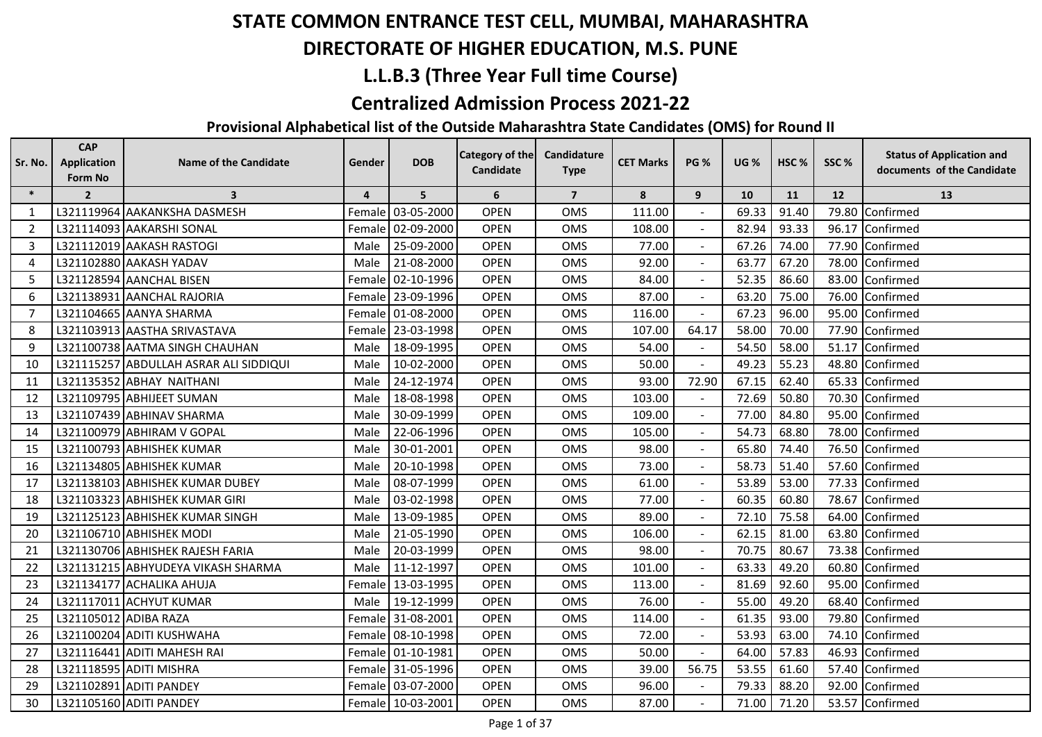## **DIRECTORATE OF HIGHER EDUCATION, M.S. PUNE**

## **L.L.B.3 (Three Year Full time Course)**

#### **Centralized Admission Process 2021-22**

| Sr. No. | <b>CAP</b><br><b>Application</b> | <b>Name of the Candidate</b>           | Gender         | <b>DOB</b>        | <b>Category of the</b> | Candidature    | <b>CET Marks</b> | <b>PG %</b>              | <b>UG %</b> | HSC <sub>%</sub> | SSC% | <b>Status of Application and</b> |
|---------|----------------------------------|----------------------------------------|----------------|-------------------|------------------------|----------------|------------------|--------------------------|-------------|------------------|------|----------------------------------|
|         | Form No                          |                                        |                |                   | Candidate              | <b>Type</b>    |                  |                          |             |                  |      | documents of the Candidate       |
| $\ast$  | $\overline{2}$                   | $\overline{\mathbf{3}}$                | $\overline{4}$ | 5                 | 6                      | $\overline{7}$ | 8                | 9                        | 10          | 11               | 12   | 13                               |
| 1       |                                  | L321119964 AAKANKSHA DASMESH           | Female         | 03-05-2000        | <b>OPEN</b>            | <b>OMS</b>     | 111.00           |                          | 69.33       | 91.40            |      | 79.80 Confirmed                  |
| 2       |                                  | L321114093 AAKARSHI SONAL              | Female         | 02-09-2000        | <b>OPEN</b>            | OMS            | 108.00           |                          | 82.94       | 93.33            |      | 96.17 Confirmed                  |
| 3       |                                  | L321112019 AAKASH RASTOGI              | Male           | 25-09-2000        | <b>OPEN</b>            | OMS            | 77.00            |                          | 67.26       | 74.00            |      | 77.90 Confirmed                  |
| 4       |                                  | L321102880 AAKASH YADAV                | Male           | 21-08-2000        | <b>OPEN</b>            | OMS            | 92.00            |                          | 63.77       | 67.20            |      | 78.00 Confirmed                  |
| 5       |                                  | L321128594 AANCHAL BISEN               | Female         | 02-10-1996        | <b>OPEN</b>            | <b>OMS</b>     | 84.00            |                          | 52.35       | 86.60            |      | 83.00 Confirmed                  |
| 6       |                                  | L321138931 AANCHAL RAJORIA             | Female         | 23-09-1996        | <b>OPEN</b>            | OMS            | 87.00            | ÷,                       | 63.20       | 75.00            |      | 76.00 Confirmed                  |
| 7       |                                  | L321104665 AANYA SHARMA                | Female         | 01-08-2000        | <b>OPEN</b>            | OMS            | 116.00           |                          | 67.23       | 96.00            |      | 95.00 Confirmed                  |
| 8       |                                  | L321103913 AASTHA SRIVASTAVA           | Female         | 23-03-1998        | <b>OPEN</b>            | OMS            | 107.00           | 64.17                    | 58.00       | 70.00            |      | 77.90 Confirmed                  |
| 9       |                                  | L321100738 AATMA SINGH CHAUHAN         | Male           | 18-09-1995        | <b>OPEN</b>            | <b>OMS</b>     | 54.00            |                          | 54.50       | 58.00            |      | 51.17 Confirmed                  |
| 10      |                                  | L321115257 ABDULLAH ASRAR ALI SIDDIQUI | Male           | 10-02-2000        | <b>OPEN</b>            | OMS            | 50.00            | $\blacksquare$           | 49.23       | 55.23            |      | 48.80 Confirmed                  |
| 11      |                                  | L321135352 ABHAY NAITHANI              | Male           | 24-12-1974        | <b>OPEN</b>            | <b>OMS</b>     | 93.00            | 72.90                    | 67.15       | 62.40            |      | 65.33 Confirmed                  |
| 12      |                                  | L321109795 ABHIJEET SUMAN              | Male           | 18-08-1998        | <b>OPEN</b>            | <b>OMS</b>     | 103.00           |                          | 72.69       | 50.80            |      | 70.30 Confirmed                  |
| 13      |                                  | L321107439 ABHINAV SHARMA              | Male           | 30-09-1999        | <b>OPEN</b>            | <b>OMS</b>     | 109.00           |                          | 77.00       | 84.80            |      | 95.00 Confirmed                  |
| 14      |                                  | L321100979 ABHIRAM V GOPAL             | Male           | 22-06-1996        | <b>OPEN</b>            | OMS            | 105.00           |                          | 54.73       | 68.80            |      | 78.00 Confirmed                  |
| 15      |                                  | L321100793 ABHISHEK KUMAR              | Male           | 30-01-2001        | <b>OPEN</b>            | OMS            | 98.00            | $\blacksquare$           | 65.80       | 74.40            |      | 76.50 Confirmed                  |
| 16      |                                  | L321134805 ABHISHEK KUMAR              | Male           | 20-10-1998        | <b>OPEN</b>            | OMS            | 73.00            | $\overline{\phantom{a}}$ | 58.73       | 51.40            |      | 57.60 Confirmed                  |
| 17      |                                  | L321138103 ABHISHEK KUMAR DUBEY        | Male           | 08-07-1999        | <b>OPEN</b>            | OMS            | 61.00            |                          | 53.89       | 53.00            |      | 77.33 Confirmed                  |
| 18      |                                  | L321103323 ABHISHEK KUMAR GIRI         | Male           | 03-02-1998        | <b>OPEN</b>            | OMS            | 77.00            |                          | 60.35       | 60.80            |      | 78.67 Confirmed                  |
| 19      |                                  | L321125123 ABHISHEK KUMAR SINGH        | Male           | 13-09-1985        | <b>OPEN</b>            | OMS            | 89.00            |                          | 72.10       | 75.58            |      | 64.00 Confirmed                  |
| 20      |                                  | L321106710 ABHISHEK MODI               | Male           | 21-05-1990        | <b>OPEN</b>            | <b>OMS</b>     | 106.00           | $\blacksquare$           | 62.15       | 81.00            |      | 63.80 Confirmed                  |
| 21      |                                  | L321130706 ABHISHEK RAJESH FARIA       | Male           | 20-03-1999        | <b>OPEN</b>            | OMS            | 98.00            |                          | 70.75       | 80.67            |      | 73.38 Confirmed                  |
| 22      |                                  | L321131215 ABHYUDEYA VIKASH SHARMA     | Male           | 11-12-1997        | <b>OPEN</b>            | OMS            | 101.00           |                          | 63.33       | 49.20            |      | 60.80 Confirmed                  |
| 23      |                                  | L321134177 ACHALIKA AHUJA              | Female         | 13-03-1995        | <b>OPEN</b>            | <b>OMS</b>     | 113.00           |                          | 81.69       | 92.60            |      | 95.00 Confirmed                  |
| 24      |                                  | L321117011 ACHYUT KUMAR                | Male           | 19-12-1999        | <b>OPEN</b>            | <b>OMS</b>     | 76.00            |                          | 55.00       | 49.20            |      | 68.40 Confirmed                  |
| 25      | L321105012 ADIBA RAZA            |                                        | Female         | 31-08-2001        | <b>OPEN</b>            | OMS            | 114.00           | $\blacksquare$           | 61.35       | 93.00            |      | 79.80 Confirmed                  |
| 26      |                                  | L321100204 ADITI KUSHWAHA              | Female         | 08-10-1998        | <b>OPEN</b>            | <b>OMS</b>     | 72.00            | $\blacksquare$           | 53.93       | 63.00            |      | 74.10 Confirmed                  |
| 27      |                                  | L321116441 ADITI MAHESH RAI            |                | Female 01-10-1981 | <b>OPEN</b>            | OMS            | 50.00            |                          | 64.00       | 57.83            |      | 46.93 Confirmed                  |
| 28      |                                  | L321118595 ADITI MISHRA                |                | Female 31-05-1996 | <b>OPEN</b>            | <b>OMS</b>     | 39.00            | 56.75                    | 53.55       | 61.60            |      | 57.40 Confirmed                  |
| 29      |                                  | L321102891 ADITI PANDEY                |                | Female 03-07-2000 | <b>OPEN</b>            | <b>OMS</b>     | 96.00            |                          | 79.33       | 88.20            |      | 92.00 Confirmed                  |
| 30      |                                  | L321105160 ADITI PANDEY                |                | Female 10-03-2001 | <b>OPEN</b>            | OMS            | 87.00            |                          | 71.00       | 71.20            |      | 53.57 Confirmed                  |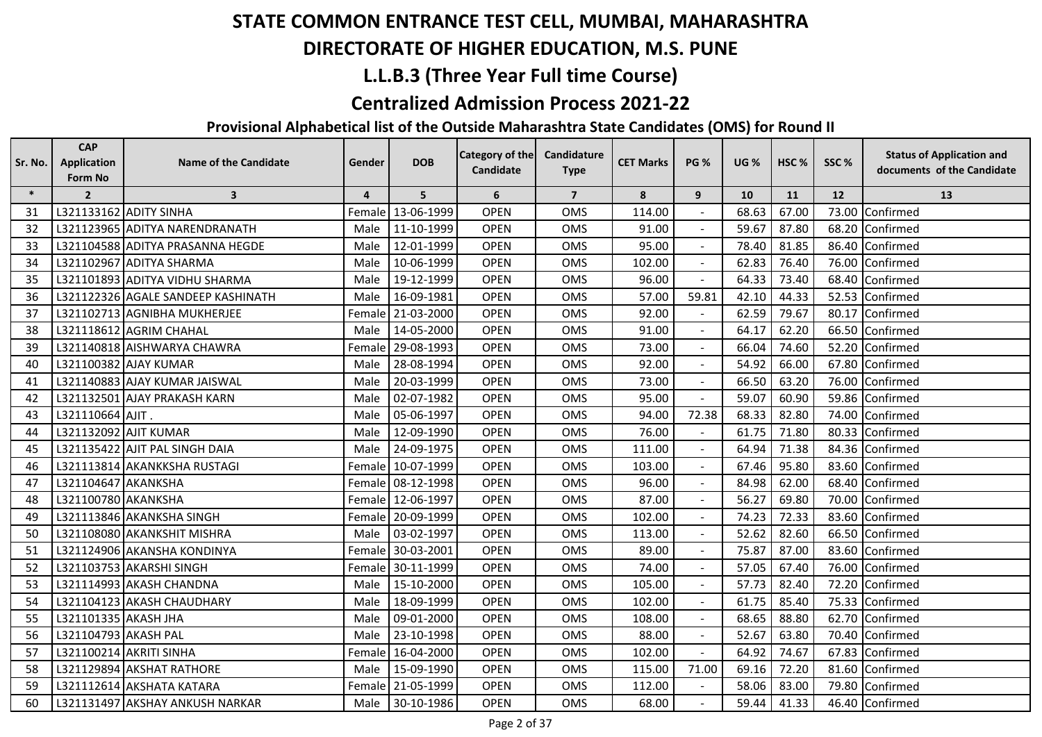## **DIRECTORATE OF HIGHER EDUCATION, M.S. PUNE**

## **L.L.B.3 (Three Year Full time Course)**

#### **Centralized Admission Process 2021-22**

| Sr. No. | <b>CAP</b><br><b>Application</b> | <b>Name of the Candidate</b>       | Gender         | <b>DOB</b> | <b>Category of the</b> | Candidature             | <b>CET Marks</b> | <b>PG %</b>    | <b>UG %</b> | HSC <sub>%</sub> | SSC% | <b>Status of Application and</b> |
|---------|----------------------------------|------------------------------------|----------------|------------|------------------------|-------------------------|------------------|----------------|-------------|------------------|------|----------------------------------|
|         | <b>Form No</b>                   |                                    |                |            | Candidate              | <b>Type</b>             |                  |                |             |                  |      | documents of the Candidate       |
| $\ast$  | $\overline{2}$                   | $\overline{\mathbf{3}}$            | $\overline{4}$ | 5          | 6                      | $\overline{\mathbf{z}}$ | 8                | 9              | 10          | 11               | 12   | 13                               |
| 31      |                                  | L321133162 ADITY SINHA             | Female         | 13-06-1999 | <b>OPEN</b>            | <b>OMS</b>              | 114.00           |                | 68.63       | 67.00            |      | 73.00 Confirmed                  |
| 32      |                                  | L321123965 ADITYA NARENDRANATH     | Male           | 11-10-1999 | <b>OPEN</b>            | OMS                     | 91.00            |                | 59.67       | 87.80            |      | 68.20 Confirmed                  |
| 33      |                                  | L321104588 ADITYA PRASANNA HEGDE   | Male           | 12-01-1999 | <b>OPEN</b>            | OMS                     | 95.00            |                | 78.40       | 81.85            |      | 86.40 Confirmed                  |
| 34      |                                  | L321102967 ADITYA SHARMA           | Male           | 10-06-1999 | <b>OPEN</b>            | <b>OMS</b>              | 102.00           |                | 62.83       | 76.40            |      | 76.00 Confirmed                  |
| 35      |                                  | L321101893 ADITYA VIDHU SHARMA     | Male           | 19-12-1999 | <b>OPEN</b>            | <b>OMS</b>              | 96.00            |                | 64.33       | 73.40            |      | 68.40 Confirmed                  |
| 36      |                                  | L321122326 AGALE SANDEEP KASHINATH | Male           | 16-09-1981 | <b>OPEN</b>            | OMS                     | 57.00            | 59.81          | 42.10       | 44.33            |      | 52.53 Confirmed                  |
| 37      |                                  | L321102713 AGNIBHA MUKHERJEE       | Female         | 21-03-2000 | <b>OPEN</b>            | OMS                     | 92.00            |                | 62.59       | 79.67            |      | 80.17 Confirmed                  |
| 38      |                                  | L321118612 AGRIM CHAHAL            | Male           | 14-05-2000 | <b>OPEN</b>            | <b>OMS</b>              | 91.00            |                | 64.17       | 62.20            |      | 66.50 Confirmed                  |
| 39      |                                  | L321140818 AISHWARYA CHAWRA        | Female         | 29-08-1993 | <b>OPEN</b>            | <b>OMS</b>              | 73.00            |                | 66.04       | 74.60            |      | 52.20 Confirmed                  |
| 40      |                                  | L321100382 AJAY KUMAR              | Male           | 28-08-1994 | <b>OPEN</b>            | OMS                     | 92.00            | $\blacksquare$ | 54.92       | 66.00            |      | 67.80 Confirmed                  |
| 41      |                                  | L321140883 AJAY KUMAR JAISWAL      | Male           | 20-03-1999 | <b>OPEN</b>            | OMS                     | 73.00            |                | 66.50       | 63.20            |      | 76.00 Confirmed                  |
| 42      |                                  | L321132501 AJAY PRAKASH KARN       | Male           | 02-07-1982 | <b>OPEN</b>            | <b>OMS</b>              | 95.00            |                | 59.07       | 60.90            |      | 59.86 Confirmed                  |
| 43      | L321110664 AJIT.                 |                                    | Male           | 05-06-1997 | <b>OPEN</b>            | <b>OMS</b>              | 94.00            | 72.38          | 68.33       | 82.80            |      | 74.00 Confirmed                  |
| 44      |                                  | L321132092 AJIT KUMAR              | Male           | 12-09-1990 | <b>OPEN</b>            | OMS                     | 76.00            |                | 61.75       | 71.80            |      | 80.33 Confirmed                  |
| 45      |                                  | L321135422 AJIT PAL SINGH DAIA     | Male           | 24-09-1975 | <b>OPEN</b>            | <b>OMS</b>              | 111.00           | $\blacksquare$ | 64.94       | 71.38            |      | 84.36 Confirmed                  |
| 46      |                                  | L321113814 AKANKKSHA RUSTAGI       | Female         | 10-07-1999 | <b>OPEN</b>            | OMS                     | 103.00           | $\blacksquare$ | 67.46       | 95.80            |      | 83.60 Confirmed                  |
| 47      | L321104647 AKANKSHA              |                                    | Female         | 08-12-1998 | <b>OPEN</b>            | <b>OMS</b>              | 96.00            |                | 84.98       | 62.00            |      | 68.40 Confirmed                  |
| 48      | L321100780 AKANKSHA              |                                    | Female         | 12-06-1997 | <b>OPEN</b>            | <b>OMS</b>              | 87.00            |                | 56.27       | 69.80            |      | 70.00 Confirmed                  |
| 49      |                                  | L321113846 AKANKSHA SINGH          | Female         | 20-09-1999 | <b>OPEN</b>            | <b>OMS</b>              | 102.00           |                | 74.23       | 72.33            |      | 83.60 Confirmed                  |
| 50      |                                  | L321108080 AKANKSHIT MISHRA        | Male           | 03-02-1997 | <b>OPEN</b>            | <b>OMS</b>              | 113.00           | $\blacksquare$ | 52.62       | 82.60            |      | 66.50 Confirmed                  |
| 51      |                                  | L321124906 AKANSHA KONDINYA        | Female         | 30-03-2001 | <b>OPEN</b>            | <b>OMS</b>              | 89.00            |                | 75.87       | 87.00            |      | 83.60 Confirmed                  |
| 52      |                                  | L321103753 AKARSHI SINGH           | Female         | 30-11-1999 | <b>OPEN</b>            | <b>OMS</b>              | 74.00            |                | 57.05       | 67.40            |      | 76.00 Confirmed                  |
| 53      |                                  | L321114993 AKASH CHANDNA           | Male           | 15-10-2000 | <b>OPEN</b>            | <b>OMS</b>              | 105.00           |                | 57.73       | 82.40            |      | 72.20 Confirmed                  |
| 54      |                                  | L321104123 AKASH CHAUDHARY         | Male           | 18-09-1999 | <b>OPEN</b>            | <b>OMS</b>              | 102.00           |                | 61.75       | 85.40            |      | 75.33 Confirmed                  |
| 55      | L321101335 AKASH JHA             |                                    | Male           | 09-01-2000 | <b>OPEN</b>            | OMS                     | 108.00           | $\blacksquare$ | 68.65       | 88.80            |      | 62.70 Confirmed                  |
| 56      | L321104793 AKASH PAL             |                                    | Male           | 23-10-1998 | <b>OPEN</b>            | <b>OMS</b>              | 88.00            | $\blacksquare$ | 52.67       | 63.80            |      | 70.40 Confirmed                  |
| 57      |                                  | L321100214 AKRITI SINHA            | Female         | 16-04-2000 | <b>OPEN</b>            | <b>OMS</b>              | 102.00           |                | 64.92       | 74.67            |      | 67.83 Confirmed                  |
| 58      |                                  | L321129894 AKSHAT RATHORE          | Male           | 15-09-1990 | <b>OPEN</b>            | <b>OMS</b>              | 115.00           | 71.00          | 69.16       | 72.20            |      | 81.60 Confirmed                  |
| 59      |                                  | L321112614 AKSHATA KATARA          | Female         | 21-05-1999 | <b>OPEN</b>            | <b>OMS</b>              | 112.00           |                | 58.06       | 83.00            |      | 79.80 Confirmed                  |
| 60      |                                  | L321131497 AKSHAY ANKUSH NARKAR    | Male           | 30-10-1986 | <b>OPEN</b>            | OMS                     | 68.00            |                | 59.44       | 41.33            |      | 46.40 Confirmed                  |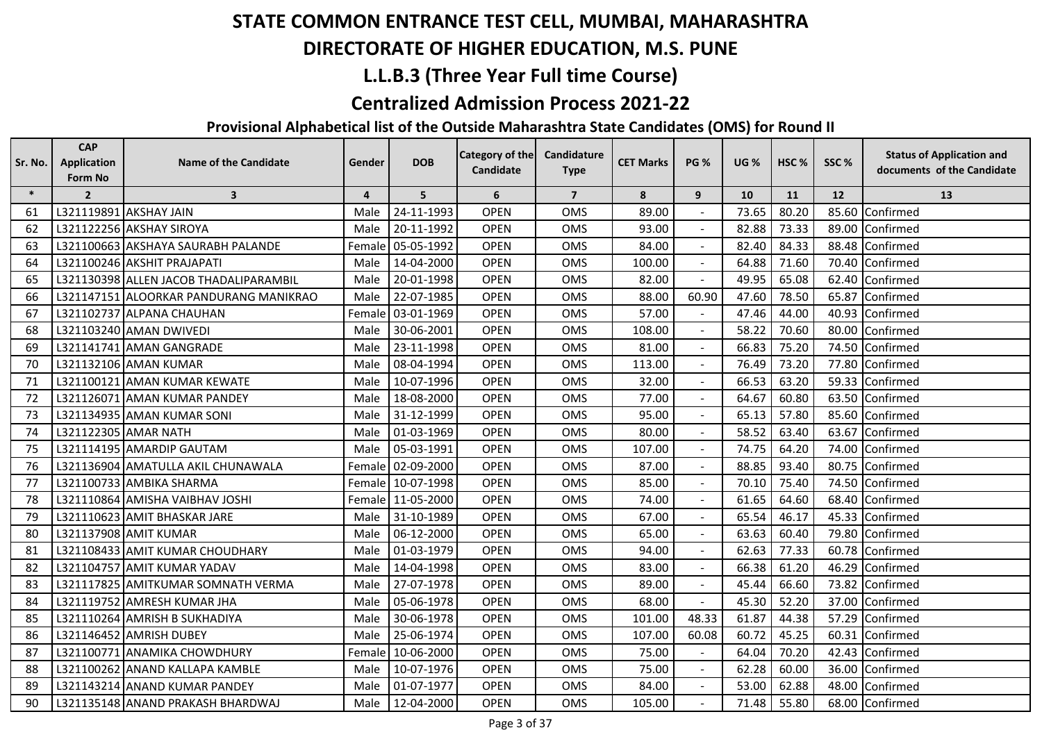## **DIRECTORATE OF HIGHER EDUCATION, M.S. PUNE**

## **L.L.B.3 (Three Year Full time Course)**

#### **Centralized Admission Process 2021-22**

| Sr. No. | <b>CAP</b><br><b>Application</b> | <b>Name of the Candidate</b>           | Gender         | <b>DOB</b>        | Category of the | Candidature    | <b>CET Marks</b> | <b>PG %</b>              | <b>UG %</b> | HSC <sub>%</sub> | SSC% | <b>Status of Application and</b> |
|---------|----------------------------------|----------------------------------------|----------------|-------------------|-----------------|----------------|------------------|--------------------------|-------------|------------------|------|----------------------------------|
|         | Form No                          |                                        |                |                   | Candidate       | <b>Type</b>    |                  |                          |             |                  |      | documents of the Candidate       |
| $\ast$  | $\overline{2}$                   | $\overline{\mathbf{3}}$                | $\overline{4}$ | 5                 | 6               | $\overline{7}$ | 8                | 9                        | 10          | 11               | 12   | 13                               |
| 61      |                                  | L321119891 AKSHAY JAIN                 | Male           | 24-11-1993        | <b>OPEN</b>     | <b>OMS</b>     | 89.00            |                          | 73.65       | 80.20            |      | 85.60 Confirmed                  |
| 62      |                                  | L321122256 AKSHAY SIROYA               | Male           | 20-11-1992        | <b>OPEN</b>     | OMS            | 93.00            |                          | 82.88       | 73.33            |      | 89.00 Confirmed                  |
| 63      |                                  | L321100663 AKSHAYA SAURABH PALANDE     |                | Female 05-05-1992 | <b>OPEN</b>     | OMS            | 84.00            |                          | 82.40       | 84.33            |      | 88.48 Confirmed                  |
| 64      |                                  | L321100246 AKSHIT PRAJAPATI            | Male           | 14-04-2000        | <b>OPEN</b>     | <b>OMS</b>     | 100.00           |                          | 64.88       | 71.60            |      | 70.40 Confirmed                  |
| 65      |                                  | L321130398 ALLEN JACOB THADALIPARAMBIL | Male           | 20-01-1998        | <b>OPEN</b>     | <b>OMS</b>     | 82.00            |                          | 49.95       | 65.08            |      | 62.40 Confirmed                  |
| 66      |                                  | L321147151 ALOORKAR PANDURANG MANIKRAO | Male           | 22-07-1985        | <b>OPEN</b>     | <b>OMS</b>     | 88.00            | 60.90                    | 47.60       | 78.50            |      | 65.87 Confirmed                  |
| 67      |                                  | L321102737 ALPANA CHAUHAN              | Female         | 03-01-1969        | <b>OPEN</b>     | <b>OMS</b>     | 57.00            |                          | 47.46       | 44.00            |      | 40.93 Confirmed                  |
| 68      |                                  | L321103240 AMAN DWIVEDI                | Male           | 30-06-2001        | <b>OPEN</b>     | <b>OMS</b>     | 108.00           |                          | 58.22       | 70.60            |      | 80.00 Confirmed                  |
| 69      |                                  | L321141741 AMAN GANGRADE               | Male           | 23-11-1998        | <b>OPEN</b>     | <b>OMS</b>     | 81.00            |                          | 66.83       | 75.20            |      | 74.50 Confirmed                  |
| 70      |                                  | L321132106 AMAN KUMAR                  | Male           | 08-04-1994        | <b>OPEN</b>     | OMS            | 113.00           | $\blacksquare$           | 76.49       | 73.20            |      | 77.80 Confirmed                  |
| 71      |                                  | L321100121 AMAN KUMAR KEWATE           | Male           | 10-07-1996        | <b>OPEN</b>     | OMS            | 32.00            |                          | 66.53       | 63.20            |      | 59.33 Confirmed                  |
| 72      |                                  | L321126071 AMAN KUMAR PANDEY           | Male           | 18-08-2000        | <b>OPEN</b>     | <b>OMS</b>     | 77.00            |                          | 64.67       | 60.80            |      | 63.50 Confirmed                  |
| 73      |                                  | L321134935 AMAN KUMAR SONI             | Male           | 31-12-1999        | <b>OPEN</b>     | <b>OMS</b>     | 95.00            |                          | 65.13       | 57.80            |      | 85.60 Confirmed                  |
| 74      |                                  | L321122305 AMAR NATH                   | Male           | 01-03-1969        | <b>OPEN</b>     | OMS            | 80.00            |                          | 58.52       | 63.40            |      | 63.67 Confirmed                  |
| 75      |                                  | L321114195 AMARDIP GAUTAM              | Male           | 05-03-1991        | <b>OPEN</b>     | OMS            | 107.00           | $\blacksquare$           | 74.75       | 64.20            |      | 74.00 Confirmed                  |
| 76      |                                  | L321136904 AMATULLA AKIL CHUNAWALA     | Female         | 02-09-2000        | <b>OPEN</b>     | OMS            | 87.00            | $\overline{\phantom{a}}$ | 88.85       | 93.40            |      | 80.75 Confirmed                  |
| 77      |                                  | L321100733 AMBIKA SHARMA               |                | Female 10-07-1998 | <b>OPEN</b>     | OMS            | 85.00            |                          | 70.10       | 75.40            |      | 74.50 Confirmed                  |
| 78      |                                  | L321110864 AMISHA VAIBHAV JOSHI        |                | Female 11-05-2000 | <b>OPEN</b>     | OMS            | 74.00            |                          | 61.65       | 64.60            |      | 68.40 Confirmed                  |
| 79      |                                  | L321110623 AMIT BHASKAR JARE           | Male           | 31-10-1989        | <b>OPEN</b>     | OMS            | 67.00            |                          | 65.54       | 46.17            |      | 45.33 Confirmed                  |
| -80     |                                  | L321137908 AMIT KUMAR                  | Male           | 06-12-2000        | <b>OPEN</b>     | <b>OMS</b>     | 65.00            | $\sim$                   | 63.63       | 60.40            |      | 79.80 Confirmed                  |
| 81      |                                  | L321108433 AMIT KUMAR CHOUDHARY        | Male           | 01-03-1979        | <b>OPEN</b>     | OMS            | 94.00            |                          | 62.63       | 77.33            |      | 60.78 Confirmed                  |
| 82      |                                  | L321104757 AMIT KUMAR YADAV            | Male           | 14-04-1998        | <b>OPEN</b>     | <b>OMS</b>     | 83.00            |                          | 66.38       | 61.20            |      | 46.29 Confirmed                  |
| 83      |                                  | L321117825 AMITKUMAR SOMNATH VERMA     | Male           | 27-07-1978        | <b>OPEN</b>     | OMS            | 89.00            |                          | 45.44       | 66.60            |      | 73.82 Confirmed                  |
| 84      |                                  | L321119752 AMRESH KUMAR JHA            | Male           | 05-06-1978        | <b>OPEN</b>     | <b>OMS</b>     | 68.00            |                          | 45.30       | 52.20            |      | 37.00 Confirmed                  |
| 85      |                                  | L321110264 AMRISH B SUKHADIYA          | Male           | 30-06-1978        | <b>OPEN</b>     | <b>OMS</b>     | 101.00           | 48.33                    | 61.87       | 44.38            |      | 57.29 Confirmed                  |
| 86      |                                  | L321146452 AMRISH DUBEY                | Male           | 25-06-1974        | <b>OPEN</b>     | <b>OMS</b>     | 107.00           | 60.08                    | 60.72       | 45.25            |      | 60.31 Confirmed                  |
| 87      |                                  | L321100771 ANAMIKA CHOWDHURY           |                | Female 10-06-2000 | <b>OPEN</b>     | OMS            | 75.00            |                          | 64.04       | 70.20            |      | 42.43 Confirmed                  |
| 88      |                                  | L321100262 ANAND KALLAPA KAMBLE        | Male           | 10-07-1976        | <b>OPEN</b>     | OMS            | 75.00            |                          | 62.28       | 60.00            |      | 36.00 Confirmed                  |
| 89      |                                  | L321143214 ANAND KUMAR PANDEY          | Male           | 01-07-1977        | <b>OPEN</b>     | OMS            | 84.00            |                          | 53.00       | 62.88            |      | 48.00 Confirmed                  |
| 90      |                                  | L321135148 ANAND PRAKASH BHARDWAJ      | Male           | 12-04-2000        | <b>OPEN</b>     | OMS            | 105.00           |                          | 71.48       | 55.80            |      | 68.00 Confirmed                  |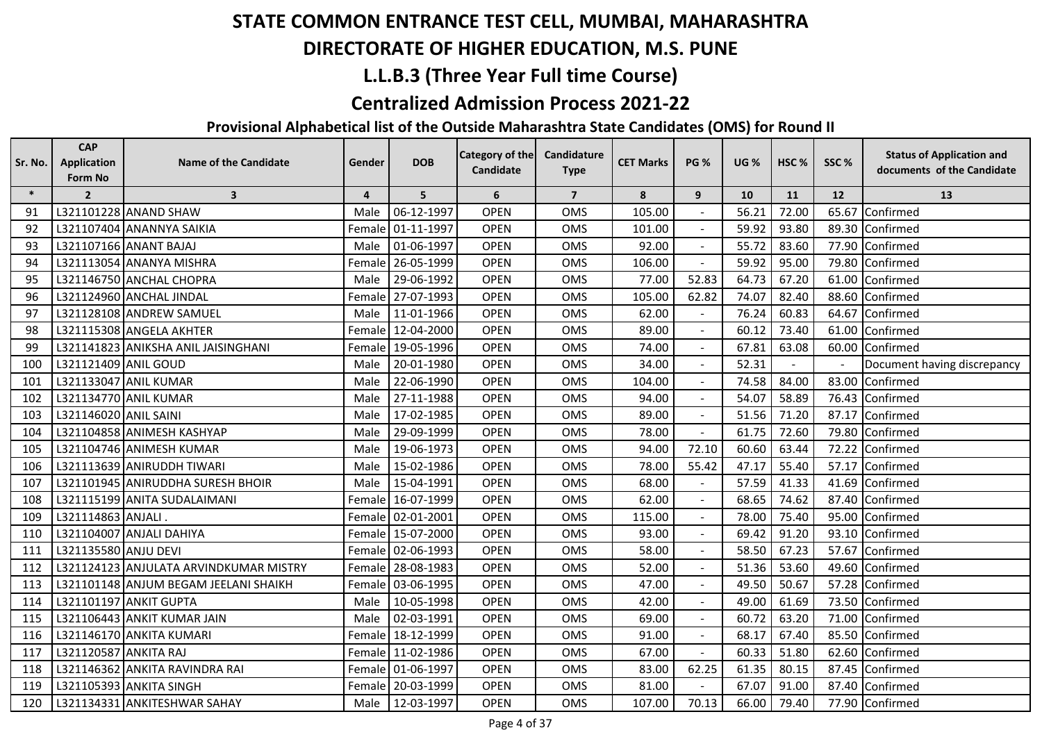## **DIRECTORATE OF HIGHER EDUCATION, M.S. PUNE**

## **L.L.B.3 (Three Year Full time Course)**

#### **Centralized Admission Process 2021-22**

| Sr. No. | <b>CAP</b><br><b>Application</b> | <b>Name of the Candidate</b>           | Gender         | <b>DOB</b>        | Category of the | Candidature    | <b>CET Marks</b> | <b>PG %</b>              | <b>UG %</b> | HSC <sub>%</sub> | SSC%  | <b>Status of Application and</b> |
|---------|----------------------------------|----------------------------------------|----------------|-------------------|-----------------|----------------|------------------|--------------------------|-------------|------------------|-------|----------------------------------|
|         | Form No                          |                                        |                |                   | Candidate       | <b>Type</b>    |                  |                          |             |                  |       | documents of the Candidate       |
| $\ast$  | $\overline{2}$                   | $\overline{\mathbf{3}}$                | $\overline{4}$ | 5                 | 6               | $\overline{7}$ | ${\bf 8}$        | 9                        | 10          | 11               | 12    | 13                               |
| 91      |                                  | L321101228 ANAND SHAW                  | Male           | 06-12-1997        | <b>OPEN</b>     | <b>OMS</b>     | 105.00           |                          | 56.21       | 72.00            | 65.67 | Confirmed                        |
| 92      |                                  | L321107404 ANANNYA SAIKIA              | Female         | 01-11-1997        | <b>OPEN</b>     | <b>OMS</b>     | 101.00           |                          | 59.92       | 93.80            |       | 89.30 Confirmed                  |
| 93      |                                  | L321107166 ANANT BAJAJ                 | Male           | 01-06-1997        | <b>OPEN</b>     | OMS            | 92.00            |                          | 55.72       | 83.60            |       | 77.90 Confirmed                  |
| 94      |                                  | L321113054 ANANYA MISHRA               | Female         | 26-05-1999        | <b>OPEN</b>     | OMS            | 106.00           |                          | 59.92       | 95.00            |       | 79.80 Confirmed                  |
| 95      |                                  | L321146750 ANCHAL CHOPRA               | Male           | 29-06-1992        | <b>OPEN</b>     | <b>OMS</b>     | 77.00            | 52.83                    | 64.73       | 67.20            |       | 61.00 Confirmed                  |
| 96      |                                  | L321124960 ANCHAL JINDAL               | Female         | 27-07-1993        | <b>OPEN</b>     | OMS            | 105.00           | 62.82                    | 74.07       | 82.40            |       | 88.60 Confirmed                  |
| 97      |                                  | L321128108 ANDREW SAMUEL               | Male           | 11-01-1966        | <b>OPEN</b>     | OMS            | 62.00            |                          | 76.24       | 60.83            |       | 64.67 Confirmed                  |
| 98      |                                  | L321115308 ANGELA AKHTER               | Female         | 12-04-2000        | <b>OPEN</b>     | OMS            | 89.00            |                          | 60.12       | 73.40            |       | 61.00 Confirmed                  |
| 99      |                                  | L321141823 ANIKSHA ANIL JAISINGHANI    | Female         | 19-05-1996        | <b>OPEN</b>     | OMS            | 74.00            |                          | 67.81       | 63.08            |       | 60.00 Confirmed                  |
| 100     | L321121409 ANIL GOUD             |                                        | Male           | 20-01-1980        | <b>OPEN</b>     | <b>OMS</b>     | 34.00            | $\blacksquare$           | 52.31       | $\sim$           |       | Document having discrepancy      |
| 101     |                                  | L321133047 ANIL KUMAR                  | Male           | 22-06-1990        | <b>OPEN</b>     | OMS            | 104.00           |                          | 74.58       | 84.00            |       | 83.00 Confirmed                  |
| 102     |                                  | L321134770 ANIL KUMAR                  | Male           | 27-11-1988        | <b>OPEN</b>     | <b>OMS</b>     | 94.00            |                          | 54.07       | 58.89            |       | 76.43 Confirmed                  |
| 103     | L321146020 ANIL SAINI            |                                        | Male           | 17-02-1985        | <b>OPEN</b>     | OMS            | 89.00            |                          | 51.56       | 71.20            |       | 87.17 Confirmed                  |
| 104     |                                  | L321104858 ANIMESH KASHYAP             | Male           | 29-09-1999        | <b>OPEN</b>     | <b>OMS</b>     | 78.00            |                          | 61.75       | 72.60            |       | 79.80 Confirmed                  |
| 105     |                                  | L321104746 ANIMESH KUMAR               | Male           | 19-06-1973        | <b>OPEN</b>     | <b>OMS</b>     | 94.00            | 72.10                    | 60.60       | 63.44            |       | 72.22 Confirmed                  |
| 106     |                                  | L321113639 ANIRUDDH TIWARI             | Male           | 15-02-1986        | <b>OPEN</b>     | <b>OMS</b>     | 78.00            | 55.42                    | 47.17       | 55.40            |       | 57.17 Confirmed                  |
| 107     |                                  | L321101945 ANIRUDDHA SURESH BHOIR      | Male           | 15-04-1991        | <b>OPEN</b>     | OMS            | 68.00            |                          | 57.59       | 41.33            |       | 41.69 Confirmed                  |
| 108     |                                  | L321115199 ANITA SUDALAIMANI           |                | Female 16-07-1999 | <b>OPEN</b>     | <b>OMS</b>     | 62.00            |                          | 68.65       | 74.62            |       | 87.40 Confirmed                  |
| 109     | L321114863 ANJALI.               |                                        | Female         | 02-01-2001        | <b>OPEN</b>     | <b>OMS</b>     | 115.00           |                          | 78.00       | 75.40            |       | 95.00 Confirmed                  |
| 110     |                                  | L321104007 ANJALI DAHIYA               | Female         | 15-07-2000        | <b>OPEN</b>     | OMS            | 93.00            | $\blacksquare$           | 69.42       | 91.20            |       | 93.10 Confirmed                  |
| 111     | L321135580 ANJU DEVI             |                                        | Female         | 02-06-1993        | <b>OPEN</b>     | <b>OMS</b>     | 58.00            | $\overline{\phantom{a}}$ | 58.50       | 67.23            |       | 57.67 Confirmed                  |
| 112     |                                  | L321124123 ANJULATA ARVINDKUMAR MISTRY | Female         | 28-08-1983        | <b>OPEN</b>     | OMS            | 52.00            | $\blacksquare$           | 51.36       | 53.60            |       | 49.60 Confirmed                  |
| 113     |                                  | L321101148 ANJUM BEGAM JEELANI SHAIKH  |                | Female 03-06-1995 | <b>OPEN</b>     | <b>OMS</b>     | 47.00            |                          | 49.50       | 50.67            |       | 57.28 Confirmed                  |
| 114     |                                  | L321101197 ANKIT GUPTA                 | Male           | 10-05-1998        | <b>OPEN</b>     | <b>OMS</b>     | 42.00            |                          | 49.00       | 61.69            |       | 73.50 Confirmed                  |
| 115     |                                  | L321106443 ANKIT KUMAR JAIN            | Male           | 02-03-1991        | <b>OPEN</b>     | <b>OMS</b>     | 69.00            |                          | 60.72       | 63.20            |       | 71.00 Confirmed                  |
| 116     |                                  | L321146170 ANKITA KUMARI               | Female         | 18-12-1999        | <b>OPEN</b>     | <b>OMS</b>     | 91.00            |                          | 68.17       | 67.40            |       | 85.50 Confirmed                  |
| 117     | L321120587 ANKITA RAJ            |                                        |                | Female 11-02-1986 | <b>OPEN</b>     | <b>OMS</b>     | 67.00            | $\blacksquare$           | 60.33       | 51.80            |       | 62.60 Confirmed                  |
| 118     |                                  | L321146362 ANKITA RAVINDRA RAI         |                | Female 01-06-1997 | <b>OPEN</b>     | OMS            | 83.00            | 62.25                    | 61.35       | 80.15            |       | 87.45 Confirmed                  |
| 119     |                                  | L321105393 ANKITA SINGH                | Female         | 20-03-1999        | <b>OPEN</b>     | OMS            | 81.00            |                          | 67.07       | 91.00            |       | 87.40 Confirmed                  |
| 120     |                                  | L321134331 ANKITESHWAR SAHAY           | Male           | 12-03-1997        | <b>OPEN</b>     | <b>OMS</b>     | 107.00           | 70.13                    | 66.00       | 79.40            |       | 77.90 Confirmed                  |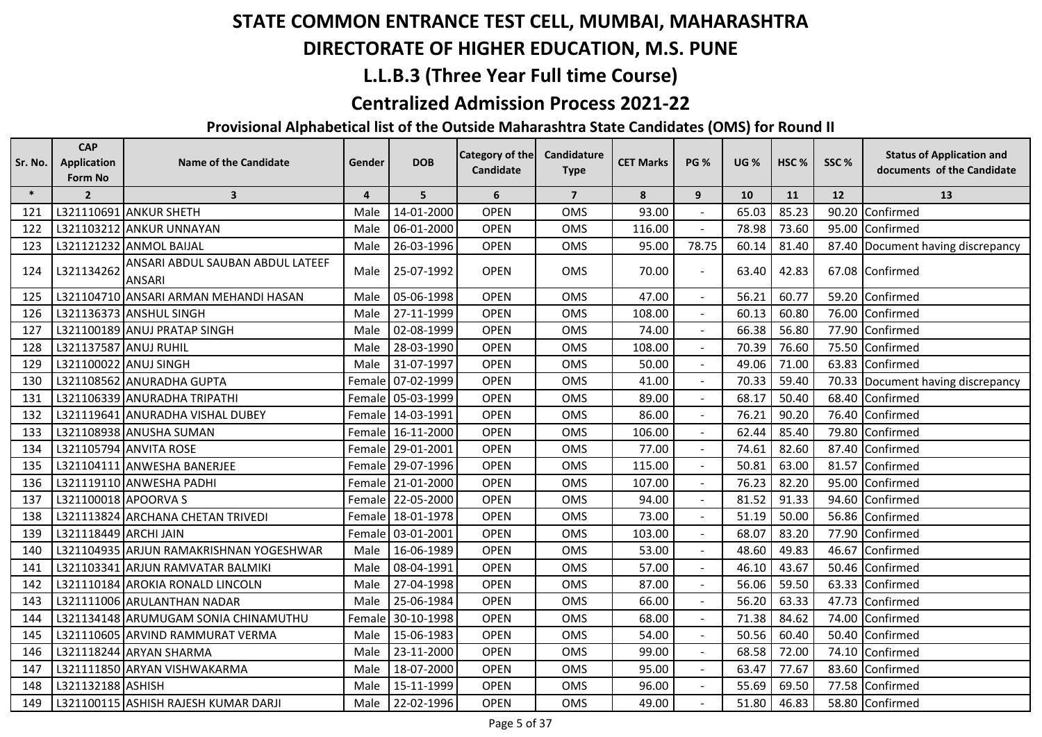## **DIRECTORATE OF HIGHER EDUCATION, M.S. PUNE**

## **L.L.B.3 (Three Year Full time Course)**

#### **Centralized Admission Process 2021-22**

| Sr. No. | <b>CAP</b><br><b>Application</b><br>Form No | Name of the Candidate                      | Gender         | <b>DOB</b>        | <b>Category of the</b><br>Candidate | Candidature<br><b>Type</b> | <b>CET Marks</b> | <b>PG %</b>    | <b>UG %</b> | HSC <sub>%</sub> | SSC%  | <b>Status of Application and</b><br>documents of the Candidate |
|---------|---------------------------------------------|--------------------------------------------|----------------|-------------------|-------------------------------------|----------------------------|------------------|----------------|-------------|------------------|-------|----------------------------------------------------------------|
| $\ast$  | $\overline{2}$                              | $\overline{\mathbf{3}}$                    | $\overline{4}$ | 5                 | 6                                   | $\overline{7}$             | 8                | 9              | 10          | 11               | 12    | 13                                                             |
| 121     |                                             | L321110691 ANKUR SHETH                     | Male           | 14-01-2000        | <b>OPEN</b>                         | <b>OMS</b>                 | 93.00            |                | 65.03       | 85.23            |       | 90.20 Confirmed                                                |
| 122     |                                             | L321103212 ANKUR UNNAYAN                   | Male           | 06-01-2000        | <b>OPEN</b>                         | <b>OMS</b>                 | 116.00           |                | 78.98       | 73.60            |       | 95.00 Confirmed                                                |
| 123     |                                             | L321121232 ANMOL BAIJAL                    | Male           | 26-03-1996        | <b>OPEN</b>                         | <b>OMS</b>                 | 95.00            | 78.75          | 60.14       | 81.40            |       | 87.40 Document having discrepancy                              |
| 124     | L321134262                                  | ANSARI ABDUL SAUBAN ABDUL LATEEF<br>ANSARI | Male           | 25-07-1992        | <b>OPEN</b>                         | <b>OMS</b>                 | 70.00            |                | 63.40       | 42.83            |       | 67.08 Confirmed                                                |
| 125     |                                             | L321104710 ANSARI ARMAN MEHANDI HASAN      | Male           | 05-06-1998        | <b>OPEN</b>                         | <b>OMS</b>                 | 47.00            |                | 56.21       | 60.77            |       | 59.20 Confirmed                                                |
| 126     |                                             | L321136373 ANSHUL SINGH                    | Male           | 27-11-1999        | <b>OPEN</b>                         | <b>OMS</b>                 | 108.00           |                | 60.13       | 60.80            | 76.00 | Confirmed                                                      |
| 127     |                                             | L321100189 ANUJ PRATAP SINGH               | Male           | 02-08-1999        | <b>OPEN</b>                         | OMS                        | 74.00            | $\blacksquare$ | 66.38       | 56.80            |       | 77.90 Confirmed                                                |
| 128     | L321137587 ANUJ RUHIL                       |                                            | Male           | 28-03-1990        | <b>OPEN</b>                         | <b>OMS</b>                 | 108.00           |                | 70.39       | 76.60            |       | 75.50 Confirmed                                                |
| 129     | L321100022 ANUJ SINGH                       |                                            | Male           | 31-07-1997        | <b>OPEN</b>                         | <b>OMS</b>                 | 50.00            |                | 49.06       | 71.00            |       | 63.83 Confirmed                                                |
| 130     |                                             | L321108562 ANURADHA GUPTA                  | Female         | 07-02-1999        | <b>OPEN</b>                         | <b>OMS</b>                 | 41.00            |                | 70.33       | 59.40            |       | 70.33 Document having discrepancy                              |
| 131     |                                             | L321106339 ANURADHA TRIPATHI               | Female         | 05-03-1999        | <b>OPEN</b>                         | <b>OMS</b>                 | 89.00            |                | 68.17       | 50.40            |       | 68.40 Confirmed                                                |
| 132     |                                             | L321119641 ANURADHA VISHAL DUBEY           |                | Female 14-03-1991 | <b>OPEN</b>                         | <b>OMS</b>                 | 86.00            |                | 76.21       | 90.20            |       | 76.40 Confirmed                                                |
| 133     |                                             | L321108938 ANUSHA SUMAN                    |                | Female 16-11-2000 | <b>OPEN</b>                         | <b>OMS</b>                 | 106.00           |                | 62.44       | 85.40            | 79.80 | Confirmed                                                      |
| 134     |                                             | L321105794 ANVITA ROSE                     | Female         | 29-01-2001        | <b>OPEN</b>                         | <b>OMS</b>                 | 77.00            |                | 74.61       | 82.60            | 87.40 | Confirmed                                                      |
| 135     |                                             | L321104111 ANWESHA BANERJEE                | Female         | 29-07-1996        | <b>OPEN</b>                         | OMS                        | 115.00           |                | 50.81       | 63.00            | 81.57 | Confirmed                                                      |
| 136     |                                             | L321119110 ANWESHA PADHI                   | Female         | 21-01-2000        | <b>OPEN</b>                         | <b>OMS</b>                 | 107.00           |                | 76.23       | 82.20            | 95.00 | Confirmed                                                      |
| 137     | L321100018 APOORVA S                        |                                            |                | Female 22-05-2000 | <b>OPEN</b>                         | <b>OMS</b>                 | 94.00            | $\blacksquare$ | 81.52       | 91.33            |       | 94.60 Confirmed                                                |
| 138     |                                             | L321113824 ARCHANA CHETAN TRIVEDI          |                | Female 18-01-1978 | <b>OPEN</b>                         | <b>OMS</b>                 | 73.00            |                | 51.19       | 50.00            |       | 56.86 Confirmed                                                |
| 139     | L321118449 ARCHI JAIN                       |                                            | Female         | 03-01-2001        | <b>OPEN</b>                         | <b>OMS</b>                 | 103.00           |                | 68.07       | 83.20            |       | 77.90 Confirmed                                                |
| 140     |                                             | L321104935 ARJUN RAMAKRISHNAN YOGESHWAR    | Male           | 16-06-1989        | <b>OPEN</b>                         | <b>OMS</b>                 | 53.00            |                | 48.60       | 49.83            | 46.67 | Confirmed                                                      |
| 141     |                                             | L321103341 ARJUN RAMVATAR BALMIKI          | Male           | 08-04-1991        | <b>OPEN</b>                         | <b>OMS</b>                 | 57.00            |                | 46.10       | 43.67            | 50.46 | Confirmed                                                      |
| 142     |                                             | L321110184 AROKIA RONALD LINCOLN           | Male           | 27-04-1998        | <b>OPEN</b>                         | <b>OMS</b>                 | 87.00            |                | 56.06       | 59.50            |       | 63.33 Confirmed                                                |
| 143     |                                             | L321111006 ARULANTHAN NADAR                | Male           | 25-06-1984        | <b>OPEN</b>                         | <b>OMS</b>                 | 66.00            |                | 56.20       | 63.33            |       | 47.73 Confirmed                                                |
| 144     |                                             | L321134148 ARUMUGAM SONIA CHINAMUTHU       | Female         | 30-10-1998        | <b>OPEN</b>                         | <b>OMS</b>                 | 68.00            |                | 71.38       | 84.62            | 74.00 | Confirmed                                                      |
| 145     |                                             | L321110605 ARVIND RAMMURAT VERMA           | Male           | 15-06-1983        | <b>OPEN</b>                         | OMS                        | 54.00            |                | 50.56       | 60.40            |       | 50.40 Confirmed                                                |
| 146     |                                             | L321118244 ARYAN SHARMA                    | Male           | 23-11-2000        | <b>OPEN</b>                         | <b>OMS</b>                 | 99.00            |                | 68.58       | 72.00            | 74.10 | Confirmed                                                      |
| 147     |                                             | L321111850 ARYAN VISHWAKARMA               | Male           | 18-07-2000        | <b>OPEN</b>                         | <b>OMS</b>                 | 95.00            | $\blacksquare$ | 63.47       | 77.67            |       | 83.60 Confirmed                                                |
| 148     | L321132188 ASHISH                           |                                            | Male           | 15-11-1999        | <b>OPEN</b>                         | OMS                        | 96.00            |                | 55.69       | 69.50            |       | 77.58 Confirmed                                                |
| 149     |                                             | L321100115 ASHISH RAJESH KUMAR DARJI       | Male           | 22-02-1996        | <b>OPEN</b>                         | OMS                        | 49.00            |                | 51.80       | 46.83            |       | 58.80 Confirmed                                                |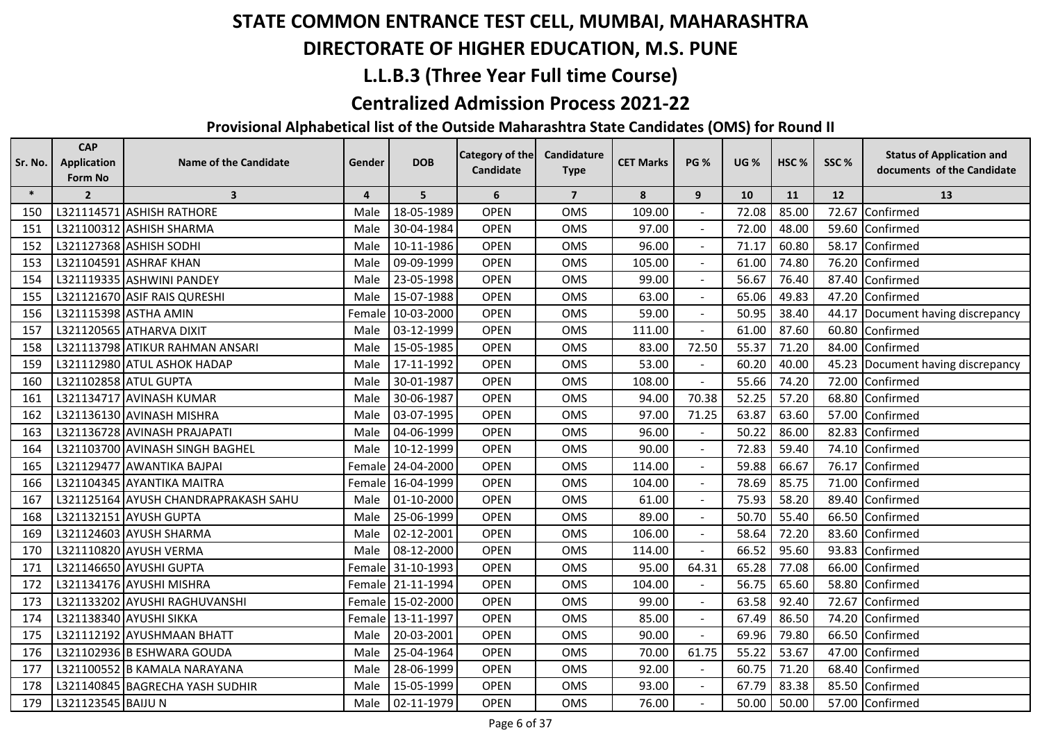## **DIRECTORATE OF HIGHER EDUCATION, M.S. PUNE**

## **L.L.B.3 (Three Year Full time Course)**

#### **Centralized Admission Process 2021-22**

| Sr. No. | <b>CAP</b><br><b>Application</b> | Name of the Candidate                | Gender         | <b>DOB</b>        | <b>Category of the</b><br><b>Candidate</b> | Candidature    | <b>CET Marks</b> | <b>PG %</b> | <b>UG %</b> | HSC <sub>%</sub> | SSC%  | <b>Status of Application and</b><br>documents of the Candidate |
|---------|----------------------------------|--------------------------------------|----------------|-------------------|--------------------------------------------|----------------|------------------|-------------|-------------|------------------|-------|----------------------------------------------------------------|
|         | Form No                          |                                      |                |                   |                                            | <b>Type</b>    |                  |             |             |                  |       |                                                                |
| $\ast$  | $\overline{2}$                   | $\overline{\mathbf{3}}$              | $\overline{4}$ | 5                 | 6                                          | $\overline{7}$ | 8                | 9           | 10          | 11               | 12    | 13                                                             |
| 150     |                                  | L321114571 ASHISH RATHORE            | Male           | 18-05-1989        | <b>OPEN</b>                                | <b>OMS</b>     | 109.00           |             | 72.08       | 85.00            | 72.67 | Confirmed                                                      |
| 151     |                                  | L321100312 ASHISH SHARMA             | Male           | 30-04-1984        | <b>OPEN</b>                                | OMS            | 97.00            |             | 72.00       | 48.00            | 59.60 | Confirmed                                                      |
| 152     |                                  | L321127368 ASHISH SODHI              | Male           | 10-11-1986        | <b>OPEN</b>                                | <b>OMS</b>     | 96.00            |             | 71.17       | 60.80            |       | 58.17 Confirmed                                                |
| 153     |                                  | L321104591 ASHRAF KHAN               | Male           | 09-09-1999        | <b>OPEN</b>                                | OMS            | 105.00           |             | 61.00       | 74.80            | 76.20 | Confirmed                                                      |
| 154     |                                  | L321119335 ASHWINI PANDEY            | Male           | 23-05-1998        | <b>OPEN</b>                                | OMS            | 99.00            |             | 56.67       | 76.40            | 87.40 | Confirmed                                                      |
| 155     |                                  | L321121670 ASIF RAIS QURESHI         | Male           | 15-07-1988        | <b>OPEN</b>                                | OMS            | 63.00            |             | 65.06       | 49.83            | 47.20 | Confirmed                                                      |
| 156     |                                  | L321115398 ASTHA AMIN                |                | Female 10-03-2000 | <b>OPEN</b>                                | OMS            | 59.00            |             | 50.95       | 38.40            |       | 44.17 Document having discrepancy                              |
| 157     |                                  | L321120565 ATHARVA DIXIT             | Male           | 03-12-1999        | <b>OPEN</b>                                | OMS            | 111.00           |             | 61.00       | 87.60            |       | 60.80 Confirmed                                                |
| 158     |                                  | L321113798 ATIKUR RAHMAN ANSARI      | Male           | 15-05-1985        | <b>OPEN</b>                                | OMS            | 83.00            | 72.50       | 55.37       | 71.20            | 84.00 | Confirmed                                                      |
| 159     |                                  | L321112980 ATUL ASHOK HADAP          | Male           | 17-11-1992        | <b>OPEN</b>                                | OMS            | 53.00            |             | 60.20       | 40.00            | 45.23 | Document having discrepancy                                    |
| 160     |                                  | L321102858 ATUL GUPTA                | Male           | 30-01-1987        | <b>OPEN</b>                                | OMS            | 108.00           |             | 55.66       | 74.20            | 72.00 | Confirmed                                                      |
| 161     |                                  | L321134717 AVINASH KUMAR             | Male           | 30-06-1987        | <b>OPEN</b>                                | <b>OMS</b>     | 94.00            | 70.38       | 52.25       | 57.20            |       | 68.80 Confirmed                                                |
| 162     |                                  | L321136130 AVINASH MISHRA            | Male           | 03-07-1995        | <b>OPEN</b>                                | OMS            | 97.00            | 71.25       | 63.87       | 63.60            | 57.00 | Confirmed                                                      |
| 163     |                                  | L321136728 AVINASH PRAJAPATI         | Male           | 04-06-1999        | <b>OPEN</b>                                | OMS            | 96.00            |             | 50.22       | 86.00            | 82.83 | Confirmed                                                      |
| 164     |                                  | L321103700 AVINASH SINGH BAGHEL      | Male           | 10-12-1999        | OPEN                                       | OMS            | 90.00            |             | 72.83       | 59.40            | 74.10 | Confirmed                                                      |
| 165     |                                  | L321129477 AWANTIKA BAJPAI           |                | Female 24-04-2000 | <b>OPEN</b>                                | <b>OMS</b>     | 114.00           |             | 59.88       | 66.67            | 76.17 | Confirmed                                                      |
| 166     |                                  | L321104345 AYANTIKA MAITRA           |                | Female 16-04-1999 | <b>OPEN</b>                                | OMS            | 104.00           |             | 78.69       | 85.75            | 71.00 | Confirmed                                                      |
| 167     |                                  | L321125164 AYUSH CHANDRAPRAKASH SAHU | Male           | 01-10-2000        | <b>OPEN</b>                                | OMS            | 61.00            |             | 75.93       | 58.20            | 89.40 | Confirmed                                                      |
| 168     |                                  | L321132151 AYUSH GUPTA               | Male           | 25-06-1999        | <b>OPEN</b>                                | OMS            | 89.00            |             | 50.70       | 55.40            | 66.50 | Confirmed                                                      |
| 169     |                                  | L321124603 AYUSH SHARMA              | Male           | 02-12-2001        | <b>OPEN</b>                                | OMS            | 106.00           |             | 58.64       | 72.20            | 83.60 | Confirmed                                                      |
| 170     |                                  | L321110820 AYUSH VERMA               | Male           | 08-12-2000        | <b>OPEN</b>                                | <b>OMS</b>     | 114.00           |             | 66.52       | 95.60            | 93.83 | Confirmed                                                      |
| 171     |                                  | L321146650 AYUSHI GUPTA              |                | Female 31-10-1993 | <b>OPEN</b>                                | <b>OMS</b>     | 95.00            | 64.31       | 65.28       | 77.08            |       | 66.00 Confirmed                                                |
| 172     |                                  | L321134176 AYUSHI MISHRA             |                | Female 21-11-1994 | <b>OPEN</b>                                | <b>OMS</b>     | 104.00           |             | 56.75       | 65.60            | 58.80 | Confirmed                                                      |
| 173     |                                  | L321133202 AYUSHI RAGHUVANSHI        |                | Female 15-02-2000 | <b>OPEN</b>                                | OMS            | 99.00            |             | 63.58       | 92.40            | 72.67 | Confirmed                                                      |
| 174     |                                  | L321138340 AYUSHI SIKKA              |                | Female 13-11-1997 | <b>OPEN</b>                                | OMS            | 85.00            |             | 67.49       | 86.50            | 74.20 | Confirmed                                                      |
| 175     |                                  | L321112192 AYUSHMAAN BHATT           | Male           | 20-03-2001        | <b>OPEN</b>                                | <b>OMS</b>     | 90.00            |             | 69.96       | 79.80            | 66.50 | Confirmed                                                      |
| 176     |                                  | L321102936 B ESHWARA GOUDA           | Male           | 25-04-1964        | <b>OPEN</b>                                | <b>OMS</b>     | 70.00            | 61.75       | 55.22       | 53.67            |       | 47.00 Confirmed                                                |
| 177     |                                  | L321100552 B KAMALA NARAYANA         | Male           | 28-06-1999        | <b>OPEN</b>                                | OMS            | 92.00            |             | 60.75       | 71.20            |       | 68.40 Confirmed                                                |
| 178     |                                  | L321140845 BAGRECHA YASH SUDHIR      | Male           | 15-05-1999        | <b>OPEN</b>                                | <b>OMS</b>     | 93.00            |             | 67.79       | 83.38            |       | 85.50 Confirmed                                                |
| 179     | L321123545 BAIJU N               |                                      | Male           | 02-11-1979        | <b>OPEN</b>                                | <b>OMS</b>     | 76.00            |             | 50.00       | 50.00            |       | 57.00 Confirmed                                                |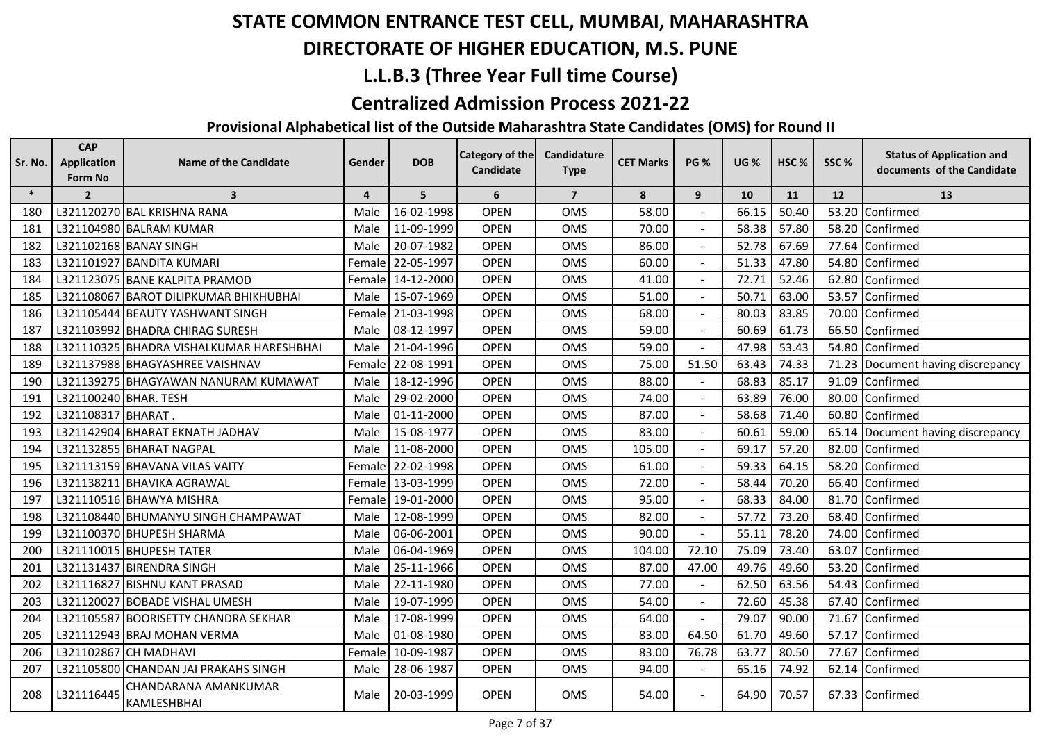## **DIRECTORATE OF HIGHER EDUCATION, M.S. PUNE**

## **L.L.B.3 (Three Year Full time Course)**

#### **Centralized Admission Process 2021-22**

| Sr. No. | <b>CAP</b><br><b>Application</b><br>Form No | <b>Name of the Candidate</b>             | Gender         | <b>DOB</b> | <b>Category of the</b><br>Candidate | Candidature<br><b>Type</b> | <b>CET Marks</b> | <b>PG %</b>    | <b>UG %</b> | HSC <sub>%</sub> | SSC%  | <b>Status of Application and</b><br>documents of the Candidate |
|---------|---------------------------------------------|------------------------------------------|----------------|------------|-------------------------------------|----------------------------|------------------|----------------|-------------|------------------|-------|----------------------------------------------------------------|
| $\ast$  | $\overline{2}$                              | $\overline{\mathbf{3}}$                  | $\overline{4}$ | 5          | 6                                   | $\overline{7}$             | 8                | 9              | 10          | 11               | 12    | 13                                                             |
| 180     |                                             | L321120270 BAL KRISHNA RANA              | Male           | 16-02-1998 | <b>OPEN</b>                         | <b>OMS</b>                 | 58.00            |                | 66.15       | 50.40            | 53.20 | Confirmed                                                      |
| 181     |                                             | L321104980 BALRAM KUMAR                  | Male           | 11-09-1999 | <b>OPEN</b>                         | <b>OMS</b>                 | 70.00            |                | 58.38       | 57.80            | 58.20 | Confirmed                                                      |
| 182     |                                             | L321102168 BANAY SINGH                   | Male           | 20-07-1982 | <b>OPEN</b>                         | <b>OMS</b>                 | 86.00            |                | 52.78       | 67.69            | 77.64 | Confirmed                                                      |
| 183     |                                             | L321101927 BANDITA KUMARI                | Female         | 22-05-1997 | <b>OPEN</b>                         | <b>OMS</b>                 | 60.00            |                | 51.33       | 47.80            | 54.80 | Confirmed                                                      |
| 184     |                                             | L321123075 BANE KALPITA PRAMOD           | Female         | 14-12-2000 | <b>OPEN</b>                         | <b>OMS</b>                 | 41.00            |                | 72.71       | 52.46            | 62.80 | Confirmed                                                      |
| 185     |                                             | L321108067 BAROT DILIPKUMAR BHIKHUBHAI   | Male           | 15-07-1969 | <b>OPEN</b>                         | <b>OMS</b>                 | 51.00            |                | 50.71       | 63.00            | 53.57 | Confirmed                                                      |
| 186     |                                             | L321105444 BEAUTY YASHWANT SINGH         | Female         | 21-03-1998 | <b>OPEN</b>                         | <b>OMS</b>                 | 68.00            | $\mathbf{r}$   | 80.03       | 83.85            | 70.00 | Confirmed                                                      |
| 187     |                                             | L321103992 BHADRA CHIRAG SURESH          | Male           | 08-12-1997 | <b>OPEN</b>                         | OMS                        | 59.00            |                | 60.69       | 61.73            | 66.50 | Confirmed                                                      |
| 188     |                                             | L321110325 BHADRA VISHALKUMAR HARESHBHAI | Male           | 21-04-1996 | <b>OPEN</b>                         | <b>OMS</b>                 | 59.00            |                | 47.98       | 53.43            | 54.80 | Confirmed                                                      |
| 189     |                                             | L321137988 BHAGYASHREE VAISHNAV          | Female         | 22-08-1991 | <b>OPEN</b>                         | <b>OMS</b>                 | 75.00            | 51.50          | 63.43       | 74.33            | 71.23 | Document having discrepancy                                    |
| 190     |                                             | L321139275 BHAGYAWAN NANURAM KUMAWAT     | Male           | 18-12-1996 | <b>OPEN</b>                         | <b>OMS</b>                 | 88.00            |                | 68.83       | 85.17            | 91.09 | Confirmed                                                      |
| 191     | L321100240 BHAR. TESH                       |                                          | Male           | 29-02-2000 | <b>OPEN</b>                         | <b>OMS</b>                 | 74.00            |                | 63.89       | 76.00            | 80.00 | Confirmed                                                      |
| 192     | L321108317 BHARAT.                          |                                          | Male           | 01-11-2000 | <b>OPEN</b>                         | OMS                        | 87.00            |                | 58.68       | 71.40            | 60.80 | Confirmed                                                      |
| 193     |                                             | L321142904 BHARAT EKNATH JADHAV          | Male           | 15-08-1977 | <b>OPEN</b>                         | <b>OMS</b>                 | 83.00            |                | 60.61       | 59.00            | 65.14 | Document having discrepancy                                    |
| 194     |                                             | L321132855 BHARAT NAGPAL                 | Male           | 11-08-2000 | <b>OPEN</b>                         | <b>OMS</b>                 | 105.00           |                | 69.17       | 57.20            | 82.00 | Confirmed                                                      |
| 195     |                                             | L321113159 BHAVANA VILAS VAITY           | Female         | 22-02-1998 | <b>OPEN</b>                         | <b>OMS</b>                 | 61.00            |                | 59.33       | 64.15            | 58.20 | Confirmed                                                      |
| 196     |                                             | L321138211 BHAVIKA AGRAWAL               | Female         | 13-03-1999 | <b>OPEN</b>                         | <b>OMS</b>                 | 72.00            |                | 58.44       | 70.20            | 66.40 | Confirmed                                                      |
| 197     |                                             | L321110516 BHAWYA MISHRA                 | Female         | 19-01-2000 | <b>OPEN</b>                         | OMS                        | 95.00            |                | 68.33       | 84.00            | 81.70 | Confirmed                                                      |
| 198     |                                             | L321108440 BHUMANYU SINGH CHAMPAWAT      | Male           | 12-08-1999 | <b>OPEN</b>                         | OMS                        | 82.00            |                | 57.72       | 73.20            | 68.40 | Confirmed                                                      |
| 199     |                                             | L321100370 BHUPESH SHARMA                | Male           | 06-06-2001 | <b>OPEN</b>                         | <b>OMS</b>                 | 90.00            |                | 55.11       | 78.20            | 74.00 | Confirmed                                                      |
| 200     |                                             | L321110015 BHUPESH TATER                 | Male           | 06-04-1969 | <b>OPEN</b>                         | <b>OMS</b>                 | 104.00           | 72.10          | 75.09       | 73.40            | 63.07 | Confirmed                                                      |
| 201     |                                             | L321131437 BIRENDRA SINGH                | Male           | 25-11-1966 | <b>OPEN</b>                         | <b>OMS</b>                 | 87.00            | 47.00          | 49.76       | 49.60            | 53.20 | Confirmed                                                      |
| 202     |                                             | L321116827 BISHNU KANT PRASAD            | Male           | 22-11-1980 | <b>OPEN</b>                         | OMS                        | 77.00            |                | 62.50       | 63.56            | 54.43 | Confirmed                                                      |
| 203     |                                             | L321120027 BOBADE VISHAL UMESH           | Male           | 19-07-1999 | <b>OPEN</b>                         | OMS                        | 54.00            | $\blacksquare$ | 72.60       | 45.38            | 67.40 | Confirmed                                                      |
| 204     |                                             | L321105587 BOORISETTY CHANDRA SEKHAR     | Male           | 17-08-1999 | <b>OPEN</b>                         | <b>OMS</b>                 | 64.00            |                | 79.07       | 90.00            | 71.67 | Confirmed                                                      |
| 205     |                                             | L321112943 BRAJ MOHAN VERMA              | Male           | 01-08-1980 | <b>OPEN</b>                         | <b>OMS</b>                 | 83.00            | 64.50          | 61.70       | 49.60            | 57.17 | Confirmed                                                      |
| 206     |                                             | L321102867 CH MADHAVI                    | Female         | 10-09-1987 | <b>OPEN</b>                         | <b>OMS</b>                 | 83.00            | 76.78          | 63.77       | 80.50            | 77.67 | Confirmed                                                      |
| 207     |                                             | L321105800 CHANDAN JAI PRAKAHS SINGH     | Male           | 28-06-1987 | <b>OPEN</b>                         | OMS                        | 94.00            |                | 65.16       | 74.92            |       | 62.14 Confirmed                                                |
| 208     | L321116445                                  | CHANDARANA AMANKUMAR<br>KAMLESHBHAI      | Male           | 20-03-1999 | <b>OPEN</b>                         | <b>OMS</b>                 | 54.00            |                | 64.90       | 70.57            |       | 67.33 Confirmed                                                |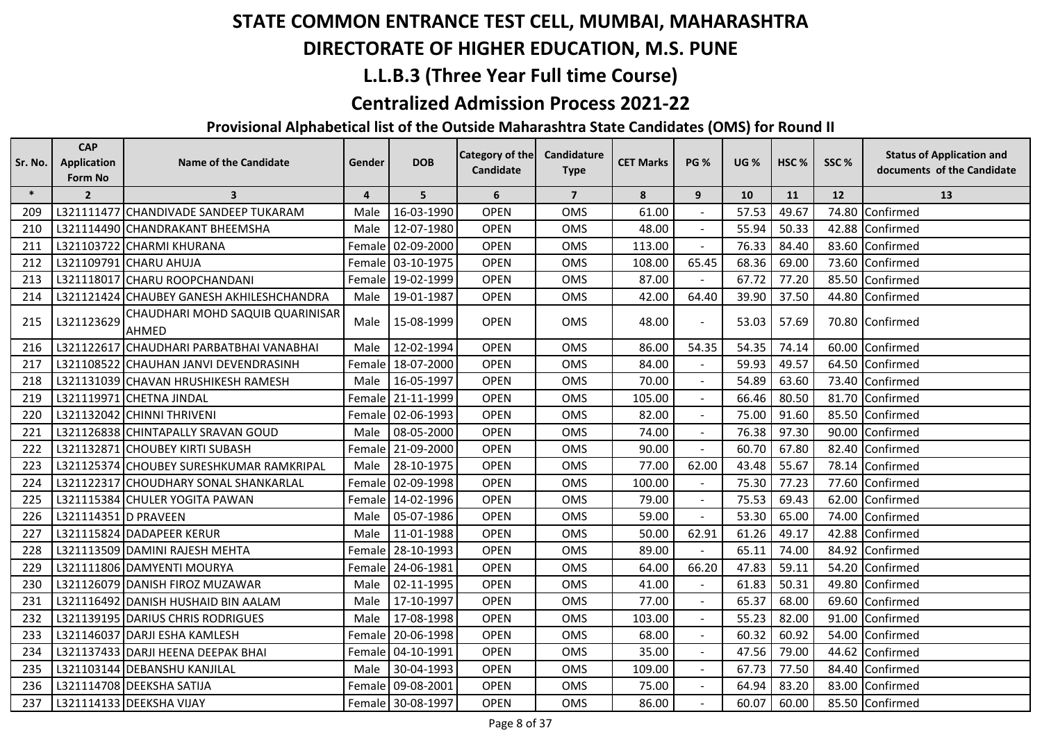## **DIRECTORATE OF HIGHER EDUCATION, M.S. PUNE**

## **L.L.B.3 (Three Year Full time Course)**

#### **Centralized Admission Process 2021-22**

| Sr. No. | <b>CAP</b><br><b>Application</b><br>Form No | <b>Name of the Candidate</b>               | Gender | <b>DOB</b>        | Category of the<br>Candidate | Candidature<br><b>Type</b> | <b>CET Marks</b> | <b>PG %</b>    | <b>UG %</b> | HSC <sub>%</sub> | SSC%  | <b>Status of Application and</b><br>documents of the Candidate |
|---------|---------------------------------------------|--------------------------------------------|--------|-------------------|------------------------------|----------------------------|------------------|----------------|-------------|------------------|-------|----------------------------------------------------------------|
| $\ast$  | $\overline{2}$                              | $\overline{\mathbf{3}}$                    | 4      | 5                 | 6                            | $\overline{7}$             | 8                | 9              | 10          | 11               | 12    | 13                                                             |
| 209     |                                             | L321111477 CHANDIVADE SANDEEP TUKARAM      | Male   | 16-03-1990        | <b>OPEN</b>                  | OMS                        | 61.00            |                | 57.53       | 49.67            | 74.80 | Confirmed                                                      |
| 210     |                                             | L321114490 CHANDRAKANT BHEEMSHA            | Male   | 12-07-1980        | <b>OPEN</b>                  | <b>OMS</b>                 | 48.00            |                | 55.94       | 50.33            |       | 42.88 Confirmed                                                |
| 211     |                                             | L321103722 CHARMI KHURANA                  | Female | 02-09-2000        | <b>OPEN</b>                  | OMS                        | 113.00           |                | 76.33       | 84.40            |       | 83.60 Confirmed                                                |
| 212     |                                             | L321109791 CHARU AHUJA                     | Female | 03-10-1975        | <b>OPEN</b>                  | <b>OMS</b>                 | 108.00           | 65.45          | 68.36       | 69.00            | 73.60 | Confirmed                                                      |
| 213     |                                             | L321118017 CHARU ROOPCHANDANI              | Female | 19-02-1999        | <b>OPEN</b>                  | OMS                        | 87.00            |                | 67.72       | 77.20            | 85.50 | Confirmed                                                      |
| 214     |                                             | L321121424 CHAUBEY GANESH AKHILESHCHANDRA  | Male   | 19-01-1987        | <b>OPEN</b>                  | OMS                        | 42.00            | 64.40          | 39.90       | 37.50            | 44.80 | Confirmed                                                      |
| 215     | L321123629                                  | CHAUDHARI MOHD SAQUIB QUARINISAR<br>IAHMED | Male   | 15-08-1999        | <b>OPEN</b>                  | <b>OMS</b>                 | 48.00            | $\blacksquare$ | 53.03       | 57.69            |       | 70.80 Confirmed                                                |
| 216     |                                             | L321122617 CHAUDHARI PARBATBHAI VANABHAI   | Male   | 12-02-1994        | <b>OPEN</b>                  | OMS                        | 86.00            | 54.35          | 54.35       | 74.14            |       | 60.00 Confirmed                                                |
| 217     |                                             | L321108522 CHAUHAN JANVI DEVENDRASINH      | Female | 18-07-2000        | <b>OPEN</b>                  | OMS                        | 84.00            |                | 59.93       | 49.57            |       | 64.50 Confirmed                                                |
| 218     |                                             | L321131039 CHAVAN HRUSHIKESH RAMESH        | Male   | 16-05-1997        | <b>OPEN</b>                  | OMS                        | 70.00            |                | 54.89       | 63.60            |       | 73.40 Confirmed                                                |
| 219     |                                             | L321119971 CHETNA JINDAL                   | Female | 21-11-1999        | <b>OPEN</b>                  | OMS                        | 105.00           |                | 66.46       | 80.50            |       | 81.70 Confirmed                                                |
| 220     |                                             | L321132042 CHINNI THRIVENI                 | Female | 02-06-1993        | <b>OPEN</b>                  | OMS                        | 82.00            |                | 75.00       | 91.60            |       | 85.50 Confirmed                                                |
| 221     |                                             | L321126838 CHINTAPALLY SRAVAN GOUD         | Male   | 08-05-2000        | <b>OPEN</b>                  | OMS                        | 74.00            |                | 76.38       | 97.30            | 90.00 | Confirmed                                                      |
| 222     |                                             | L321132871 CHOUBEY KIRTI SUBASH            | Female | 21-09-2000        | <b>OPEN</b>                  | OMS                        | 90.00            | $\blacksquare$ | 60.70       | 67.80            | 82.40 | Confirmed                                                      |
| 223     |                                             | L321125374 CHOUBEY SURESHKUMAR RAMKRIPAL   | Male   | 28-10-1975        | <b>OPEN</b>                  | OMS                        | 77.00            | 62.00          | 43.48       | 55.67            | 78.14 | Confirmed                                                      |
| 224     |                                             | L321122317 CHOUDHARY SONAL SHANKARLAL      | Female | 02-09-1998        | <b>OPEN</b>                  | <b>OMS</b>                 | 100.00           |                | 75.30       | 77.23            |       | 77.60 Confirmed                                                |
| 225     |                                             | L321115384 CHULER YOGITA PAWAN             | Female | 14-02-1996        | <b>OPEN</b>                  | <b>OMS</b>                 | 79.00            |                | 75.53       | 69.43            |       | 62.00 Confirmed                                                |
| 226     | L321114351 D PRAVEEN                        |                                            | Male   | 05-07-1986        | <b>OPEN</b>                  | OMS                        | 59.00            |                | 53.30       | 65.00            | 74.00 | Confirmed                                                      |
| 227     |                                             | L321115824 DADAPEER KERUR                  | Male   | 11-01-1988        | <b>OPEN</b>                  | <b>OMS</b>                 | 50.00            | 62.91          | 61.26       | 49.17            | 42.88 | Confirmed                                                      |
| 228     |                                             | L321113509 DAMINI RAJESH MEHTA             | Female | 28-10-1993        | <b>OPEN</b>                  | OMS                        | 89.00            |                | 65.11       | 74.00            | 84.92 | Confirmed                                                      |
| 229     |                                             | L321111806 DAMYENTI MOURYA                 | Female | 24-06-1981        | <b>OPEN</b>                  | OMS                        | 64.00            | 66.20          | 47.83       | 59.11            |       | 54.20 Confirmed                                                |
| 230     |                                             | L321126079 DANISH FIROZ MUZAWAR            | Male   | 02-11-1995        | <b>OPEN</b>                  | OMS                        | 41.00            |                | 61.83       | 50.31            | 49.80 | Confirmed                                                      |
| 231     |                                             | L321116492 DANISH HUSHAID BIN AALAM        | Male   | 17-10-1997        | <b>OPEN</b>                  | OMS                        | 77.00            |                | 65.37       | 68.00            | 69.60 | Confirmed                                                      |
| 232     |                                             | L321139195 DARIUS CHRIS RODRIGUES          | Male   | 17-08-1998        | <b>OPEN</b>                  | <b>OMS</b>                 | 103.00           | $\blacksquare$ | 55.23       | 82.00            | 91.00 | Confirmed                                                      |
| 233     |                                             | L321146037 DARJI ESHA KAMLESH              | Female | 20-06-1998        | <b>OPEN</b>                  | OMS                        | 68.00            | $\blacksquare$ | 60.32       | 60.92            | 54.00 | Confirmed                                                      |
| 234     |                                             | L321137433 DARJI HEENA DEEPAK BHAI         | Female | 04-10-1991        | <b>OPEN</b>                  | OMS                        | 35.00            | $\blacksquare$ | 47.56       | 79.00            | 44.62 | Confirmed                                                      |
| 235     |                                             | L321103144 DEBANSHU KANJILAL               | Male   | 30-04-1993        | <b>OPEN</b>                  | <b>OMS</b>                 | 109.00           |                | 67.73       | 77.50            |       | 84.40 Confirmed                                                |
| 236     |                                             | L321114708 DEEKSHA SATIJA                  | Female | 09-08-2001        | <b>OPEN</b>                  | <b>OMS</b>                 | 75.00            |                | 64.94       | 83.20            |       | 83.00 Confirmed                                                |
| 237     |                                             | L321114133 DEEKSHA VIJAY                   |        | Female 30-08-1997 | <b>OPEN</b>                  | <b>OMS</b>                 | 86.00            |                | 60.07       | 60.00            |       | 85.50 Confirmed                                                |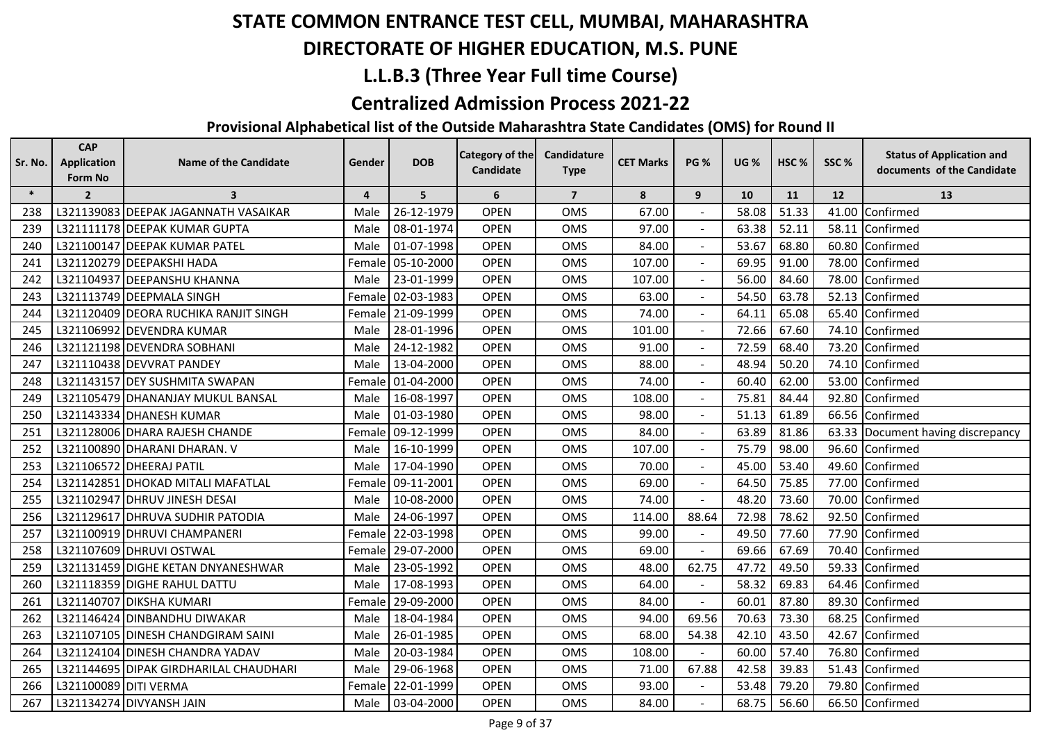## **DIRECTORATE OF HIGHER EDUCATION, M.S. PUNE**

## **L.L.B.3 (Three Year Full time Course)**

#### **Centralized Admission Process 2021-22**

| Sr. No. | <b>CAP</b><br><b>Application</b> | <b>Name of the Candidate</b>           | Gender                  | <b>DOB</b> | <b>Category of the</b> | Candidature    | <b>CET Marks</b> | <b>PG %</b>    | <b>UG %</b> | HSC <sub>%</sub> | SSC%  | <b>Status of Application and</b>  |
|---------|----------------------------------|----------------------------------------|-------------------------|------------|------------------------|----------------|------------------|----------------|-------------|------------------|-------|-----------------------------------|
|         | Form No                          |                                        |                         |            | Candidate              | <b>Type</b>    |                  |                |             |                  |       | documents of the Candidate        |
| $\ast$  | $\overline{2}$                   | $\overline{\mathbf{3}}$                | $\overline{\mathbf{4}}$ | 5          | 6                      | $\overline{7}$ | 8                | 9              | 10          | 11               | 12    | 13                                |
| 238     |                                  | L321139083 DEEPAK JAGANNATH VASAIKAR   | Male                    | 26-12-1979 | <b>OPEN</b>            | <b>OMS</b>     | 67.00            |                | 58.08       | 51.33            |       | 41.00 Confirmed                   |
| 239     |                                  | L321111178 DEEPAK KUMAR GUPTA          | Male                    | 08-01-1974 | <b>OPEN</b>            | OMS            | 97.00            |                | 63.38       | 52.11            |       | 58.11 Confirmed                   |
| 240     |                                  | L321100147 DEEPAK KUMAR PATEL          | Male                    | 01-07-1998 | <b>OPEN</b>            | OMS            | 84.00            |                | 53.67       | 68.80            |       | 60.80 Confirmed                   |
| 241     |                                  | L321120279 DEEPAKSHI HADA              | Female                  | 05-10-2000 | <b>OPEN</b>            | OMS            | 107.00           |                | 69.95       | 91.00            |       | 78.00 Confirmed                   |
| 242     |                                  | L321104937 DEEPANSHU KHANNA            | Male                    | 23-01-1999 | <b>OPEN</b>            | <b>OMS</b>     | 107.00           |                | 56.00       | 84.60            |       | 78.00 Confirmed                   |
| 243     |                                  | L321113749 DEEPMALA SINGH              | Female                  | 02-03-1983 | <b>OPEN</b>            | OMS            | 63.00            |                | 54.50       | 63.78            |       | 52.13 Confirmed                   |
| 244     |                                  | L321120409 DEORA RUCHIKA RANJIT SINGH  | Female                  | 21-09-1999 | <b>OPEN</b>            | OMS            | 74.00            |                | 64.11       | 65.08            |       | 65.40 Confirmed                   |
| 245     |                                  | L321106992 DEVENDRA KUMAR              | Male                    | 28-01-1996 | <b>OPEN</b>            | OMS            | 101.00           |                | 72.66       | 67.60            |       | 74.10 Confirmed                   |
| 246     |                                  | L321121198 DEVENDRA SOBHANI            | Male                    | 24-12-1982 | <b>OPEN</b>            | OMS            | 91.00            |                | 72.59       | 68.40            |       | 73.20 Confirmed                   |
| 247     |                                  | L321110438 DEVVRAT PANDEY              | Male                    | 13-04-2000 | <b>OPEN</b>            | OMS            | 88.00            | $\blacksquare$ | 48.94       | 50.20            |       | 74.10 Confirmed                   |
| 248     |                                  | L321143157 DEY SUSHMITA SWAPAN         | Female                  | 01-04-2000 | <b>OPEN</b>            | OMS            | 74.00            |                | 60.40       | 62.00            |       | 53.00 Confirmed                   |
| 249     |                                  | L321105479 DHANANJAY MUKUL BANSAL      | Male                    | 16-08-1997 | <b>OPEN</b>            | <b>OMS</b>     | 108.00           |                | 75.81       | 84.44            |       | 92.80 Confirmed                   |
| 250     |                                  | L321143334 DHANESH KUMAR               | Male                    | 01-03-1980 | <b>OPEN</b>            | <b>OMS</b>     | 98.00            |                | 51.13       | 61.89            |       | 66.56 Confirmed                   |
| 251     |                                  | L321128006 DHARA RAJESH CHANDE         | Female                  | 09-12-1999 | <b>OPEN</b>            | OMS            | 84.00            |                | 63.89       | 81.86            |       | 63.33 Document having discrepancy |
| 252     |                                  | L321100890 DHARANI DHARAN. V           | Male                    | 16-10-1999 | <b>OPEN</b>            | OMS            | 107.00           |                | 75.79       | 98.00            |       | 96.60 Confirmed                   |
| 253     |                                  | L321106572 DHEERAJ PATIL               | Male                    | 17-04-1990 | <b>OPEN</b>            | OMS            | 70.00            | $\overline{a}$ | 45.00       | 53.40            |       | 49.60 Confirmed                   |
| 254     |                                  | L321142851 DHOKAD MITALI MAFATLAL      | Female                  | 09-11-2001 | <b>OPEN</b>            | OMS            | 69.00            |                | 64.50       | 75.85            |       | 77.00 Confirmed                   |
| 255     |                                  | L321102947 DHRUV JINESH DESAI          | Male                    | 10-08-2000 | <b>OPEN</b>            | OMS            | 74.00            |                | 48.20       | 73.60            |       | 70.00 Confirmed                   |
| 256     |                                  | L321129617 DHRUVA SUDHIR PATODIA       | Male                    | 24-06-1997 | <b>OPEN</b>            | OMS            | 114.00           | 88.64          | 72.98       | 78.62            |       | 92.50 Confirmed                   |
| 257     |                                  | L321100919 DHRUVI CHAMPANERI           | Female                  | 22-03-1998 | <b>OPEN</b>            | <b>OMS</b>     | 99.00            |                | 49.50       | 77.60            |       | 77.90 Confirmed                   |
| 258     |                                  | L321107609 DHRUVI OSTWAL               | Female                  | 29-07-2000 | <b>OPEN</b>            | OMS            | 69.00            |                | 69.66       | 67.69            |       | 70.40 Confirmed                   |
| 259     |                                  | L321131459 DIGHE KETAN DNYANESHWAR     | Male                    | 23-05-1992 | <b>OPEN</b>            | OMS            | 48.00            | 62.75          | 47.72       | 49.50            |       | 59.33 Confirmed                   |
| 260     |                                  | L321118359 DIGHE RAHUL DATTU           | Male                    | 17-08-1993 | <b>OPEN</b>            | <b>OMS</b>     | 64.00            |                | 58.32       | 69.83            |       | 64.46 Confirmed                   |
| 261     |                                  | L321140707 DIKSHA KUMARI               | Female                  | 29-09-2000 | <b>OPEN</b>            | <b>OMS</b>     | 84.00            |                | 60.01       | 87.80            |       | 89.30 Confirmed                   |
| 262     |                                  | L321146424 DINBANDHU DIWAKAR           | Male                    | 18-04-1984 | <b>OPEN</b>            | OMS            | 94.00            | 69.56          | 70.63       | 73.30            |       | 68.25 Confirmed                   |
| 263     |                                  | L321107105 DINESH CHANDGIRAM SAINI     | Male                    | 26-01-1985 | <b>OPEN</b>            | <b>OMS</b>     | 68.00            | 54.38          | 42.10       | 43.50            | 42.67 | Confirmed                         |
| 264     |                                  | L321124104 DINESH CHANDRA YADAV        | Male                    | 20-03-1984 | <b>OPEN</b>            | OMS            | 108.00           |                | 60.00       | 57.40            |       | 76.80 Confirmed                   |
| 265     |                                  | L321144695 DIPAK GIRDHARILAL CHAUDHARI | Male                    | 29-06-1968 | <b>OPEN</b>            | OMS            | 71.00            | 67.88          | 42.58       | 39.83            |       | 51.43 Confirmed                   |
| 266     | L321100089 DITI VERMA            |                                        | Female                  | 22-01-1999 | <b>OPEN</b>            | OMS            | 93.00            |                | 53.48       | 79.20            |       | 79.80 Confirmed                   |
| 267     |                                  | L321134274 DIVYANSH JAIN               | Male                    | 03-04-2000 | <b>OPEN</b>            | <b>OMS</b>     | 84.00            |                | 68.75       | 56.60            |       | 66.50 Confirmed                   |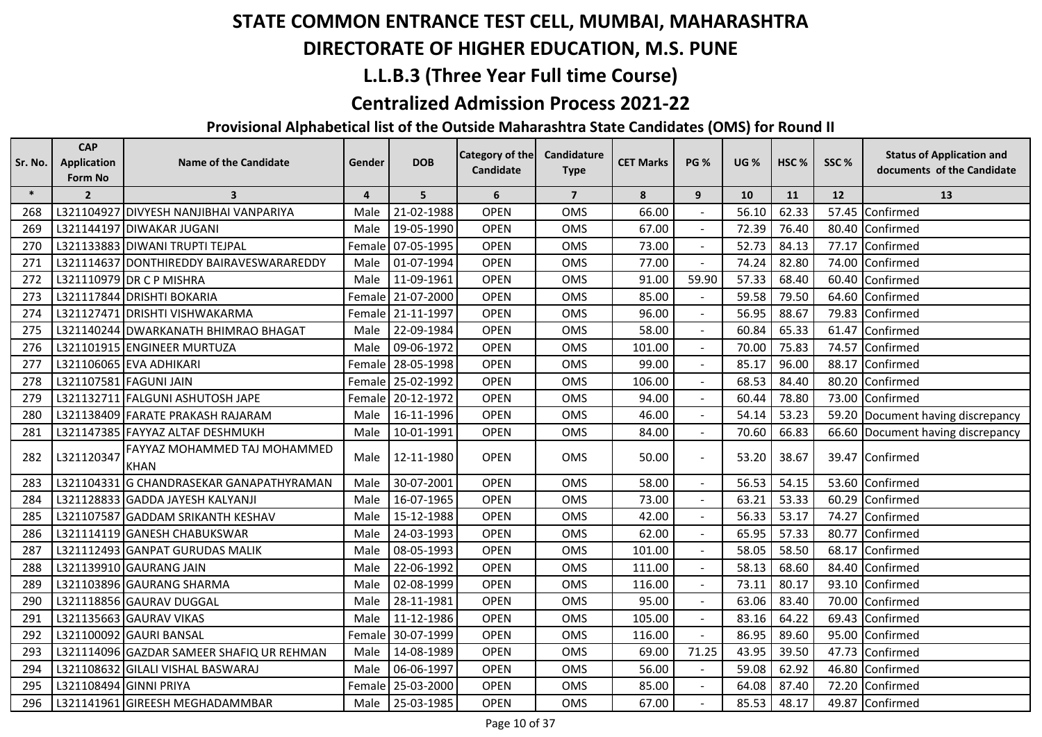## **DIRECTORATE OF HIGHER EDUCATION, M.S. PUNE**

## **L.L.B.3 (Three Year Full time Course)**

#### **Centralized Admission Process 2021-22**

| Sr. No. | <b>CAP</b><br><b>Application</b><br>Form No | <b>Name of the Candidate</b>                | Gender         | <b>DOB</b> | <b>Category of the</b><br>Candidate | Candidature<br><b>Type</b> | <b>CET Marks</b> | <b>PG %</b>    | <b>UG %</b> | HSC <sub>%</sub> | SSC%  | <b>Status of Application and</b><br>documents of the Candidate |
|---------|---------------------------------------------|---------------------------------------------|----------------|------------|-------------------------------------|----------------------------|------------------|----------------|-------------|------------------|-------|----------------------------------------------------------------|
| $\ast$  | $\overline{2}$                              | $\overline{\mathbf{3}}$                     | $\overline{4}$ | 5          | 6                                   | $\overline{7}$             | 8                | 9              | 10          | 11               | 12    | 13                                                             |
| 268     |                                             | L321104927 DIVYESH NANJIBHAI VANPARIYA      | Male           | 21-02-1988 | <b>OPEN</b>                         | <b>OMS</b>                 | 66.00            |                | 56.10       | 62.33            | 57.45 | Confirmed                                                      |
| 269     |                                             | L321144197 DIWAKAR JUGANI                   | Male           | 19-05-1990 | <b>OPEN</b>                         | <b>OMS</b>                 | 67.00            |                | 72.39       | 76.40            | 80.40 | Confirmed                                                      |
| 270     |                                             | L321133883 DIWANI TRUPTI TEJPAL             | Female         | 07-05-1995 | <b>OPEN</b>                         | OMS                        | 73.00            |                | 52.73       | 84.13            | 77.17 | Confirmed                                                      |
| 271     |                                             | L321114637 DONTHIREDDY BAIRAVESWARAREDDY    | Male           | 01-07-1994 | <b>OPEN</b>                         | <b>OMS</b>                 | 77.00            |                | 74.24       | 82.80            | 74.00 | Confirmed                                                      |
| 272     |                                             | L321110979 DR C P MISHRA                    | Male           | 11-09-1961 | <b>OPEN</b>                         | <b>OMS</b>                 | 91.00            | 59.90          | 57.33       | 68.40            | 60.40 | Confirmed                                                      |
| 273     |                                             | L321117844 DRISHTI BOKARIA                  | Female         | 21-07-2000 | <b>OPEN</b>                         | <b>OMS</b>                 | 85.00            |                | 59.58       | 79.50            | 64.60 | Confirmed                                                      |
| 274     |                                             | L321127471 DRISHTI VISHWAKARMA              | Female         | 21-11-1997 | <b>OPEN</b>                         | OMS                        | 96.00            |                | 56.95       | 88.67            | 79.83 | Confirmed                                                      |
| 275     |                                             | L321140244 DWARKANATH BHIMRAO BHAGAT        | Male           | 22-09-1984 | <b>OPEN</b>                         | <b>OMS</b>                 | 58.00            |                | 60.84       | 65.33            | 61.47 | Confirmed                                                      |
| 276     |                                             | L321101915 ENGINEER MURTUZA                 | Male           | 09-06-1972 | <b>OPEN</b>                         | OMS                        | 101.00           |                | 70.00       | 75.83            | 74.57 | Confirmed                                                      |
| 277     |                                             | L321106065 EVA ADHIKARI                     | Female         | 28-05-1998 | <b>OPEN</b>                         | OMS                        | 99.00            |                | 85.17       | 96.00            | 88.17 | Confirmed                                                      |
| 278     |                                             | L321107581 FAGUNI JAIN                      | Female         | 25-02-1992 | <b>OPEN</b>                         | <b>OMS</b>                 | 106.00           |                | 68.53       | 84.40            | 80.20 | Confirmed                                                      |
| 279     |                                             | L321132711 FALGUNI ASHUTOSH JAPE            | Female         | 20-12-1972 | <b>OPEN</b>                         | OMS                        | 94.00            |                | 60.44       | 78.80            |       | 73.00 Confirmed                                                |
| 280     |                                             | L321138409 FARATE PRAKASH RAJARAM           | Male           | 16-11-1996 | <b>OPEN</b>                         | OMS                        | 46.00            |                | 54.14       | 53.23            |       | 59.20 Document having discrepancy                              |
| 281     |                                             | L321147385 FAYYAZ ALTAF DESHMUKH            | Male           | 10-01-1991 | <b>OPEN</b>                         | <b>OMS</b>                 | 84.00            |                | 70.60       | 66.83            |       | 66.60 Document having discrepancy                              |
| 282     | L321120347                                  | FAYYAZ MOHAMMED TAJ MOHAMMED<br><b>KHAN</b> | Male           | 12-11-1980 | <b>OPEN</b>                         | OMS                        | 50.00            |                | 53.20       | 38.67            |       | 39.47 Confirmed                                                |
| 283     |                                             | L321104331 G CHANDRASEKAR GANAPATHYRAMAN    | Male           | 30-07-2001 | <b>OPEN</b>                         | OMS                        | 58.00            | $\blacksquare$ | 56.53       | 54.15            |       | 53.60 Confirmed                                                |
| 284     |                                             | L321128833 GADDA JAYESH KALYANJI            | Male           | 16-07-1965 | <b>OPEN</b>                         | OMS                        | 73.00            |                | 63.21       | 53.33            |       | 60.29 Confirmed                                                |
| 285     |                                             | L321107587 GADDAM SRIKANTH KESHAV           | Male           | 15-12-1988 | <b>OPEN</b>                         | <b>OMS</b>                 | 42.00            |                | 56.33       | 53.17            | 74.27 | Confirmed                                                      |
| 286     |                                             | L321114119 GANESH CHABUKSWAR                | Male           | 24-03-1993 | <b>OPEN</b>                         | OMS                        | 62.00            |                | 65.95       | 57.33            | 80.77 | Confirmed                                                      |
| 287     |                                             | L321112493 GANPAT GURUDAS MALIK             | Male           | 08-05-1993 | <b>OPEN</b>                         | <b>OMS</b>                 | 101.00           |                | 58.05       | 58.50            | 68.17 | Confirmed                                                      |
| 288     |                                             | L321139910 GAURANG JAIN                     | Male           | 22-06-1992 | <b>OPEN</b>                         | <b>OMS</b>                 | 111.00           |                | 58.13       | 68.60            | 84.40 | Confirmed                                                      |
| 289     |                                             | L321103896 GAURANG SHARMA                   | Male           | 02-08-1999 | <b>OPEN</b>                         | <b>OMS</b>                 | 116.00           |                | 73.11       | 80.17            | 93.10 | Confirmed                                                      |
| 290     |                                             | L321118856 GAURAV DUGGAL                    | Male           | 28-11-1981 | <b>OPEN</b>                         | <b>OMS</b>                 | 95.00            |                | 63.06       | 83.40            | 70.00 | Confirmed                                                      |
| 291     |                                             | L321135663 GAURAV VIKAS                     | Male           | 11-12-1986 | <b>OPEN</b>                         | OMS                        | 105.00           |                | 83.16       | 64.22            | 69.43 | Confirmed                                                      |
| 292     |                                             | L321100092 GAURI BANSAL                     | Female         | 30-07-1999 | <b>OPEN</b>                         | <b>OMS</b>                 | 116.00           |                | 86.95       | 89.60            | 95.00 | Confirmed                                                      |
| 293     |                                             | L321114096 GAZDAR SAMEER SHAFIQ UR REHMAN   | Male           | 14-08-1989 | <b>OPEN</b>                         | OMS                        | 69.00            | 71.25          | 43.95       | 39.50            | 47.73 | Confirmed                                                      |
| 294     |                                             | L321108632 GILALI VISHAL BASWARAJ           | Male           | 06-06-1997 | <b>OPEN</b>                         | OMS                        | 56.00            |                | 59.08       | 62.92            | 46.80 | Confirmed                                                      |
| 295     |                                             | L321108494 GINNI PRIYA                      | Female         | 25-03-2000 | <b>OPEN</b>                         | OMS                        | 85.00            |                | 64.08       | 87.40            | 72.20 | Confirmed                                                      |
| 296     |                                             | L321141961 GIREESH MEGHADAMMBAR             | Male           | 25-03-1985 | <b>OPEN</b>                         | <b>OMS</b>                 | 67.00            |                | 85.53       | 48.17            |       | 49.87 Confirmed                                                |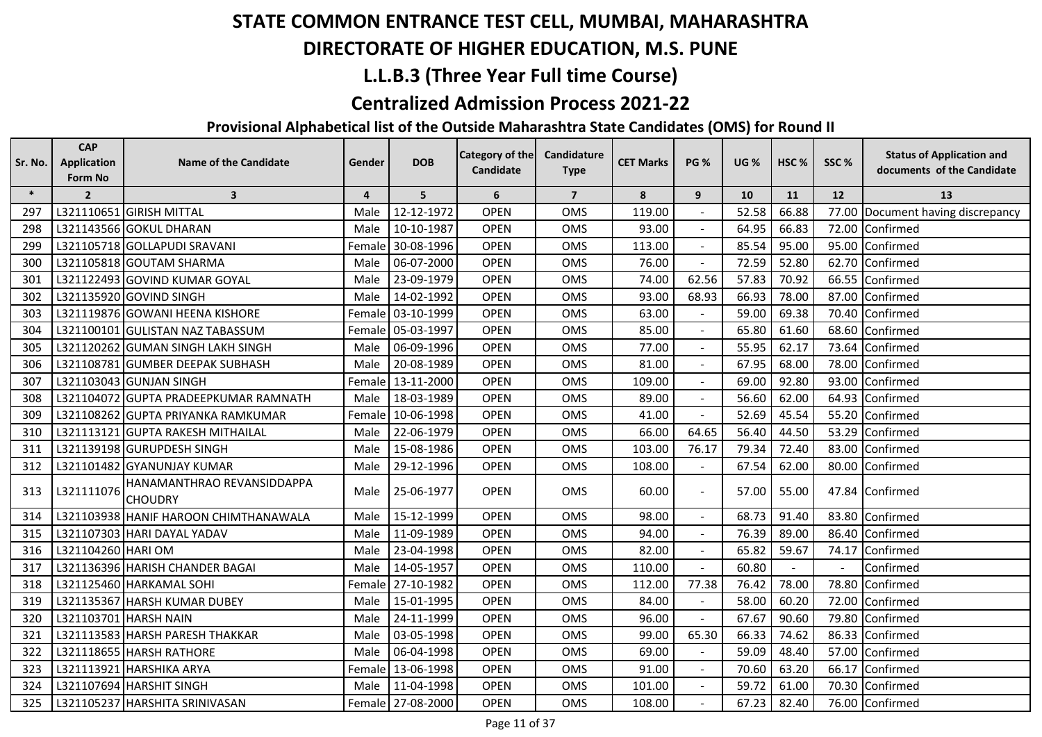## **DIRECTORATE OF HIGHER EDUCATION, M.S. PUNE**

## **L.L.B.3 (Three Year Full time Course)**

#### **Centralized Admission Process 2021-22**

| Sr. No. | <b>CAP</b><br><b>Application</b> | <b>Name of the Candidate</b>                 | Gender         | <b>DOB</b>        | Category of the<br>Candidate | Candidature<br><b>Type</b> | <b>CET Marks</b> | <b>PG %</b>    | <b>UG %</b> | HSC%  | SSC%  | <b>Status of Application and</b><br>documents of the Candidate |
|---------|----------------------------------|----------------------------------------------|----------------|-------------------|------------------------------|----------------------------|------------------|----------------|-------------|-------|-------|----------------------------------------------------------------|
|         | Form No                          |                                              |                |                   |                              |                            |                  |                |             |       |       |                                                                |
| $\ast$  | $\overline{2}$                   | $\overline{\mathbf{3}}$                      | $\overline{4}$ | 5                 | 6                            | $\overline{7}$             | 8                | 9              | 10          | 11    | 12    | 13                                                             |
| 297     |                                  | L321110651 GIRISH MITTAL                     | Male           | 12-12-1972        | <b>OPEN</b>                  | <b>OMS</b>                 | 119.00           |                | 52.58       | 66.88 |       | 77.00 Document having discrepancy                              |
| 298     |                                  | L321143566 GOKUL DHARAN                      | Male           | 10-10-1987        | <b>OPEN</b>                  | OMS                        | 93.00            |                | 64.95       | 66.83 |       | 72.00 Confirmed                                                |
| 299     |                                  | L321105718 GOLLAPUDI SRAVANI                 |                | Female 30-08-1996 | <b>OPEN</b>                  | <b>OMS</b>                 | 113.00           |                | 85.54       | 95.00 |       | 95.00 Confirmed                                                |
| 300     |                                  | L321105818 GOUTAM SHARMA                     | Male           | 06-07-2000        | <b>OPEN</b>                  | <b>OMS</b>                 | 76.00            |                | 72.59       | 52.80 | 62.70 | Confirmed                                                      |
| 301     |                                  | L321122493 GOVIND KUMAR GOYAL                | Male           | 23-09-1979        | <b>OPEN</b>                  | <b>OMS</b>                 | 74.00            | 62.56          | 57.83       | 70.92 |       | 66.55 Confirmed                                                |
| 302     |                                  | L321135920 GOVIND SINGH                      | Male           | 14-02-1992        | <b>OPEN</b>                  | <b>OMS</b>                 | 93.00            | 68.93          | 66.93       | 78.00 | 87.00 | Confirmed                                                      |
| 303     |                                  | L321119876 GOWANI HEENA KISHORE              | Female         | 03-10-1999        | <b>OPEN</b>                  | <b>OMS</b>                 | 63.00            |                | 59.00       | 69.38 | 70.40 | Confirmed                                                      |
| 304     |                                  | L321100101 GULISTAN NAZ TABASSUM             |                | Female 05-03-1997 | <b>OPEN</b>                  | <b>OMS</b>                 | 85.00            |                | 65.80       | 61.60 |       | 68.60 Confirmed                                                |
| 305     |                                  | L321120262 GUMAN SINGH LAKH SINGH            | Male           | 06-09-1996        | <b>OPEN</b>                  | <b>OMS</b>                 | 77.00            |                | 55.95       | 62.17 |       | 73.64 Confirmed                                                |
| 306     |                                  | L321108781 GUMBER DEEPAK SUBHASH             | Male           | 20-08-1989        | <b>OPEN</b>                  | OMS                        | 81.00            | $\blacksquare$ | 67.95       | 68.00 |       | 78.00 Confirmed                                                |
| 307     |                                  | L321103043 GUNJAN SINGH                      | Female         | 13-11-2000        | <b>OPEN</b>                  | <b>OMS</b>                 | 109.00           |                | 69.00       | 92.80 | 93.00 | Confirmed                                                      |
| 308     |                                  | L321104072 GUPTA PRADEEPKUMAR RAMNATH        | Male           | 18-03-1989        | <b>OPEN</b>                  | <b>OMS</b>                 | 89.00            |                | 56.60       | 62.00 |       | 64.93 Confirmed                                                |
| 309     |                                  | L321108262 GUPTA PRIYANKA RAMKUMAR           |                | Female 10-06-1998 | <b>OPEN</b>                  | <b>OMS</b>                 | 41.00            |                | 52.69       | 45.54 |       | 55.20 Confirmed                                                |
| 310     |                                  | L321113121 GUPTA RAKESH MITHAILAL            | Male           | 22-06-1979        | <b>OPEN</b>                  | <b>OMS</b>                 | 66.00            | 64.65          | 56.40       | 44.50 | 53.29 | Confirmed                                                      |
| 311     |                                  | L321139198 GURUPDESH SINGH                   | Male           | 15-08-1986        | <b>OPEN</b>                  | OMS                        | 103.00           | 76.17          | 79.34       | 72.40 | 83.00 | Confirmed                                                      |
| 312     |                                  | L321101482 GYANUNJAY KUMAR                   | Male           | 29-12-1996        | <b>OPEN</b>                  | OMS                        | 108.00           |                | 67.54       | 62.00 | 80.00 | Confirmed                                                      |
| 313     | L321111076                       | HANAMANTHRAO REVANSIDDAPPA<br><b>CHOUDRY</b> | Male           | 25-06-1977        | <b>OPEN</b>                  | <b>OMS</b>                 | 60.00            | $\blacksquare$ | 57.00       | 55.00 |       | 47.84 Confirmed                                                |
| 314     |                                  | L321103938 HANIF HAROON CHIMTHANAWALA        | Male           | 15-12-1999        | <b>OPEN</b>                  | <b>OMS</b>                 | 98.00            |                | 68.73       | 91.40 |       | 83.80 Confirmed                                                |
| 315     |                                  | L321107303 HARI DAYAL YADAV                  | Male           | 11-09-1989        | <b>OPEN</b>                  | <b>OMS</b>                 | 94.00            |                | 76.39       | 89.00 |       | 86.40 Confirmed                                                |
| 316     | L321104260 HARI OM               |                                              | Male           | 23-04-1998        | <b>OPEN</b>                  | <b>OMS</b>                 | 82.00            |                | 65.82       | 59.67 | 74.17 | Confirmed                                                      |
| 317     |                                  | L321136396 HARISH CHANDER BAGAI              | Male           | 14-05-1957        | <b>OPEN</b>                  | <b>OMS</b>                 | 110.00           |                | 60.80       |       |       | Confirmed                                                      |
| 318     |                                  | L321125460 HARKAMAL SOHI                     |                | Female 27-10-1982 | <b>OPEN</b>                  | <b>OMS</b>                 | 112.00           | 77.38          | 76.42       | 78.00 | 78.80 | Confirmed                                                      |
| 319     |                                  | L321135367 HARSH KUMAR DUBEY                 | Male           | 15-01-1995        | <b>OPEN</b>                  | OMS                        | 84.00            |                | 58.00       | 60.20 | 72.00 | Confirmed                                                      |
| 320     |                                  | L321103701 HARSH NAIN                        | Male           | 24-11-1999        | <b>OPEN</b>                  | OMS                        | 96.00            | $\blacksquare$ | 67.67       | 90.60 | 79.80 | Confirmed                                                      |
| 321     |                                  | L321113583 HARSH PARESH THAKKAR              | Male           | 03-05-1998        | <b>OPEN</b>                  | <b>OMS</b>                 | 99.00            | 65.30          | 66.33       | 74.62 |       | 86.33 Confirmed                                                |
| 322     |                                  | L321118655 HARSH RATHORE                     | Male           | 06-04-1998        | <b>OPEN</b>                  | <b>OMS</b>                 | 69.00            |                | 59.09       | 48.40 |       | 57.00 Confirmed                                                |
| 323     |                                  | L321113921 HARSHIKA ARYA                     |                | Female 13-06-1998 | <b>OPEN</b>                  | OMS                        | 91.00            |                | 70.60       | 63.20 |       | 66.17 Confirmed                                                |
| 324     |                                  | L321107694 HARSHIT SINGH                     | Male           | 11-04-1998        | <b>OPEN</b>                  | OMS                        | 101.00           |                | 59.72       | 61.00 |       | 70.30 Confirmed                                                |
| 325     |                                  | L321105237 HARSHITA SRINIVASAN               |                | Female 27-08-2000 | <b>OPEN</b>                  | <b>OMS</b>                 | 108.00           |                | 67.23       | 82.40 |       | 76.00 Confirmed                                                |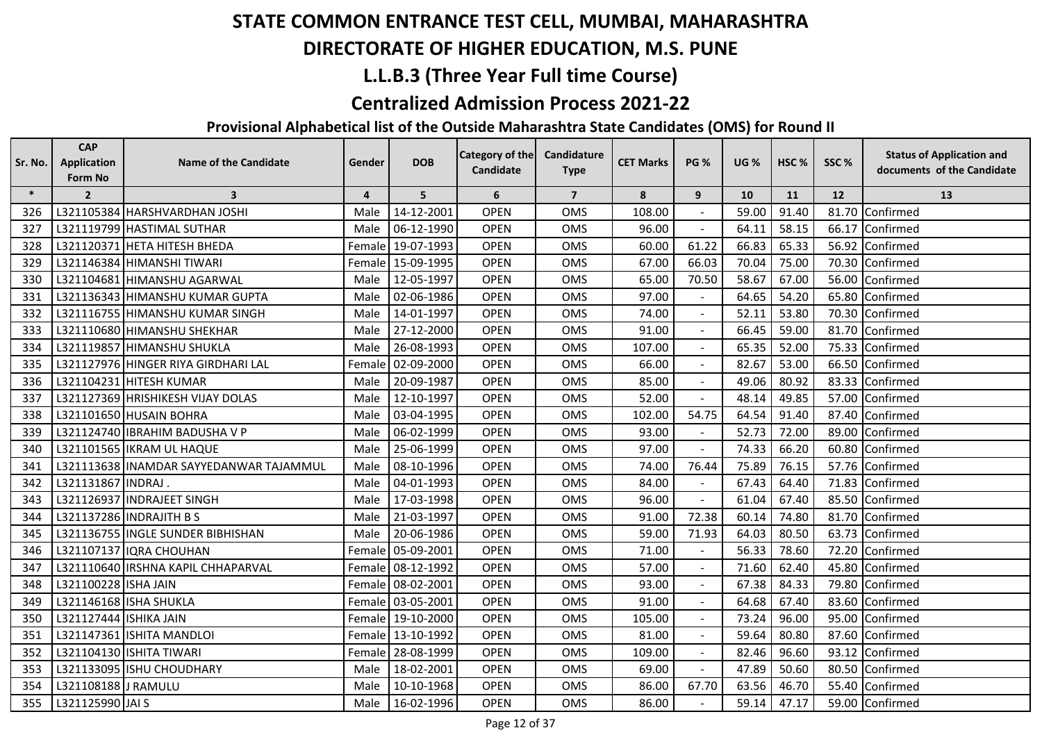## **DIRECTORATE OF HIGHER EDUCATION, M.S. PUNE**

## **L.L.B.3 (Three Year Full time Course)**

#### **Centralized Admission Process 2021-22**

| Sr. No. | <b>CAP</b><br><b>Application</b> | <b>Name of the Candidate</b>            | Gender         | <b>DOB</b>        | <b>Category of the</b> | Candidature    | <b>CET Marks</b> | <b>PG %</b>    | <b>UG %</b> | HSC <sub>%</sub> | SSC% | <b>Status of Application and</b> |
|---------|----------------------------------|-----------------------------------------|----------------|-------------------|------------------------|----------------|------------------|----------------|-------------|------------------|------|----------------------------------|
|         | Form No                          |                                         |                |                   | <b>Candidate</b>       | <b>Type</b>    |                  |                |             |                  |      | documents of the Candidate       |
| $\ast$  | $\overline{2}$                   | $\overline{\mathbf{3}}$                 | $\overline{4}$ | 5                 | 6                      | $\overline{7}$ | 8                | 9              | 10          | 11               | 12   | 13                               |
| 326     |                                  | L321105384 HARSHVARDHAN JOSHI           | Male           | 14-12-2001        | <b>OPEN</b>            | <b>OMS</b>     | 108.00           |                | 59.00       | 91.40            |      | 81.70 Confirmed                  |
| 327     |                                  | L321119799 HASTIMAL SUTHAR              | Male           | 06-12-1990        | <b>OPEN</b>            | <b>OMS</b>     | 96.00            |                | 64.11       | 58.15            |      | 66.17 Confirmed                  |
| 328     |                                  | L321120371 HETA HITESH BHEDA            | Female         | 19-07-1993        | <b>OPEN</b>            | OMS            | 60.00            | 61.22          | 66.83       | 65.33            |      | 56.92 Confirmed                  |
| 329     |                                  | L321146384 HIMANSHI TIWARI              | Female         | 15-09-1995        | <b>OPEN</b>            | OMS            | 67.00            | 66.03          | 70.04       | 75.00            |      | 70.30 Confirmed                  |
| 330     |                                  | L321104681 HIMANSHU AGARWAL             | Male           | 12-05-1997        | <b>OPEN</b>            | <b>OMS</b>     | 65.00            | 70.50          | 58.67       | 67.00            |      | 56.00 Confirmed                  |
| 331     |                                  | L321136343 HIMANSHU KUMAR GUPTA         | Male           | 02-06-1986        | <b>OPEN</b>            | <b>OMS</b>     | 97.00            |                | 64.65       | 54.20            |      | 65.80 Confirmed                  |
| 332     |                                  | L321116755 HIMANSHU KUMAR SINGH         | Male           | 14-01-1997        | <b>OPEN</b>            | OMS            | 74.00            |                | 52.11       | 53.80            |      | 70.30 Confirmed                  |
| 333     |                                  | L321110680 HIMANSHU SHEKHAR             | Male           | 27-12-2000        | <b>OPEN</b>            | OMS            | 91.00            |                | 66.45       | 59.00            |      | 81.70 Confirmed                  |
| 334     |                                  | L321119857 HIMANSHU SHUKLA              | Male           | 26-08-1993        | <b>OPEN</b>            | OMS            | 107.00           |                | 65.35       | 52.00            |      | 75.33 Confirmed                  |
| 335     |                                  | L321127976 HINGER RIYA GIRDHARI LAL     | Female         | 02-09-2000        | <b>OPEN</b>            | <b>OMS</b>     | 66.00            | $\blacksquare$ | 82.67       | 53.00            |      | 66.50 Confirmed                  |
| 336     |                                  | L321104231 HITESH KUMAR                 | Male           | 20-09-1987        | <b>OPEN</b>            | OMS            | 85.00            |                | 49.06       | 80.92            |      | 83.33 Confirmed                  |
| 337     |                                  | L321127369 HRISHIKESH VIJAY DOLAS       | Male           | 12-10-1997        | <b>OPEN</b>            | OMS            | 52.00            |                | 48.14       | 49.85            |      | 57.00 Confirmed                  |
| 338     |                                  | L321101650 HUSAIN BOHRA                 | Male           | 03-04-1995        | <b>OPEN</b>            | <b>OMS</b>     | 102.00           | 54.75          | 64.54       | 91.40            |      | 87.40 Confirmed                  |
| 339     |                                  | L321124740 IBRAHIM BADUSHA V P          | Male           | 06-02-1999        | <b>OPEN</b>            | OMS            | 93.00            |                | 52.73       | 72.00            |      | 89.00 Confirmed                  |
| 340     |                                  | L321101565 IKRAM UL HAQUE               | Male           | 25-06-1999        | <b>OPEN</b>            | <b>OMS</b>     | 97.00            | $\blacksquare$ | 74.33       | 66.20            |      | 60.80 Confirmed                  |
| 341     |                                  | L321113638 INAMDAR SAYYEDANWAR TAJAMMUL | Male           | 08-10-1996        | <b>OPEN</b>            | <b>OMS</b>     | 74.00            | 76.44          | 75.89       | 76.15            |      | 57.76 Confirmed                  |
| 342     | L321131867 INDRAJ.               |                                         | Male           | 04-01-1993        | <b>OPEN</b>            | <b>OMS</b>     | 84.00            |                | 67.43       | 64.40            |      | 71.83 Confirmed                  |
| 343     |                                  | L321126937 INDRAJEET SINGH              | Male           | 17-03-1998        | <b>OPEN</b>            | <b>OMS</b>     | 96.00            |                | 61.04       | 67.40            |      | 85.50 Confirmed                  |
| 344     |                                  | L321137286 INDRAJITH B S                | Male           | 21-03-1997        | <b>OPEN</b>            | <b>OMS</b>     | 91.00            | 72.38          | 60.14       | 74.80            |      | 81.70 Confirmed                  |
| 345     |                                  | L321136755 INGLE SUNDER BIBHISHAN       | Male           | 20-06-1986        | <b>OPEN</b>            | OMS            | 59.00            | 71.93          | 64.03       | 80.50            |      | 63.73 Confirmed                  |
| 346     |                                  | L321107137 IQRA CHOUHAN                 | Female         | 05-09-2001        | <b>OPEN</b>            | <b>OMS</b>     | 71.00            |                | 56.33       | 78.60            |      | 72.20 Confirmed                  |
| 347     |                                  | L321110640 IRSHNA KAPIL CHHAPARVAL      |                | Female 08-12-1992 | <b>OPEN</b>            | <b>OMS</b>     | 57.00            | $\blacksquare$ | 71.60       | 62.40            |      | 45.80 Confirmed                  |
| 348     | L321100228 ISHA JAIN             |                                         |                | Female 08-02-2001 | <b>OPEN</b>            | <b>OMS</b>     | 93.00            |                | 67.38       | 84.33            |      | 79.80 Confirmed                  |
| 349     |                                  | L321146168 ISHA SHUKLA                  |                | Female 03-05-2001 | <b>OPEN</b>            | <b>OMS</b>     | 91.00            |                | 64.68       | 67.40            |      | 83.60 Confirmed                  |
| 350     | L321127444 ISHIKA JAIN           |                                         | Female         | 19-10-2000        | <b>OPEN</b>            | OMS            | 105.00           | ۰              | 73.24       | 96.00            |      | 95.00 Confirmed                  |
| 351     |                                  | L321147361 ISHITA MANDLOI               | Female         | 13-10-1992        | <b>OPEN</b>            | OMS            | 81.00            |                | 59.64       | 80.80            |      | 87.60 Confirmed                  |
| 352     |                                  | L321104130 ISHITA TIWARI                |                | Female 28-08-1999 | <b>OPEN</b>            | <b>OMS</b>     | 109.00           | $\blacksquare$ | 82.46       | 96.60            |      | 93.12 Confirmed                  |
| 353     |                                  | L321133095 ISHU CHOUDHARY               | Male           | 18-02-2001        | <b>OPEN</b>            | OMS            | 69.00            |                | 47.89       | 50.60            |      | 80.50 Confirmed                  |
| 354     | L321108188 J RAMULU              |                                         | Male           | 10-10-1968        | <b>OPEN</b>            | <b>OMS</b>     | 86.00            | 67.70          | 63.56       | 46.70            |      | 55.40 Confirmed                  |
| 355     | L321125990 JAI S                 |                                         | Male           | 16-02-1996        | <b>OPEN</b>            | <b>OMS</b>     | 86.00            |                | 59.14       | 47.17            |      | 59.00 Confirmed                  |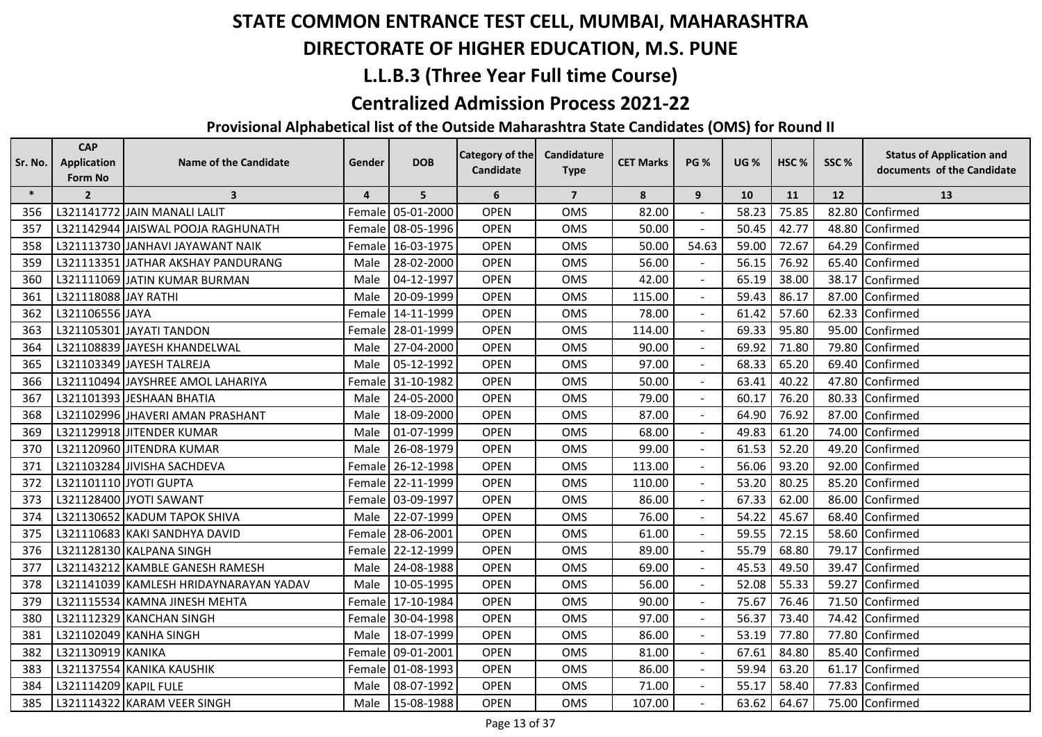## **DIRECTORATE OF HIGHER EDUCATION, M.S. PUNE**

## **L.L.B.3 (Three Year Full time Course)**

#### **Centralized Admission Process 2021-22**

| Sr. No. | <b>CAP</b><br><b>Application</b> | <b>Name of the Candidate</b>           | Gender         | <b>DOB</b>        | Category of the | Candidature    | <b>CET Marks</b> | <b>PG %</b>              | <b>UG %</b> | HSC <sub>%</sub> | SSC%      | <b>Status of Application and</b> |
|---------|----------------------------------|----------------------------------------|----------------|-------------------|-----------------|----------------|------------------|--------------------------|-------------|------------------|-----------|----------------------------------|
|         | Form No                          |                                        |                |                   | Candidate       | <b>Type</b>    |                  |                          |             |                  |           | documents of the Candidate       |
| $\ast$  | $\overline{2}$                   | $\overline{\mathbf{3}}$                | $\overline{4}$ | 5                 | 6               | $\overline{7}$ | 8                | 9                        | 10          | 11               | <b>12</b> | 13                               |
| 356     |                                  | L321141772 JAIN MANALI LALIT           | Female         | 05-01-2000        | <b>OPEN</b>     | <b>OMS</b>     | 82.00            |                          | 58.23       | 75.85            |           | 82.80 Confirmed                  |
| 357     |                                  | L321142944 JAISWAL POOJA RAGHUNATH     | Female         | 08-05-1996        | <b>OPEN</b>     | OMS            | 50.00            |                          | 50.45       | 42.77            |           | 48.80 Confirmed                  |
| 358     |                                  | L321113730 JANHAVI JAYAWANT NAIK       |                | Female 16-03-1975 | <b>OPEN</b>     | <b>OMS</b>     | 50.00            | 54.63                    | 59.00       | 72.67            |           | 64.29 Confirmed                  |
| 359     |                                  | L321113351 JATHAR AKSHAY PANDURANG     | Male           | 28-02-2000        | <b>OPEN</b>     | <b>OMS</b>     | 56.00            |                          | 56.15       | 76.92            |           | 65.40 Confirmed                  |
| 360     |                                  | L321111069 JJATIN KUMAR BURMAN         | Male           | 04-12-1997        | <b>OPEN</b>     | <b>OMS</b>     | 42.00            |                          | 65.19       | 38.00            |           | 38.17 Confirmed                  |
| 361     | L321118088 JAY RATHI             |                                        | Male           | 20-09-1999        | <b>OPEN</b>     | <b>OMS</b>     | 115.00           |                          | 59.43       | 86.17            |           | 87.00 Confirmed                  |
| 362     | L321106556 JAYA                  |                                        | Female         | 14-11-1999        | <b>OPEN</b>     | <b>OMS</b>     | 78.00            |                          | 61.42       | 57.60            |           | 62.33 Confirmed                  |
| 363     |                                  | L321105301 JAYATI TANDON               | Female         | 28-01-1999        | <b>OPEN</b>     | <b>OMS</b>     | 114.00           |                          | 69.33       | 95.80            |           | 95.00 Confirmed                  |
| 364     |                                  | L321108839 JAYESH KHANDELWAL           | Male           | 27-04-2000        | <b>OPEN</b>     | <b>OMS</b>     | 90.00            |                          | 69.92       | 71.80            |           | 79.80 Confirmed                  |
| 365     |                                  | L321103349 JAYESH TALREJA              | Male           | 05-12-1992        | <b>OPEN</b>     | OMS            | 97.00            | $\blacksquare$           | 68.33       | 65.20            |           | 69.40 Confirmed                  |
| 366     |                                  | L321110494 JAYSHREE AMOL LAHARIYA      | Female         | 31-10-1982        | <b>OPEN</b>     | <b>OMS</b>     | 50.00            |                          | 63.41       | 40.22            |           | 47.80 Confirmed                  |
| 367     |                                  | L321101393 JESHAAN BHATIA              | Male           | 24-05-2000        | <b>OPEN</b>     | <b>OMS</b>     | 79.00            |                          | 60.17       | 76.20            |           | 80.33 Confirmed                  |
| 368     |                                  | L321102996 JHAVERI AMAN PRASHANT       | Male           | 18-09-2000        | <b>OPEN</b>     | <b>OMS</b>     | 87.00            |                          | 64.90       | 76.92            |           | 87.00 Confirmed                  |
| 369     |                                  | L321129918 JITENDER KUMAR              | Male           | 01-07-1999        | <b>OPEN</b>     | <b>OMS</b>     | 68.00            |                          | 49.83       | 61.20            |           | 74.00 Confirmed                  |
| 370     |                                  | L321120960 JITENDRA KUMAR              | Male           | 26-08-1979        | <b>OPEN</b>     | <b>OMS</b>     | 99.00            | $\blacksquare$           | 61.53       | 52.20            |           | 49.20 Confirmed                  |
| 371     |                                  | L321103284 JIVISHA SACHDEVA            | Female         | 26-12-1998        | <b>OPEN</b>     | <b>OMS</b>     | 113.00           | $\overline{\phantom{a}}$ | 56.06       | 93.20            |           | 92.00 Confirmed                  |
| 372     |                                  | L321101110 JYOTI GUPTA                 | Female         | 22-11-1999        | <b>OPEN</b>     | OMS            | 110.00           |                          | 53.20       | 80.25            |           | 85.20 Confirmed                  |
| 373     |                                  | L321128400 JYOTI SAWANT                |                | Female 03-09-1997 | <b>OPEN</b>     | <b>OMS</b>     | 86.00            |                          | 67.33       | 62.00            |           | 86.00 Confirmed                  |
| 374     |                                  | L321130652 KADUM TAPOK SHIVA           | Male           | 22-07-1999        | <b>OPEN</b>     | <b>OMS</b>     | 76.00            |                          | 54.22       | 45.67            |           | 68.40 Confirmed                  |
| 375     |                                  | L321110683 KAKI SANDHYA DAVID          | Female         | 28-06-2001        | <b>OPEN</b>     | <b>OMS</b>     | 61.00            |                          | 59.55       | 72.15            |           | 58.60 Confirmed                  |
| 376     |                                  | L321128130 KALPANA SINGH               | Female         | 22-12-1999        | <b>OPEN</b>     | OMS            | 89.00            |                          | 55.79       | 68.80            |           | 79.17 Confirmed                  |
| 377     |                                  | L321143212 KAMBLE GANESH RAMESH        | Male           | 24-08-1988        | <b>OPEN</b>     | OMS            | 69.00            |                          | 45.53       | 49.50            |           | 39.47 Confirmed                  |
| 378     |                                  | L321141039 KAMLESH HRIDAYNARAYAN YADAV | Male           | 10-05-1995        | <b>OPEN</b>     | <b>OMS</b>     | 56.00            |                          | 52.08       | 55.33            |           | 59.27 Confirmed                  |
| 379     |                                  | L321115534 KAMNA JINESH MEHTA          | Female         | 17-10-1984        | <b>OPEN</b>     | <b>OMS</b>     | 90.00            |                          | 75.67       | 76.46            |           | 71.50 Confirmed                  |
| 380     |                                  | L321112329 KANCHAN SINGH               | Female         | 30-04-1998        | <b>OPEN</b>     | OMS            | 97.00            | $\mathbf{r}$             | 56.37       | 73.40            |           | 74.42 Confirmed                  |
| 381     |                                  | L321102049 KANHA SINGH                 | Male           | 18-07-1999        | <b>OPEN</b>     | <b>OMS</b>     | 86.00            | $\blacksquare$           | 53.19       | 77.80            |           | 77.80 Confirmed                  |
| 382     | L321130919 KANIKA                |                                        | Female         | 09-01-2001        | <b>OPEN</b>     | <b>OMS</b>     | 81.00            |                          | 67.61       | 84.80            |           | 85.40 Confirmed                  |
| 383     |                                  | L321137554 KANIKA KAUSHIK              |                | Female 01-08-1993 | <b>OPEN</b>     | <b>OMS</b>     | 86.00            |                          | 59.94       | 63.20            |           | 61.17 Confirmed                  |
| 384     | L321114209 KAPIL FULE            |                                        | Male           | 08-07-1992        | <b>OPEN</b>     | <b>OMS</b>     | 71.00            |                          | 55.17       | 58.40            |           | 77.83 Confirmed                  |
| 385     |                                  | L321114322 KARAM VEER SINGH            | Male           | 15-08-1988        | <b>OPEN</b>     | <b>OMS</b>     | 107.00           |                          | 63.62       | 64.67            |           | 75.00 Confirmed                  |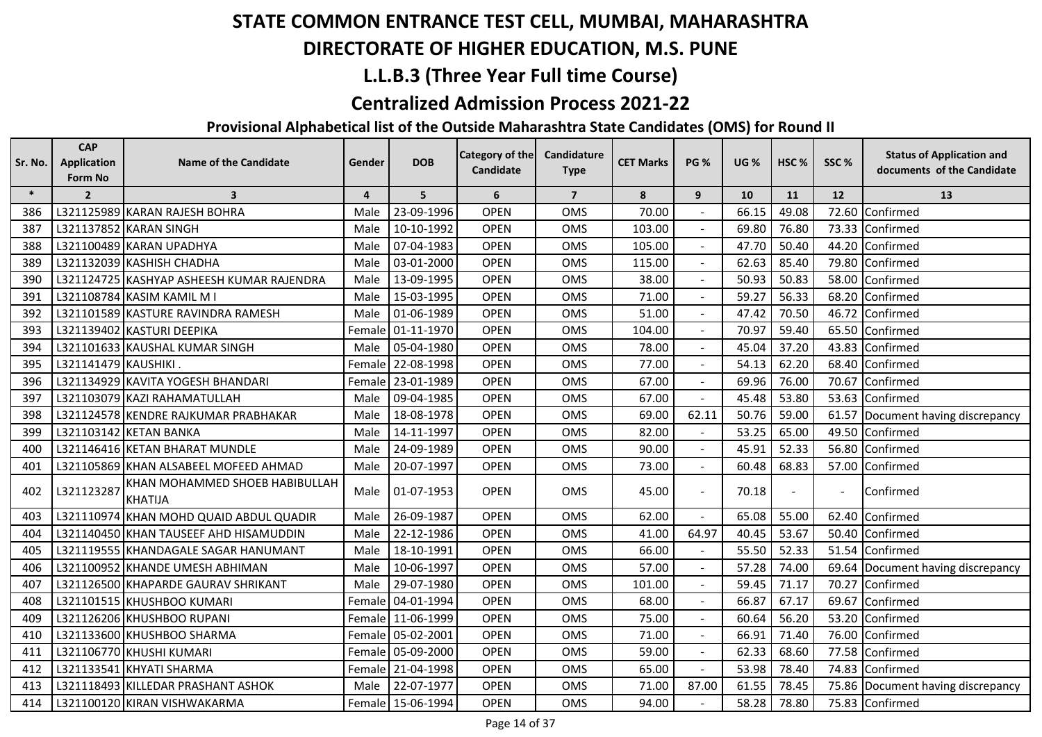## **DIRECTORATE OF HIGHER EDUCATION, M.S. PUNE**

## **L.L.B.3 (Three Year Full time Course)**

#### **Centralized Admission Process 2021-22**

| Sr. No. | <b>CAP</b><br><b>Application</b><br>Form No | <b>Name of the Candidate</b>                     | Gender         | <b>DOB</b>        | <b>Category of the</b><br>Candidate | Candidature<br><b>Type</b> | <b>CET Marks</b> | <b>PG %</b>    | <b>UG %</b> | HSC%           | SSC%  | <b>Status of Application and</b><br>documents of the Candidate |
|---------|---------------------------------------------|--------------------------------------------------|----------------|-------------------|-------------------------------------|----------------------------|------------------|----------------|-------------|----------------|-------|----------------------------------------------------------------|
| $\ast$  | $\overline{2}$                              | $\overline{\mathbf{3}}$                          | $\overline{4}$ | 5                 | 6                                   | $\overline{7}$             | 8                | 9              | 10          | 11             | 12    | 13                                                             |
| 386     |                                             | L321125989 KARAN RAJESH BOHRA                    | Male           | 23-09-1996        | <b>OPEN</b>                         | <b>OMS</b>                 | 70.00            |                | 66.15       | 49.08          | 72.60 | Confirmed                                                      |
| 387     |                                             | L321137852 KARAN SINGH                           | Male           | 10-10-1992        | <b>OPEN</b>                         | <b>OMS</b>                 | 103.00           |                | 69.80       | 76.80          | 73.33 | Confirmed                                                      |
| 388     |                                             | L321100489 KARAN UPADHYA                         | Male           | 07-04-1983        | <b>OPEN</b>                         | <b>OMS</b>                 | 105.00           |                | 47.70       | 50.40          | 44.20 | Confirmed                                                      |
| 389     |                                             | L321132039 KASHISH CHADHA                        | Male           | 03-01-2000        | <b>OPEN</b>                         | <b>OMS</b>                 | 115.00           |                | 62.63       | 85.40          | 79.80 | Confirmed                                                      |
| 390     |                                             | L321124725 KASHYAP ASHEESH KUMAR RAJENDRA        | Male           | 13-09-1995        | <b>OPEN</b>                         | OMS                        | 38.00            | $\blacksquare$ | 50.93       | 50.83          | 58.00 | Confirmed                                                      |
| 391     |                                             | L321108784 KASIM KAMIL MI                        | Male           | 15-03-1995        | <b>OPEN</b>                         | <b>OMS</b>                 | 71.00            | $\blacksquare$ | 59.27       | 56.33          | 68.20 | Confirmed                                                      |
| 392     |                                             | L321101589 KASTURE RAVINDRA RAMESH               | Male           | 01-06-1989        | <b>OPEN</b>                         | <b>OMS</b>                 | 51.00            |                | 47.42       | 70.50          | 46.72 | Confirmed                                                      |
| 393     |                                             | L321139402 KASTURI DEEPIKA                       | Female         | 01-11-1970        | <b>OPEN</b>                         | <b>OMS</b>                 | 104.00           |                | 70.97       | 59.40          |       | 65.50 Confirmed                                                |
| 394     |                                             | L321101633 KAUSHAL KUMAR SINGH                   | Male           | 05-04-1980        | <b>OPEN</b>                         | OMS                        | 78.00            |                | 45.04       | 37.20          | 43.83 | Confirmed                                                      |
| 395     | L321141479 KAUSHIKI.                        |                                                  | Female         | 22-08-1998        | <b>OPEN</b>                         | <b>OMS</b>                 | 77.00            | $\sim$         | 54.13       | 62.20          | 68.40 | Confirmed                                                      |
| 396     |                                             | L321134929 KAVITA YOGESH BHANDARI                | Female         | 23-01-1989        | <b>OPEN</b>                         | <b>OMS</b>                 | 67.00            |                | 69.96       | 76.00          | 70.67 | Confirmed                                                      |
| 397     |                                             | L321103079 KAZI RAHAMATULLAH                     | Male           | 09-04-1985        | <b>OPEN</b>                         | <b>OMS</b>                 | 67.00            |                | 45.48       | 53.80          |       | 53.63 Confirmed                                                |
| 398     |                                             | L321124578 KENDRE RAJKUMAR PRABHAKAR             | Male           | 18-08-1978        | <b>OPEN</b>                         | <b>OMS</b>                 | 69.00            | 62.11          | 50.76       | 59.00          |       | 61.57 Document having discrepancy                              |
| 399     |                                             | L321103142 KETAN BANKA                           | Male           | 14-11-1997        | <b>OPEN</b>                         | <b>OMS</b>                 | 82.00            |                | 53.25       | 65.00          | 49.50 | Confirmed                                                      |
| 400     |                                             | L321146416 KETAN BHARAT MUNDLE                   | Male           | 24-09-1989        | <b>OPEN</b>                         | OMS                        | 90.00            | $\sim$         | 45.91       | 52.33          | 56.80 | Confirmed                                                      |
| 401     |                                             | L321105869 KHAN ALSABEEL MOFEED AHMAD            | Male           | 20-07-1997        | <b>OPEN</b>                         | <b>OMS</b>                 | 73.00            | $\blacksquare$ | 60.48       | 68.83          | 57.00 | Confirmed                                                      |
| 402     | L321123287                                  | KHAN MOHAMMED SHOEB HABIBULLAH<br><b>KHATIJA</b> | Male           | 01-07-1953        | <b>OPEN</b>                         | OMS                        | 45.00            |                | 70.18       | $\blacksquare$ |       | Confirmed                                                      |
| 403     |                                             | L321110974 KHAN MOHD QUAID ABDUL QUADIR          | Male           | 26-09-1987        | <b>OPEN</b>                         | <b>OMS</b>                 | 62.00            |                | 65.08       | 55.00          | 62.40 | Confirmed                                                      |
| 404     |                                             | L321140450 KHAN TAUSEEF AHD HISAMUDDIN           | Male           | 22-12-1986        | <b>OPEN</b>                         | <b>OMS</b>                 | 41.00            | 64.97          | 40.45       | 53.67          |       | 50.40 Confirmed                                                |
| 405     |                                             | L321119555 KHANDAGALE SAGAR HANUMANT             | Male           | 18-10-1991        | <b>OPEN</b>                         | <b>OMS</b>                 | 66.00            |                | 55.50       | 52.33          | 51.54 | Confirmed                                                      |
| 406     |                                             | L321100952 KHANDE UMESH ABHIMAN                  | Male           | 10-06-1997        | <b>OPEN</b>                         | <b>OMS</b>                 | 57.00            |                | 57.28       | 74.00          | 69.64 | Document having discrepancy                                    |
| 407     |                                             | L321126500 KHAPARDE GAURAV SHRIKANT              | Male           | 29-07-1980        | <b>OPEN</b>                         | <b>OMS</b>                 | 101.00           |                | 59.45       | 71.17          | 70.27 | Confirmed                                                      |
| 408     |                                             | L321101515 KHUSHBOO KUMARI                       | Female         | 04-01-1994        | <b>OPEN</b>                         | <b>OMS</b>                 | 68.00            |                | 66.87       | 67.17          | 69.67 | Confirmed                                                      |
| 409     |                                             | L321126206 KHUSHBOO RUPANI                       | Female         | 11-06-1999        | <b>OPEN</b>                         | <b>OMS</b>                 | 75.00            |                | 60.64       | 56.20          | 53.20 | Confirmed                                                      |
| 410     |                                             | L321133600 KHUSHBOO SHARMA                       | Female         | 05-02-2001        | <b>OPEN</b>                         | OMS                        | 71.00            |                | 66.91       | 71.40          | 76.00 | Confirmed                                                      |
| 411     |                                             | L321106770 KHUSHI KUMARI                         | Female         | 05-09-2000        | <b>OPEN</b>                         | <b>OMS</b>                 | 59.00            |                | 62.33       | 68.60          |       | 77.58 Confirmed                                                |
| 412     |                                             | L321133541 KHYATI SHARMA                         |                | Female 21-04-1998 | <b>OPEN</b>                         | OMS                        | 65.00            |                | 53.98       | 78.40          |       | 74.83 Confirmed                                                |
| 413     |                                             | L321118493 KILLEDAR PRASHANT ASHOK               | Male           | 22-07-1977        | <b>OPEN</b>                         | OMS                        | 71.00            | 87.00          | 61.55       | 78.45          |       | 75.86 Document having discrepancy                              |
| 414     |                                             | L321100120 KIRAN VISHWAKARMA                     |                | Female 15-06-1994 | <b>OPEN</b>                         | <b>OMS</b>                 | 94.00            |                | 58.28       | 78.80          |       | 75.83 Confirmed                                                |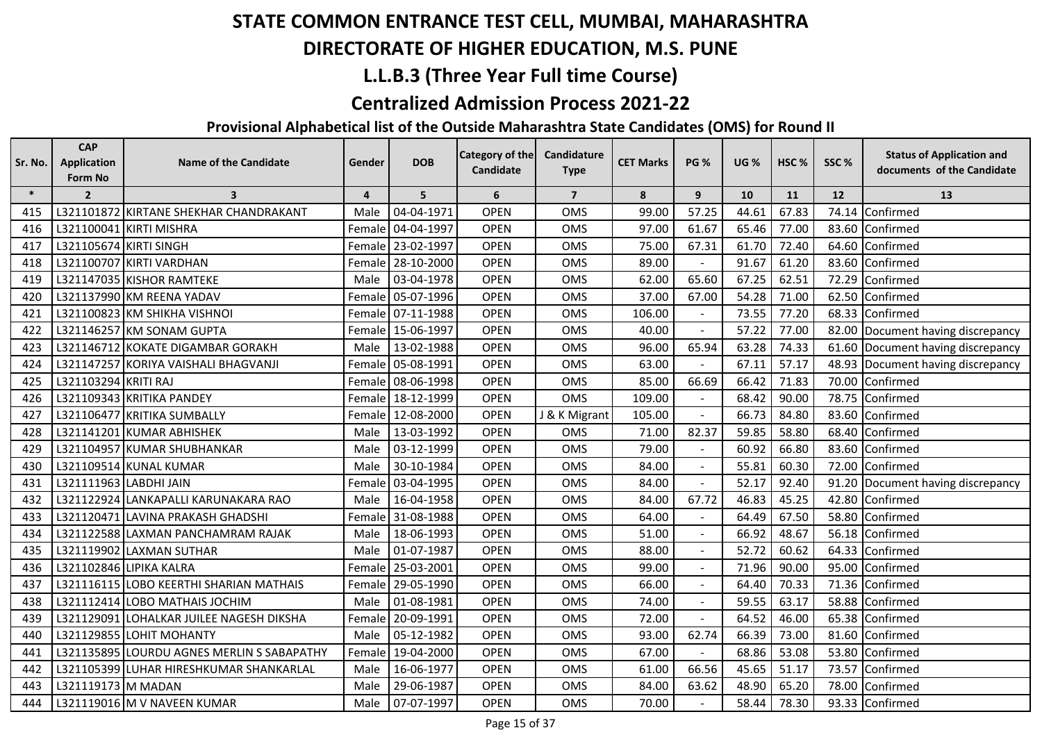## **DIRECTORATE OF HIGHER EDUCATION, M.S. PUNE**

## **L.L.B.3 (Three Year Full time Course)**

#### **Centralized Admission Process 2021-22**

| Sr. No. | <b>CAP</b><br><b>Application</b> | <b>Name of the Candidate</b>               | Gender         | <b>DOB</b>        | <b>Category of the</b> | Candidature    | <b>CET Marks</b> | <b>PG %</b>    | <b>UG %</b> | HSC <sub>%</sub> | SSC%  | <b>Status of Application and</b>  |
|---------|----------------------------------|--------------------------------------------|----------------|-------------------|------------------------|----------------|------------------|----------------|-------------|------------------|-------|-----------------------------------|
|         | Form No                          |                                            |                |                   | Candidate              | <b>Type</b>    |                  |                |             |                  |       | documents of the Candidate        |
| $\ast$  | $\overline{2}$                   | $\overline{\mathbf{3}}$                    | $\overline{4}$ | 5                 | 6                      | $\overline{7}$ | 8                | 9              | 10          | 11               | 12    | 13                                |
| 415     |                                  | L321101872 KIRTANE SHEKHAR CHANDRAKANT     | Male           | 04-04-1971        | <b>OPEN</b>            | <b>OMS</b>     | 99.00            | 57.25          | 44.61       | 67.83            | 74.14 | Confirmed                         |
| 416     |                                  | L321100041 KIRTI MISHRA                    | Female         | 04-04-1997        | <b>OPEN</b>            | <b>OMS</b>     | 97.00            | 61.67          | 65.46       | 77.00            |       | 83.60 Confirmed                   |
| 417     | L321105674 KIRTI SINGH           |                                            |                | Female 23-02-1997 | <b>OPEN</b>            | <b>OMS</b>     | 75.00            | 67.31          | 61.70       | 72.40            |       | 64.60 Confirmed                   |
| 418     |                                  | L321100707 KIRTI VARDHAN                   | Female         | 28-10-2000        | <b>OPEN</b>            | <b>OMS</b>     | 89.00            |                | 91.67       | 61.20            | 83.60 | Confirmed                         |
| 419     |                                  | L321147035 KISHOR RAMTEKE                  | Male           | 03-04-1978        | <b>OPEN</b>            | <b>OMS</b>     | 62.00            | 65.60          | 67.25       | 62.51            |       | 72.29 Confirmed                   |
| 420     |                                  | L321137990 KM REENA YADAV                  | Female         | 05-07-1996        | <b>OPEN</b>            | <b>OMS</b>     | 37.00            | 67.00          | 54.28       | 71.00            |       | 62.50 Confirmed                   |
| 421     |                                  | L321100823 KM SHIKHA VISHNOI               |                | Female 07-11-1988 | <b>OPEN</b>            | <b>OMS</b>     | 106.00           |                | 73.55       | 77.20            |       | 68.33 Confirmed                   |
| 422     |                                  | L321146257 KM SONAM GUPTA                  |                | Female 15-06-1997 | <b>OPEN</b>            | <b>OMS</b>     | 40.00            |                | 57.22       | 77.00            |       | 82.00 Document having discrepancy |
| 423     |                                  | L321146712 KOKATE DIGAMBAR GORAKH          | Male           | 13-02-1988        | <b>OPEN</b>            | <b>OMS</b>     | 96.00            | 65.94          | 63.28       | 74.33            |       | 61.60 Document having discrepancy |
| 424     |                                  | L321147257 KORIYA VAISHALI BHAGVANJI       |                | Female 05-08-1991 | <b>OPEN</b>            | <b>OMS</b>     | 63.00            |                | 67.11       | 57.17            |       | 48.93 Document having discrepancy |
| 425     | L321103294 KRITI RAJ             |                                            |                | Female 08-06-1998 | <b>OPEN</b>            | <b>OMS</b>     | 85.00            | 66.69          | 66.42       | 71.83            |       | 70.00 Confirmed                   |
| 426     |                                  | L321109343 KRITIKA PANDEY                  |                | Female 18-12-1999 | <b>OPEN</b>            | <b>OMS</b>     | 109.00           |                | 68.42       | 90.00            |       | 78.75 Confirmed                   |
| 427     |                                  | L321106477 KRITIKA SUMBALLY                |                | Female 12-08-2000 | <b>OPEN</b>            | J & K Migrant  | 105.00           |                | 66.73       | 84.80            |       | 83.60 Confirmed                   |
| 428     |                                  | L321141201 KUMAR ABHISHEK                  | Male           | 13-03-1992        | <b>OPEN</b>            | <b>OMS</b>     | 71.00            | 82.37          | 59.85       | 58.80            | 68.40 | Confirmed                         |
| 429     |                                  | L321104957 KUMAR SHUBHANKAR                | Male           | 03-12-1999        | <b>OPEN</b>            | <b>OMS</b>     | 79.00            |                | 60.92       | 66.80            |       | 83.60 Confirmed                   |
| 430     |                                  | L321109514 KUNAL KUMAR                     | Male           | 30-10-1984        | <b>OPEN</b>            | <b>OMS</b>     | 84.00            | $\blacksquare$ | 55.81       | 60.30            |       | 72.00 Confirmed                   |
| 431     |                                  | L321111963 LABDHI JAIN                     | Female         | 03-04-1995        | <b>OPEN</b>            | <b>OMS</b>     | 84.00            |                | 52.17       | 92.40            |       | 91.20 Document having discrepancy |
| 432     |                                  | L321122924 LANKAPALLI KARUNAKARA RAO       | Male           | 16-04-1958        | <b>OPEN</b>            | <b>OMS</b>     | 84.00            | 67.72          | 46.83       | 45.25            |       | 42.80 Confirmed                   |
| 433     |                                  | L321120471 LAVINA PRAKASH GHADSHI          | Female         | 31-08-1988        | <b>OPEN</b>            | <b>OMS</b>     | 64.00            |                | 64.49       | 67.50            |       | 58.80 Confirmed                   |
| 434     |                                  | L321122588 LAXMAN PANCHAMRAM RAJAK         | Male           | 18-06-1993        | <b>OPEN</b>            | <b>OMS</b>     | 51.00            |                | 66.92       | 48.67            |       | 56.18 Confirmed                   |
| 435     |                                  | L321119902 LAXMAN SUTHAR                   | Male           | 01-07-1987        | <b>OPEN</b>            | <b>OMS</b>     | 88.00            |                | 52.72       | 60.62            |       | 64.33 Confirmed                   |
| 436     |                                  | L321102846 LIPIKA KALRA                    |                | Female 25-03-2001 | <b>OPEN</b>            | <b>OMS</b>     | 99.00            | $\sim$         | 71.96       | 90.00            |       | 95.00 Confirmed                   |
| 437     |                                  | L321116115 LOBO KEERTHI SHARIAN MATHAIS    | Female         | 29-05-1990        | <b>OPEN</b>            | <b>OMS</b>     | 66.00            |                | 64.40       | 70.33            |       | 71.36 Confirmed                   |
| 438     |                                  | L321112414 LOBO MATHAIS JOCHIM             | Male           | 01-08-1981        | <b>OPEN</b>            | <b>OMS</b>     | 74.00            |                | 59.55       | 63.17            |       | 58.88 Confirmed                   |
| 439     |                                  | L321129091 LOHALKAR JUILEE NAGESH DIKSHA   | Female         | 20-09-1991        | <b>OPEN</b>            | <b>OMS</b>     | 72.00            |                | 64.52       | 46.00            |       | 65.38 Confirmed                   |
| 440     |                                  | L321129855 LOHIT MOHANTY                   | Male           | 05-12-1982        | <b>OPEN</b>            | <b>OMS</b>     | 93.00            | 62.74          | 66.39       | 73.00            |       | 81.60 Confirmed                   |
| 441     |                                  | L321135895 LOURDU AGNES MERLIN S SABAPATHY |                | Female 19-04-2000 | <b>OPEN</b>            | <b>OMS</b>     | 67.00            |                | 68.86       | 53.08            |       | 53.80 Confirmed                   |
| 442     |                                  | L321105399 LUHAR HIRESHKUMAR SHANKARLAL    | Male           | 16-06-1977        | <b>OPEN</b>            | <b>OMS</b>     | 61.00            | 66.56          | 45.65       | 51.17            |       | 73.57 Confirmed                   |
| 443     | L321119173 M MADAN               |                                            | Male           | 29-06-1987        | <b>OPEN</b>            | <b>OMS</b>     | 84.00            | 63.62          | 48.90       | 65.20            |       | 78.00 Confirmed                   |
| 444     |                                  | L321119016 M V NAVEEN KUMAR                | Male           | 07-07-1997        | <b>OPEN</b>            | <b>OMS</b>     | 70.00            |                | 58.44       | 78.30            |       | 93.33 Confirmed                   |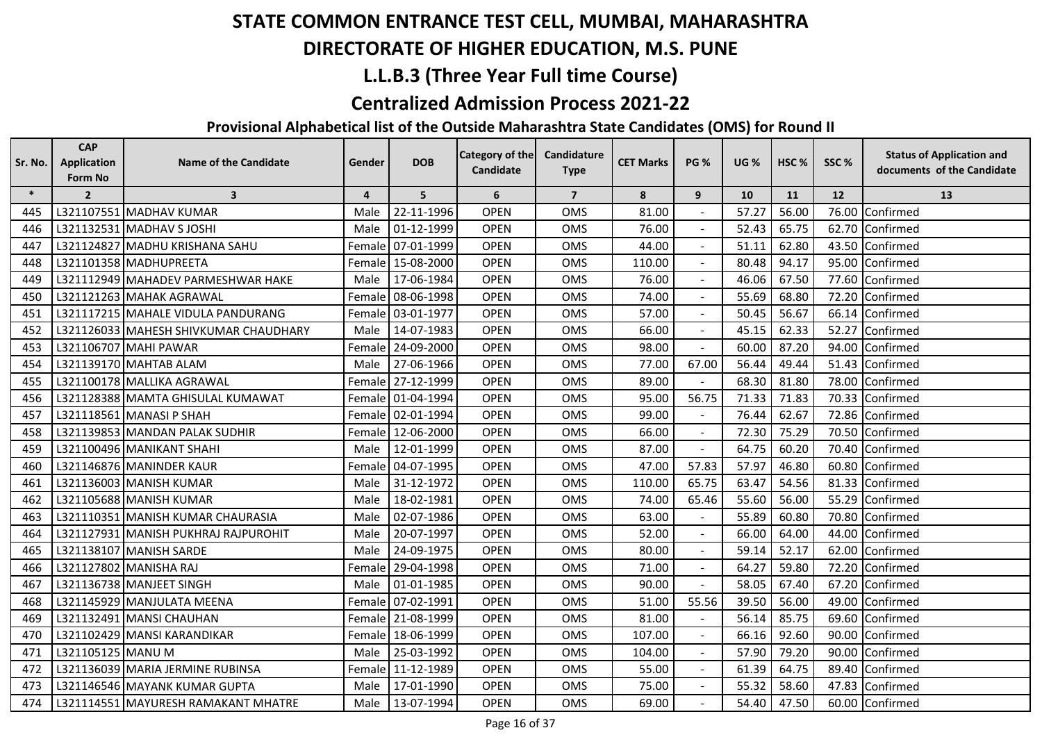## **DIRECTORATE OF HIGHER EDUCATION, M.S. PUNE**

## **L.L.B.3 (Three Year Full time Course)**

#### **Centralized Admission Process 2021-22**

| Sr. No. | <b>CAP</b><br><b>Application</b><br>Form No | <b>Name of the Candidate</b>          | Gender | <b>DOB</b>        | Category of the<br><b>Candidate</b> | Candidature<br><b>Type</b> | <b>CET Marks</b> | <b>PG %</b>              | <b>UG %</b> | HSC <sub>%</sub> | SSC% | <b>Status of Application and</b><br>documents of the Candidate |
|---------|---------------------------------------------|---------------------------------------|--------|-------------------|-------------------------------------|----------------------------|------------------|--------------------------|-------------|------------------|------|----------------------------------------------------------------|
| $\ast$  | $\overline{2}$                              | $\mathbf{3}$                          | 4      | 5                 | 6                                   | $\overline{7}$             | 8                | 9                        | 10          | 11               | 12   | 13                                                             |
| 445     |                                             | L321107551 MADHAV KUMAR               | Male   | 22-11-1996        | <b>OPEN</b>                         | OMS                        | 81.00            |                          | 57.27       | 56.00            |      | 76.00 Confirmed                                                |
| 446     |                                             | L321132531 MADHAV S JOSHI             | Male   | 01-12-1999        | <b>OPEN</b>                         | <b>OMS</b>                 | 76.00            |                          | 52.43       | 65.75            |      | 62.70 Confirmed                                                |
| 447     |                                             | L321124827 MADHU KRISHANA SAHU        | Female | 07-01-1999        | <b>OPEN</b>                         | <b>OMS</b>                 | 44.00            |                          | 51.11       | 62.80            |      | 43.50 Confirmed                                                |
| 448     |                                             | L321101358 MADHUPREETA                | Female | 15-08-2000        | <b>OPEN</b>                         | <b>OMS</b>                 | 110.00           |                          | 80.48       | 94.17            |      | 95.00 Confirmed                                                |
| 449     |                                             | L321112949 MAHADEV PARMESHWAR HAKE    | Male   | 17-06-1984        | <b>OPEN</b>                         | OMS                        | 76.00            | $\blacksquare$           | 46.06       | 67.50            |      | 77.60 Confirmed                                                |
| 450     |                                             | L321121263 MAHAK AGRAWAL              | Female | 08-06-1998        | <b>OPEN</b>                         | <b>OMS</b>                 | 74.00            | $\blacksquare$           | 55.69       | 68.80            |      | 72.20 Confirmed                                                |
| 451     |                                             | L321117215 MAHALE VIDULA PANDURANG    |        | Female 03-01-1977 | <b>OPEN</b>                         | <b>OMS</b>                 | 57.00            |                          | 50.45       | 56.67            |      | 66.14 Confirmed                                                |
| 452     |                                             | L321126033 MAHESH SHIVKUMAR CHAUDHARY | Male   | 14-07-1983        | <b>OPEN</b>                         | OMS                        | 66.00            |                          | 45.15       | 62.33            |      | 52.27 Confirmed                                                |
| 453     |                                             | L321106707 MAHI PAWAR                 | Female | 24-09-2000        | <b>OPEN</b>                         | OMS                        | 98.00            |                          | 60.00       | 87.20            |      | 94.00 Confirmed                                                |
| 454     |                                             | L321139170 MAHTAB ALAM                | Male   | 27-06-1966        | <b>OPEN</b>                         | OMS                        | 77.00            | 67.00                    | 56.44       | 49.44            |      | 51.43 Confirmed                                                |
| 455     |                                             | L321100178 MALLIKA AGRAWAL            |        | Female 27-12-1999 | <b>OPEN</b>                         | <b>OMS</b>                 | 89.00            |                          | 68.30       | 81.80            |      | 78.00 Confirmed                                                |
| 456     |                                             | L321128388 MAMTA GHISULAL KUMAWAT     |        | Female 01-04-1994 | <b>OPEN</b>                         | OMS                        | 95.00            | 56.75                    | 71.33       | 71.83            |      | 70.33 Confirmed                                                |
| 457     |                                             | L321118561 MANASI P SHAH              |        | Female 02-01-1994 | <b>OPEN</b>                         | OMS                        | 99.00            |                          | 76.44       | 62.67            |      | 72.86 Confirmed                                                |
| 458     |                                             | L321139853 MANDAN PALAK SUDHIR        | Female | 12-06-2000        | <b>OPEN</b>                         | <b>OMS</b>                 | 66.00            |                          | 72.30       | 75.29            |      | 70.50 Confirmed                                                |
| 459     |                                             | L321100496 MANIKANT SHAHI             | Male   | 12-01-1999        | <b>OPEN</b>                         | OMS                        | 87.00            | $\blacksquare$           | 64.75       | 60.20            |      | 70.40 Confirmed                                                |
| 460     |                                             | L321146876 MANINDER KAUR              | Female | 04-07-1995        | <b>OPEN</b>                         | <b>OMS</b>                 | 47.00            | 57.83                    | 57.97       | 46.80            |      | 60.80 Confirmed                                                |
| 461     |                                             | L321136003 MANISH KUMAR               | Male   | 31-12-1972        | <b>OPEN</b>                         | <b>OMS</b>                 | 110.00           | 65.75                    | 63.47       | 54.56            |      | 81.33 Confirmed                                                |
| 462     |                                             | L321105688 MANISH KUMAR               | Male   | 18-02-1981        | <b>OPEN</b>                         | <b>OMS</b>                 | 74.00            | 65.46                    | 55.60       | 56.00            |      | 55.29 Confirmed                                                |
| 463     |                                             | L321110351 MANISH KUMAR CHAURASIA     | Male   | 02-07-1986        | <b>OPEN</b>                         | OMS                        | 63.00            |                          | 55.89       | 60.80            |      | 70.80 Confirmed                                                |
| 464     |                                             | L321127931 MANISH PUKHRAJ RAJPUROHIT  | Male   | 20-07-1997        | <b>OPEN</b>                         | <b>OMS</b>                 | 52.00            | $\blacksquare$           | 66.00       | 64.00            |      | 44.00 Confirmed                                                |
| 465     |                                             | L321138107 MANISH SARDE               | Male   | 24-09-1975        | <b>OPEN</b>                         | <b>OMS</b>                 | 80.00            | $\overline{\phantom{a}}$ | 59.14       | 52.17            |      | 62.00 Confirmed                                                |
| 466     |                                             | L321127802 MANISHA RAJ                | Female | 29-04-1998        | <b>OPEN</b>                         | OMS                        | 71.00            |                          | 64.27       | 59.80            |      | 72.20 Confirmed                                                |
| 467     |                                             | L321136738 MANJEET SINGH              | Male   | 01-01-1985        | <b>OPEN</b>                         | OMS                        | 90.00            |                          | 58.05       | 67.40            |      | 67.20 Confirmed                                                |
| 468     |                                             | L321145929 MANJULATA MEENA            | Female | 07-02-1991        | <b>OPEN</b>                         | <b>OMS</b>                 | 51.00            | 55.56                    | 39.50       | 56.00            |      | 49.00 Confirmed                                                |
| 469     |                                             | L321132491 MANSI CHAUHAN              | Female | 21-08-1999        | <b>OPEN</b>                         | <b>OMS</b>                 | 81.00            |                          | 56.14       | 85.75            |      | 69.60 Confirmed                                                |
| 470     |                                             | L321102429 MANSI KARANDIKAR           | Female | 18-06-1999        | <b>OPEN</b>                         | <b>OMS</b>                 | 107.00           | $\blacksquare$           | 66.16       | 92.60            |      | 90.00 Confirmed                                                |
| 471     | L321105125 MANU M                           |                                       | Male   | 25-03-1992        | <b>OPEN</b>                         | OMS                        | 104.00           |                          | 57.90       | 79.20            |      | 90.00 Confirmed                                                |
| 472     |                                             | L321136039 MARIA JERMINE RUBINSA      |        | Female 11-12-1989 | <b>OPEN</b>                         | <b>OMS</b>                 | 55.00            |                          | 61.39       | 64.75            |      | 89.40 Confirmed                                                |
| 473     |                                             | L321146546 MAYANK KUMAR GUPTA         | Male   | 17-01-1990        | <b>OPEN</b>                         | <b>OMS</b>                 | 75.00            |                          | 55.32       | 58.60            |      | 47.83 Confirmed                                                |
| 474     |                                             | L321114551 MAYURESH RAMAKANT MHATRE   | Male   | 13-07-1994        | <b>OPEN</b>                         | <b>OMS</b>                 | 69.00            |                          | 54.40       | 47.50            |      | 60.00 Confirmed                                                |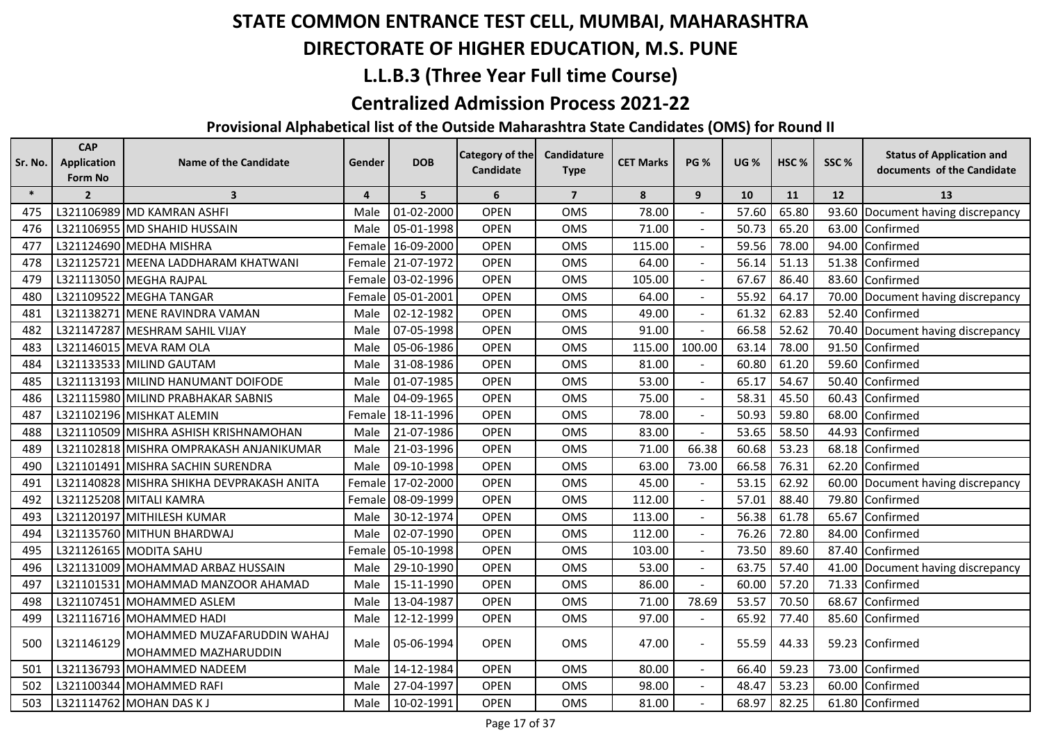## **DIRECTORATE OF HIGHER EDUCATION, M.S. PUNE**

## **L.L.B.3 (Three Year Full time Course)**

#### **Centralized Admission Process 2021-22**

| Sr. No. | <b>CAP</b><br><b>Application</b><br>Form No | <b>Name of the Candidate</b>                        | Gender         | <b>DOB</b>        | <b>Category of the</b><br>Candidate | Candidature<br><b>Type</b> | <b>CET Marks</b> | <b>PG %</b> | <b>UG %</b> | HSC%  | SSC%  | <b>Status of Application and</b><br>documents of the Candidate |
|---------|---------------------------------------------|-----------------------------------------------------|----------------|-------------------|-------------------------------------|----------------------------|------------------|-------------|-------------|-------|-------|----------------------------------------------------------------|
| $\ast$  | $\overline{2}$                              | $\overline{\mathbf{3}}$                             | $\overline{4}$ | 5                 | 6                                   | $\overline{7}$             | 8                | 9           | 10          | 11    | 12    | 13                                                             |
| 475     |                                             | L321106989 MD KAMRAN ASHFI                          | Male           | 01-02-2000        | <b>OPEN</b>                         | <b>OMS</b>                 | 78.00            |             | 57.60       | 65.80 | 93.60 | Document having discrepancy                                    |
| 476     |                                             | L321106955 MD SHAHID HUSSAIN                        | Male           | 05-01-1998        | <b>OPEN</b>                         | <b>OMS</b>                 | 71.00            |             | 50.73       | 65.20 | 63.00 | Confirmed                                                      |
| 477     |                                             | L321124690 MEDHA MISHRA                             |                | Female 16-09-2000 | <b>OPEN</b>                         | OMS                        | 115.00           |             | 59.56       | 78.00 | 94.00 | Confirmed                                                      |
| 478     |                                             | L321125721 MEENA LADDHARAM KHATWANI                 | Female l       | 21-07-1972        | <b>OPEN</b>                         | <b>OMS</b>                 | 64.00            |             | 56.14       | 51.13 | 51.38 | Confirmed                                                      |
| 479     |                                             | L321113050 MEGHA RAJPAL                             | Female         | 03-02-1996        | <b>OPEN</b>                         | OMS                        | 105.00           |             | 67.67       | 86.40 |       | 83.60 Confirmed                                                |
| 480     |                                             | L321109522 MEGHA TANGAR                             | Female         | 05-01-2001        | <b>OPEN</b>                         | <b>OMS</b>                 | 64.00            |             | 55.92       | 64.17 | 70.00 | Document having discrepancy                                    |
| 481     |                                             | L321138271 MENE RAVINDRA VAMAN                      | Male           | 02-12-1982        | <b>OPEN</b>                         | <b>OMS</b>                 | 49.00            |             | 61.32       | 62.83 |       | 52.40 Confirmed                                                |
| 482     |                                             | L321147287 MESHRAM SAHIL VIJAY                      | Male           | 07-05-1998        | <b>OPEN</b>                         | <b>OMS</b>                 | 91.00            |             | 66.58       | 52.62 |       | 70.40 Document having discrepancy                              |
| 483     |                                             | L321146015 MEVA RAM OLA                             | Male           | 05-06-1986        | <b>OPEN</b>                         | <b>OMS</b>                 | 115.00           | 100.00      | 63.14       | 78.00 | 91.50 | Confirmed                                                      |
| 484     |                                             | L321133533 MILIND GAUTAM                            | Male           | 31-08-1986        | <b>OPEN</b>                         | <b>OMS</b>                 | 81.00            |             | 60.80       | 61.20 | 59.60 | Confirmed                                                      |
| 485     |                                             | L321113193 MILIND HANUMANT DOIFODE                  | Male           | 01-07-1985        | <b>OPEN</b>                         | <b>OMS</b>                 | 53.00            |             | 65.17       | 54.67 | 50.40 | Confirmed                                                      |
| 486     |                                             | L321115980 MILIND PRABHAKAR SABNIS                  | Male           | 04-09-1965        | <b>OPEN</b>                         | <b>OMS</b>                 | 75.00            |             | 58.31       | 45.50 | 60.43 | Confirmed                                                      |
| 487     |                                             | L321102196 MISHKAT ALEMIN                           | Female I       | 18-11-1996        | <b>OPEN</b>                         | <b>OMS</b>                 | 78.00            |             | 50.93       | 59.80 | 68.00 | Confirmed                                                      |
| 488     |                                             | L321110509 MISHRA ASHISH KRISHNAMOHAN               | Male           | 21-07-1986        | <b>OPEN</b>                         | <b>OMS</b>                 | 83.00            |             | 53.65       | 58.50 | 44.93 | Confirmed                                                      |
| 489     |                                             | L321102818 MISHRA OMPRAKASH ANJANIKUMAR             | Male           | 21-03-1996        | <b>OPEN</b>                         | OMS                        | 71.00            | 66.38       | 60.68       | 53.23 | 68.18 | Confirmed                                                      |
| 490     |                                             | L321101491 MISHRA SACHIN SURENDRA                   | Male           | 09-10-1998        | <b>OPEN</b>                         | <b>OMS</b>                 | 63.00            | 73.00       | 66.58       | 76.31 | 62.20 | Confirmed                                                      |
| 491     |                                             | L321140828 MISHRA SHIKHA DEVPRAKASH ANITA           |                | Female 17-02-2000 | <b>OPEN</b>                         | <b>OMS</b>                 | 45.00            | $\sim$      | 53.15       | 62.92 |       | 60.00 Document having discrepancy                              |
| 492     |                                             | L321125208 MITALI KAMRA                             | Female         | 08-09-1999        | <b>OPEN</b>                         | <b>OMS</b>                 | 112.00           |             | 57.01       | 88.40 | 79.80 | Confirmed                                                      |
| 493     |                                             | L321120197 MITHILESH KUMAR                          | Male           | 30-12-1974        | <b>OPEN</b>                         | <b>OMS</b>                 | 113.00           |             | 56.38       | 61.78 | 65.67 | Confirmed                                                      |
| 494     |                                             | L321135760 MITHUN BHARDWAJ                          | Male           | 02-07-1990        | <b>OPEN</b>                         | <b>OMS</b>                 | 112.00           |             | 76.26       | 72.80 | 84.00 | Confirmed                                                      |
| 495     |                                             | L321126165 MODITA SAHU                              | Female         | 05-10-1998        | <b>OPEN</b>                         | OMS                        | 103.00           |             | 73.50       | 89.60 | 87.40 | Confirmed                                                      |
| 496     |                                             | L321131009 MOHAMMAD ARBAZ HUSSAIN                   | Male           | 29-10-1990        | <b>OPEN</b>                         | <b>OMS</b>                 | 53.00            |             | 63.75       | 57.40 | 41.00 | Document having discrepancy                                    |
| 497     |                                             | L321101531 MOHAMMAD MANZOOR AHAMAD                  | Male           | 15-11-1990        | <b>OPEN</b>                         | <b>OMS</b>                 | 86.00            |             | 60.00       | 57.20 | 71.33 | Confirmed                                                      |
| 498     |                                             | L321107451 MOHAMMED ASLEM                           | Male           | 13-04-1987        | <b>OPEN</b>                         | <b>OMS</b>                 | 71.00            | 78.69       | 53.57       | 70.50 | 68.67 | Confirmed                                                      |
| 499     |                                             | L321116716 MOHAMMED HADI                            | Male           | 12-12-1999        | <b>OPEN</b>                         | <b>OMS</b>                 | 97.00            |             | 65.92       | 77.40 | 85.60 | Confirmed                                                      |
| 500     | L321146129                                  | MOHAMMED MUZAFARUDDIN WAHAJ<br>MOHAMMED MAZHARUDDIN | Male           | 05-06-1994        | <b>OPEN</b>                         | OMS                        | 47.00            | $\sim$      | 55.59       | 44.33 |       | 59.23 Confirmed                                                |
| 501     |                                             | L321136793 MOHAMMED NADEEM                          | Male           | 14-12-1984        | <b>OPEN</b>                         | OMS                        | 80.00            |             | 66.40       | 59.23 | 73.00 | Confirmed                                                      |
| 502     |                                             | L321100344 MOHAMMED RAFI                            | Male           | 27-04-1997        | <b>OPEN</b>                         | <b>OMS</b>                 | 98.00            |             | 48.47       | 53.23 | 60.00 | Confirmed                                                      |
| 503     |                                             | L321114762 MOHAN DAS KJ                             | Male           | 10-02-1991        | <b>OPEN</b>                         | <b>OMS</b>                 | 81.00            |             | 68.97       | 82.25 |       | 61.80 Confirmed                                                |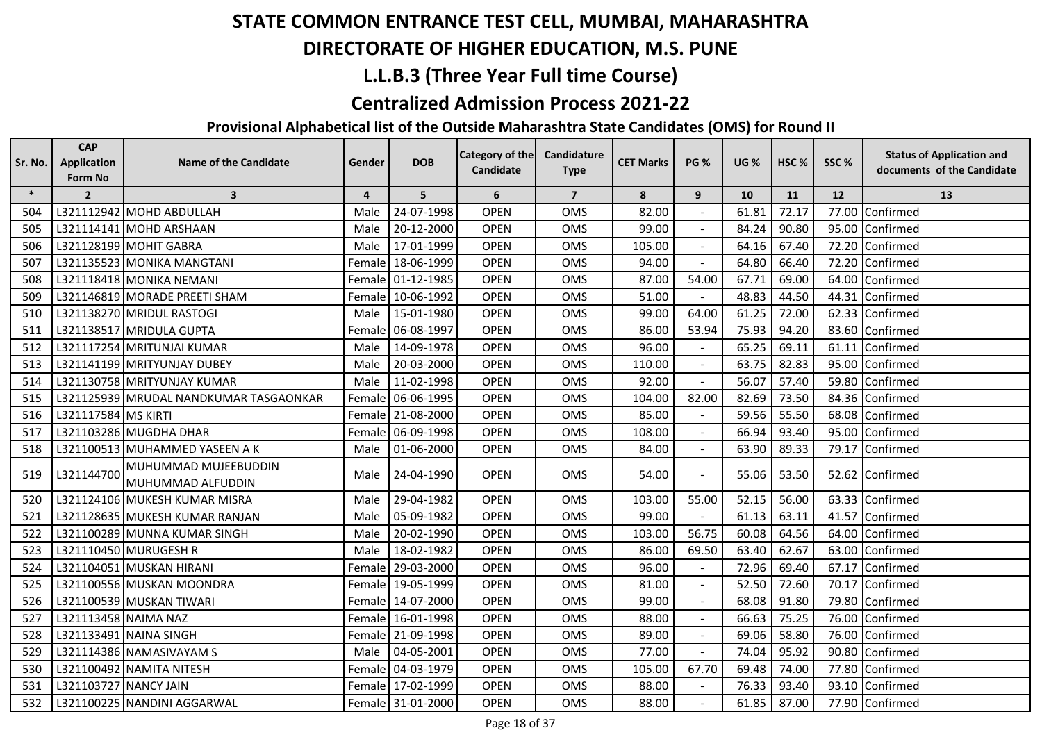## **DIRECTORATE OF HIGHER EDUCATION, M.S. PUNE**

## **L.L.B.3 (Three Year Full time Course)**

#### **Centralized Admission Process 2021-22**

| Sr. No. | <b>CAP</b><br><b>Application</b> | <b>Name of the Candidate</b>              | Gender         | <b>DOB</b>        | Category of the | Candidature    | <b>CET Marks</b> | <b>PG %</b>    | <b>UG %</b> | HSC <sub>%</sub> | SSC% | <b>Status of Application and</b> |
|---------|----------------------------------|-------------------------------------------|----------------|-------------------|-----------------|----------------|------------------|----------------|-------------|------------------|------|----------------------------------|
|         | Form No                          |                                           |                |                   | Candidate       | <b>Type</b>    |                  |                |             |                  |      | documents of the Candidate       |
| $\ast$  | $\overline{2}$                   | $\overline{\mathbf{3}}$                   | $\overline{4}$ | 5                 | 6               | $\overline{7}$ | 8                | 9              | 10          | 11               | 12   | 13                               |
| 504     |                                  | L321112942 MOHD ABDULLAH                  | Male           | 24-07-1998        | <b>OPEN</b>     | <b>OMS</b>     | 82.00            |                | 61.81       | 72.17            |      | 77.00 Confirmed                  |
| 505     |                                  | L321114141 MOHD ARSHAAN                   | Male           | 20-12-2000        | <b>OPEN</b>     | OMS            | 99.00            |                | 84.24       | 90.80            |      | 95.00 Confirmed                  |
| 506     |                                  | L321128199 MOHIT GABRA                    | Male           | 17-01-1999        | <b>OPEN</b>     | OMS            | 105.00           |                | 64.16       | 67.40            |      | 72.20 Confirmed                  |
| 507     |                                  | L321135523 MONIKA MANGTANI                | Female         | 18-06-1999        | <b>OPEN</b>     | OMS            | 94.00            |                | 64.80       | 66.40            |      | 72.20 Confirmed                  |
| 508     |                                  | L321118418 MONIKA NEMANI                  |                | Female 01-12-1985 | <b>OPEN</b>     | <b>OMS</b>     | 87.00            | 54.00          | 67.71       | 69.00            |      | 64.00 Confirmed                  |
| 509     |                                  | L321146819 MORADE PREETI SHAM             | Female         | 10-06-1992        | <b>OPEN</b>     | OMS            | 51.00            |                | 48.83       | 44.50            |      | 44.31 Confirmed                  |
| 510     |                                  | L321138270 MRIDUL RASTOGI                 | Male           | 15-01-1980        | <b>OPEN</b>     | OMS            | 99.00            | 64.00          | 61.25       | 72.00            |      | 62.33 Confirmed                  |
| 511     |                                  | L321138517 MRIDULA GUPTA                  | Female         | 06-08-1997        | <b>OPEN</b>     | OMS            | 86.00            | 53.94          | 75.93       | 94.20            |      | 83.60 Confirmed                  |
| 512     |                                  | L321117254 MRITUNJAI KUMAR                | Male           | 14-09-1978        | <b>OPEN</b>     | <b>OMS</b>     | 96.00            |                | 65.25       | 69.11            |      | 61.11 Confirmed                  |
| 513     |                                  | L321141199 MRITYUNJAY DUBEY               | Male           | 20-03-2000        | <b>OPEN</b>     | OMS            | 110.00           | $\blacksquare$ | 63.75       | 82.83            |      | 95.00 Confirmed                  |
| 514     |                                  | L321130758 MRITYUNJAY KUMAR               | Male           | 11-02-1998        | <b>OPEN</b>     | OMS            | 92.00            |                | 56.07       | 57.40            |      | 59.80 Confirmed                  |
| 515     |                                  | L321125939 MRUDAL NANDKUMAR TASGAONKAR    | Female         | 06-06-1995        | <b>OPEN</b>     | <b>OMS</b>     | 104.00           | 82.00          | 82.69       | 73.50            |      | 84.36 Confirmed                  |
| 516     | L321117584 MS KIRTI              |                                           |                | Female 21-08-2000 | <b>OPEN</b>     | <b>OMS</b>     | 85.00            |                | 59.56       | 55.50            |      | 68.08 Confirmed                  |
| 517     |                                  | L321103286 MUGDHA DHAR                    | Female         | 06-09-1998        | <b>OPEN</b>     | OMS            | 108.00           |                | 66.94       | 93.40            |      | 95.00 Confirmed                  |
| 518     |                                  | L321100513 MUHAMMED YASEEN A K            | Male           | 01-06-2000        | <b>OPEN</b>     | OMS            | 84.00            | $\blacksquare$ | 63.90       | 89.33            |      | 79.17 Confirmed                  |
| 519     | L321144700                       | MUHUMMAD MUJEEBUDDIN<br>MUHUMMAD ALFUDDIN | Male           | 24-04-1990        | <b>OPEN</b>     | OMS            | 54.00            | $\blacksquare$ | 55.06       | 53.50            |      | 52.62 Confirmed                  |
| 520     |                                  | L321124106 MUKESH KUMAR MISRA             | Male           | 29-04-1982        | <b>OPEN</b>     | OMS            | 103.00           | 55.00          | 52.15       | 56.00            |      | 63.33 Confirmed                  |
| 521     |                                  | L321128635 MUKESH KUMAR RANJAN            | Male           | 05-09-1982        | <b>OPEN</b>     | OMS            | 99.00            |                | 61.13       | 63.11            |      | 41.57 Confirmed                  |
| 522     |                                  | L321100289 MUNNA KUMAR SINGH              | Male           | 20-02-1990        | <b>OPEN</b>     | <b>OMS</b>     | 103.00           | 56.75          | 60.08       | 64.56            |      | 64.00 Confirmed                  |
| 523     |                                  | L321110450 MURUGESH R                     | Male           | 18-02-1982        | <b>OPEN</b>     | OMS            | 86.00            | 69.50          | 63.40       | 62.67            |      | 63.00 Confirmed                  |
| 524     |                                  | L321104051 MUSKAN HIRANI                  | Female         | 29-03-2000        | <b>OPEN</b>     | OMS            | 96.00            |                | 72.96       | 69.40            |      | 67.17 Confirmed                  |
| 525     |                                  | L321100556 MUSKAN MOONDRA                 |                | Female 19-05-1999 | <b>OPEN</b>     | <b>OMS</b>     | 81.00            |                | 52.50       | 72.60            |      | 70.17 Confirmed                  |
| 526     |                                  | L321100539 MUSKAN TIWARI                  | Female         | 14-07-2000        | <b>OPEN</b>     | OMS            | 99.00            |                | 68.08       | 91.80            |      | 79.80 Confirmed                  |
| 527     | L321113458 NAIMA NAZ             |                                           | Female         | 16-01-1998        | <b>OPEN</b>     | OMS            | 88.00            | $\blacksquare$ | 66.63       | 75.25            |      | 76.00 Confirmed                  |
| 528     |                                  | L321133491 NAINA SINGH                    | Female         | 21-09-1998        | <b>OPEN</b>     | OMS            | 89.00            | $\blacksquare$ | 69.06       | 58.80            |      | 76.00 Confirmed                  |
| 529     |                                  | L321114386 NAMASIVAYAM S                  | Male           | 04-05-2001        | <b>OPEN</b>     | <b>OMS</b>     | 77.00            |                | 74.04       | 95.92            |      | 90.80 Confirmed                  |
| 530     |                                  | L321100492 NAMITA NITESH                  |                | Female 04-03-1979 | <b>OPEN</b>     | OMS            | 105.00           | 67.70          | 69.48       | 74.00            |      | 77.80 Confirmed                  |
| 531     | L321103727 NANCY JAIN            |                                           |                | Female 17-02-1999 | <b>OPEN</b>     | <b>OMS</b>     | 88.00            |                | 76.33       | 93.40            |      | 93.10 Confirmed                  |
| 532     |                                  | L321100225 NANDINI AGGARWAL               |                | Female 31-01-2000 | <b>OPEN</b>     | <b>OMS</b>     | 88.00            |                | 61.85       | 87.00            |      | 77.90 Confirmed                  |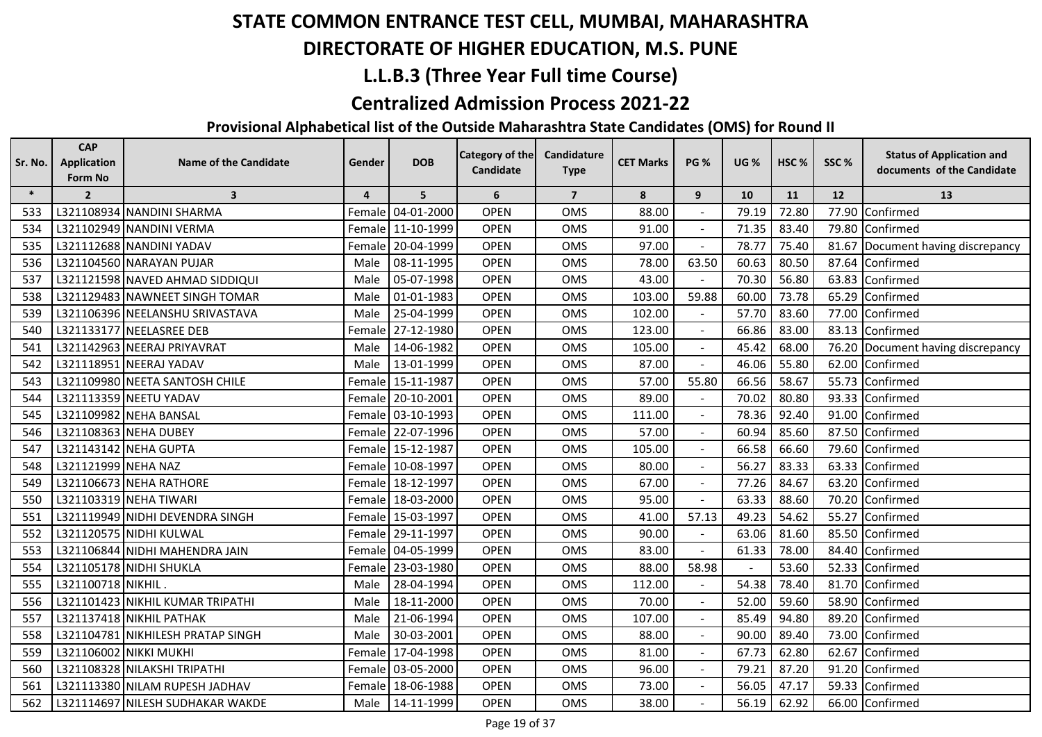## **DIRECTORATE OF HIGHER EDUCATION, M.S. PUNE**

## **L.L.B.3 (Three Year Full time Course)**

#### **Centralized Admission Process 2021-22**

| Sr. No. | <b>CAP</b><br><b>Application</b> | <b>Name of the Candidate</b>      | Gender         | <b>DOB</b>        | <b>Category of the</b><br><b>Candidate</b> | Candidature<br><b>Type</b> | <b>CET Marks</b> | <b>PG %</b>    | <b>UG %</b> | HSC <sub>%</sub> | SSC% | <b>Status of Application and</b><br>documents of the Candidate |
|---------|----------------------------------|-----------------------------------|----------------|-------------------|--------------------------------------------|----------------------------|------------------|----------------|-------------|------------------|------|----------------------------------------------------------------|
|         | Form No                          |                                   |                |                   |                                            |                            |                  |                |             |                  |      |                                                                |
| $\ast$  | $\overline{2}$                   | $\overline{\mathbf{3}}$           | $\overline{4}$ | 5                 | 6                                          | $\overline{7}$             | 8                | 9              | 10          | <b>11</b>        | 12   | 13                                                             |
| 533     |                                  | L321108934 NANDINI SHARMA         |                | Female 04-01-2000 | <b>OPEN</b>                                | <b>OMS</b>                 | 88.00            |                | 79.19       | 72.80            |      | 77.90 Confirmed                                                |
| 534     |                                  | L321102949 NANDINI VERMA          |                | Female 11-10-1999 | <b>OPEN</b>                                | <b>OMS</b>                 | 91.00            |                | 71.35       | 83.40            |      | 79.80 Confirmed                                                |
| 535     |                                  | L321112688 NANDINI YADAV          |                | Female 20-04-1999 | <b>OPEN</b>                                | OMS                        | 97.00            |                | 78.77       | 75.40            |      | 81.67 Document having discrepancy                              |
| 536     |                                  | L321104560 NARAYAN PUJAR          | Male           | 08-11-1995        | <b>OPEN</b>                                | <b>OMS</b>                 | 78.00            | 63.50          | 60.63       | 80.50            |      | 87.64 Confirmed                                                |
| 537     |                                  | L321121598 NAVED AHMAD SIDDIQUI   | Male           | 05-07-1998        | <b>OPEN</b>                                | <b>OMS</b>                 | 43.00            |                | 70.30       | 56.80            |      | 63.83 Confirmed                                                |
| 538     |                                  | L321129483 NAWNEET SINGH TOMAR    | Male           | 01-01-1983        | <b>OPEN</b>                                | <b>OMS</b>                 | 103.00           | 59.88          | 60.00       | 73.78            |      | 65.29 Confirmed                                                |
| 539     |                                  | L321106396 NEELANSHU SRIVASTAVA   | Male           | 25-04-1999        | <b>OPEN</b>                                | <b>OMS</b>                 | 102.00           |                | 57.70       | 83.60            |      | 77.00 Confirmed                                                |
| 540     |                                  | L321133177 NEELASREE DEB          |                | Female 27-12-1980 | <b>OPEN</b>                                | OMS                        | 123.00           |                | 66.86       | 83.00            |      | 83.13 Confirmed                                                |
| 541     |                                  | L321142963 NEERAJ PRIYAVRAT       | Male           | 14-06-1982        | <b>OPEN</b>                                | <b>OMS</b>                 | 105.00           |                | 45.42       | 68.00            |      | 76.20 Document having discrepancy                              |
| 542     |                                  | L321118951 NEERAJ YADAV           | Male           | 13-01-1999        | <b>OPEN</b>                                | <b>OMS</b>                 | 87.00            |                | 46.06       | 55.80            |      | 62.00 Confirmed                                                |
| 543     |                                  | L321109980 NEETA SANTOSH CHILE    |                | Female 15-11-1987 | <b>OPEN</b>                                | OMS                        | 57.00            | 55.80          | 66.56       | 58.67            |      | 55.73 Confirmed                                                |
| 544     |                                  | L321113359 NEETU YADAV            |                | Female 20-10-2001 | <b>OPEN</b>                                | OMS                        | 89.00            |                | 70.02       | 80.80            |      | 93.33 Confirmed                                                |
| 545     |                                  | L321109982 NEHA BANSAL            |                | Female 03-10-1993 | <b>OPEN</b>                                | OMS                        | 111.00           |                | 78.36       | 92.40            |      | 91.00 Confirmed                                                |
| 546     |                                  | L321108363 NEHA DUBEY             |                | Female 22-07-1996 | <b>OPEN</b>                                | <b>OMS</b>                 | 57.00            |                | 60.94       | 85.60            |      | 87.50 Confirmed                                                |
| 547     |                                  | L321143142 NEHA GUPTA             |                | Female 15-12-1987 | <b>OPEN</b>                                | <b>OMS</b>                 | 105.00           |                | 66.58       | 66.60            |      | 79.60 Confirmed                                                |
| 548     | L321121999 NEHA NAZ              |                                   |                | Female 10-08-1997 | <b>OPEN</b>                                | OMS                        | 80.00            |                | 56.27       | 83.33            |      | 63.33 Confirmed                                                |
| 549     |                                  | L321106673 NEHA RATHORE           |                | Female 18-12-1997 | <b>OPEN</b>                                | OMS                        | 67.00            |                | 77.26       | 84.67            |      | 63.20 Confirmed                                                |
| 550     |                                  | L321103319 NEHA TIWARI            |                | Female 18-03-2000 | <b>OPEN</b>                                | OMS                        | 95.00            |                | 63.33       | 88.60            |      | 70.20 Confirmed                                                |
| 551     |                                  | L321119949 NIDHI DEVENDRA SINGH   |                | Female 15-03-1997 | <b>OPEN</b>                                | <b>OMS</b>                 | 41.00            | 57.13          | 49.23       | 54.62            |      | 55.27 Confirmed                                                |
| 552     |                                  | L321120575 NIDHI KULWAL           |                | Female 29-11-1997 | <b>OPEN</b>                                | <b>OMS</b>                 | 90.00            | $\blacksquare$ | 63.06       | 81.60            |      | 85.50 Confirmed                                                |
| 553     |                                  | L321106844 NIDHI MAHENDRA JAIN    |                | Female 04-05-1999 | <b>OPEN</b>                                | OMS                        | 83.00            |                | 61.33       | 78.00            |      | 84.40 Confirmed                                                |
| 554     |                                  | L321105178 NIDHI SHUKLA           |                | Female 23-03-1980 | <b>OPEN</b>                                | OMS                        | 88.00            | 58.98          |             | 53.60            |      | 52.33 Confirmed                                                |
| 555     | L321100718 NIKHIL                |                                   | Male           | 28-04-1994        | <b>OPEN</b>                                | <b>OMS</b>                 | 112.00           |                | 54.38       | 78.40            |      | 81.70 Confirmed                                                |
| 556     |                                  | L321101423 NIKHIL KUMAR TRIPATHI  | Male           | 18-11-2000        | <b>OPEN</b>                                | OMS                        | 70.00            |                | 52.00       | 59.60            |      | 58.90 Confirmed                                                |
| 557     |                                  | L321137418 NIKHIL PATHAK          | Male           | 21-06-1994        | <b>OPEN</b>                                | <b>OMS</b>                 | 107.00           |                | 85.49       | 94.80            |      | 89.20 Confirmed                                                |
| 558     |                                  | L321104781 NIKHILESH PRATAP SINGH | Male           | 30-03-2001        | <b>OPEN</b>                                | <b>OMS</b>                 | 88.00            |                | 90.00       | 89.40            |      | 73.00 Confirmed                                                |
| 559     |                                  | L321106002 NIKKI MUKHI            |                | Female 17-04-1998 | <b>OPEN</b>                                | <b>OMS</b>                 | 81.00            |                | 67.73       | 62.80            |      | 62.67 Confirmed                                                |
| 560     |                                  | L321108328 NILAKSHI TRIPATHI      |                | Female 03-05-2000 | <b>OPEN</b>                                | OMS                        | 96.00            |                | 79.21       | 87.20            |      | 91.20 Confirmed                                                |
| 561     |                                  | L321113380 NILAM RUPESH JADHAV    |                | Female 18-06-1988 | <b>OPEN</b>                                | OMS                        | 73.00            |                | 56.05       | 47.17            |      | 59.33 Confirmed                                                |
| 562     |                                  | L321114697 NILESH SUDHAKAR WAKDE  | Male           | 14-11-1999        | <b>OPEN</b>                                | <b>OMS</b>                 | 38.00            |                | 56.19       | 62.92            |      | 66.00 Confirmed                                                |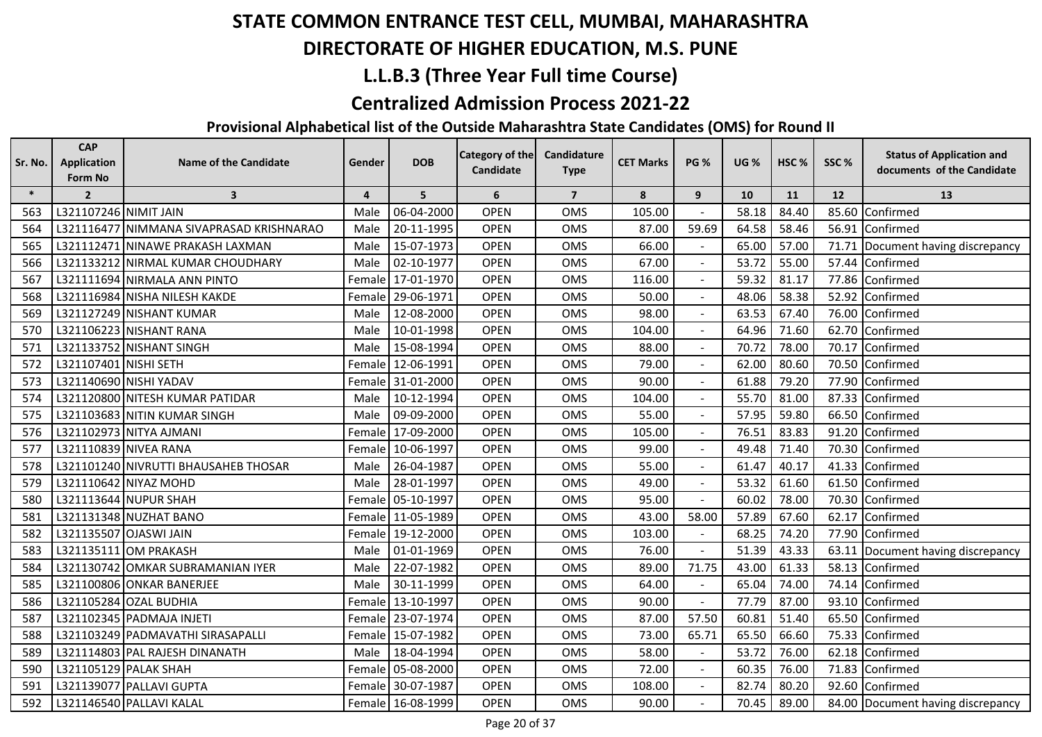## **DIRECTORATE OF HIGHER EDUCATION, M.S. PUNE**

## **L.L.B.3 (Three Year Full time Course)**

#### **Centralized Admission Process 2021-22**

| Sr. No. | <b>CAP</b><br><b>Application</b><br>Form No | <b>Name of the Candidate</b>             | Gender         | <b>DOB</b>        | Category of the<br>Candidate | Candidature<br><b>Type</b> | <b>CET Marks</b> | <b>PG %</b>    | <b>UG %</b> | HSC%      | SSC%              | <b>Status of Application and</b><br>documents of the Candidate |
|---------|---------------------------------------------|------------------------------------------|----------------|-------------------|------------------------------|----------------------------|------------------|----------------|-------------|-----------|-------------------|----------------------------------------------------------------|
| $\ast$  | $\overline{2}$                              | $\overline{\mathbf{3}}$                  | $\overline{4}$ | 5                 | 6                            | $\overline{7}$             | 8                | 9              | 10          | <b>11</b> | $12 \overline{ }$ | 13                                                             |
| 563     | L321107246 NIMIT JAIN                       |                                          | Male           | 06-04-2000        | <b>OPEN</b>                  | <b>OMS</b>                 | 105.00           |                | 58.18       | 84.40     | 85.60             | Confirmed                                                      |
| 564     |                                             | L321116477 NIMMANA SIVAPRASAD KRISHNARAO | Male           | 20-11-1995        | <b>OPEN</b>                  | OMS                        | 87.00            | 59.69          | 64.58       | 58.46     |                   | 56.91 Confirmed                                                |
| 565     |                                             | L321112471 NINAWE PRAKASH LAXMAN         | Male           | 15-07-1973        | <b>OPEN</b>                  | OMS                        | 66.00            |                | 65.00       | 57.00     | 71.71             | Document having discrepancy                                    |
| 566     |                                             | L321133212 NIRMAL KUMAR CHOUDHARY        | Male           | 02-10-1977        | <b>OPEN</b>                  | OMS                        | 67.00            |                | 53.72       | 55.00     |                   | 57.44 Confirmed                                                |
| 567     |                                             | L321111694 NIRMALA ANN PINTO             | Female         | 17-01-1970        | <b>OPEN</b>                  | OMS                        | 116.00           |                | 59.32       | 81.17     |                   | 77.86 Confirmed                                                |
| 568     |                                             | L321116984 NISHA NILESH KAKDE            | Female         | 29-06-1971        | <b>OPEN</b>                  | <b>OMS</b>                 | 50.00            |                | 48.06       | 58.38     | 52.92             | Confirmed                                                      |
| 569     |                                             | L321127249 NISHANT KUMAR                 | Male           | 12-08-2000        | <b>OPEN</b>                  | <b>OMS</b>                 | 98.00            |                | 63.53       | 67.40     |                   | 76.00 Confirmed                                                |
| 570     |                                             | L321106223 NISHANT RANA                  | Male           | 10-01-1998        | <b>OPEN</b>                  | OMS                        | 104.00           |                | 64.96       | 71.60     |                   | 62.70 Confirmed                                                |
| 571     |                                             | L321133752 NISHANT SINGH                 | Male           | 15-08-1994        | <b>OPEN</b>                  | OMS                        | 88.00            |                | 70.72       | 78.00     | 70.17             | Confirmed                                                      |
| 572     | L321107401 NISHI SETH                       |                                          | Female         | 12-06-1991        | <b>OPEN</b>                  | <b>OMS</b>                 | 79.00            |                | 62.00       | 80.60     |                   | 70.50 Confirmed                                                |
| 573     |                                             | L321140690 NISHI YADAV                   |                | Female 31-01-2000 | <b>OPEN</b>                  | <b>OMS</b>                 | 90.00            |                | 61.88       | 79.20     | 77.90             | Confirmed                                                      |
| 574     |                                             | L321120800 NITESH KUMAR PATIDAR          | Male           | 10-12-1994        | <b>OPEN</b>                  | OMS                        | 104.00           |                | 55.70       | 81.00     |                   | 87.33 Confirmed                                                |
| 575     |                                             | L321103683 NITIN KUMAR SINGH             | Male           | 09-09-2000        | <b>OPEN</b>                  | OMS                        | 55.00            |                | 57.95       | 59.80     |                   | 66.50 Confirmed                                                |
| 576     |                                             | L321102973 NITYA AJMANI                  | Female         | 17-09-2000        | <b>OPEN</b>                  | OMS                        | 105.00           |                | 76.51       | 83.83     | 91.20             | Confirmed                                                      |
| 577     |                                             | L321110839 NIVEA RANA                    | Female         | 10-06-1997        | <b>OPEN</b>                  | OMS                        | 99.00            | $\blacksquare$ | 49.48       | 71.40     | 70.30             | Confirmed                                                      |
| 578     |                                             | L321101240 NIVRUTTI BHAUSAHEB THOSAR     | Male           | 26-04-1987        | <b>OPEN</b>                  | <b>OMS</b>                 | 55.00            | $\blacksquare$ | 61.47       | 40.17     | 41.33             | Confirmed                                                      |
| 579     |                                             | L321110642 NIYAZ MOHD                    | Male           | 28-01-1997        | <b>OPEN</b>                  | OMS                        | 49.00            |                | 53.32       | 61.60     |                   | 61.50 Confirmed                                                |
| 580     |                                             | L321113644 NUPUR SHAH                    |                | Female 05-10-1997 | <b>OPEN</b>                  | <b>OMS</b>                 | 95.00            |                | 60.02       | 78.00     |                   | 70.30 Confirmed                                                |
| 581     |                                             | L321131348 NUZHAT BANO                   | Female         | 11-05-1989        | <b>OPEN</b>                  | OMS                        | 43.00            | 58.00          | 57.89       | 67.60     |                   | 62.17 Confirmed                                                |
| 582     |                                             | L321135507 OJASWI JAIN                   | Female         | 19-12-2000        | <b>OPEN</b>                  | OMS                        | 103.00           |                | 68.25       | 74.20     |                   | 77.90 Confirmed                                                |
| 583     |                                             | L321135111 OM PRAKASH                    | Male           | 01-01-1969        | <b>OPEN</b>                  | OMS                        | 76.00            |                | 51.39       | 43.33     | 63.11             | Document having discrepancy                                    |
| 584     |                                             | L321130742 OMKAR SUBRAMANIAN IYER        | Male           | 22-07-1982        | <b>OPEN</b>                  | OMS                        | 89.00            | 71.75          | 43.00       | 61.33     |                   | 58.13 Confirmed                                                |
| 585     |                                             | L321100806 ONKAR BANERJEE                | Male           | 30-11-1999        | <b>OPEN</b>                  | OMS                        | 64.00            |                | 65.04       | 74.00     | 74.14             | Confirmed                                                      |
| 586     |                                             | L321105284 OZAL BUDHIA                   | Female         | 13-10-1997        | <b>OPEN</b>                  | OMS                        | 90.00            |                | 77.79       | 87.00     | 93.10             | Confirmed                                                      |
| 587     |                                             | L321102345 PADMAJA INJETI                | Female         | 23-07-1974        | <b>OPEN</b>                  | <b>OMS</b>                 | 87.00            | 57.50          | 60.81       | 51.40     |                   | 65.50 Confirmed                                                |
| 588     |                                             | L321103249 PADMAVATHI SIRASAPALLI        | Female         | 15-07-1982        | <b>OPEN</b>                  | <b>OMS</b>                 | 73.00            | 65.71          | 65.50       | 66.60     | 75.33             | Confirmed                                                      |
| 589     |                                             | L321114803 PAL RAJESH DINANATH           | Male           | 18-04-1994        | <b>OPEN</b>                  | <b>OMS</b>                 | 58.00            |                | 53.72       | 76.00     |                   | 62.18 Confirmed                                                |
| 590     |                                             | L321105129 PALAK SHAH                    |                | Female 05-08-2000 | <b>OPEN</b>                  | <b>OMS</b>                 | 72.00            |                | 60.35       | 76.00     |                   | 71.83 Confirmed                                                |
| 591     |                                             | L321139077 PALLAVI GUPTA                 | Female         | 30-07-1987        | <b>OPEN</b>                  | OMS                        | 108.00           |                | 82.74       | 80.20     |                   | 92.60 Confirmed                                                |
| 592     |                                             | L321146540 PALLAVI KALAL                 |                | Female 16-08-1999 | <b>OPEN</b>                  | OMS                        | 90.00            |                | 70.45       | 89.00     |                   | 84.00 Document having discrepancy                              |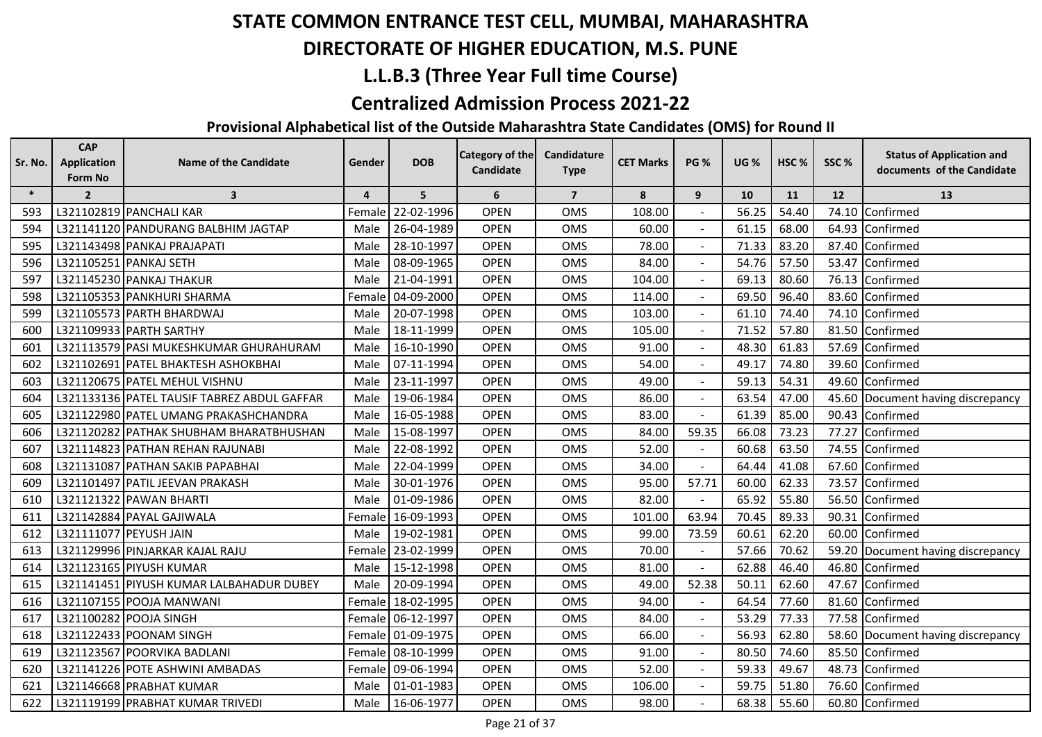## **DIRECTORATE OF HIGHER EDUCATION, M.S. PUNE**

## **L.L.B.3 (Three Year Full time Course)**

#### **Centralized Admission Process 2021-22**

| Sr. No. | <b>CAP</b><br><b>Application</b><br>Form No | <b>Name of the Candidate</b>                | Gender         | <b>DOB</b> | <b>Category of the</b><br>Candidate | Candidature<br><b>Type</b> | <b>CET Marks</b> | <b>PG %</b>    | <b>UG %</b> | HSC%  | SSC%  | <b>Status of Application and</b><br>documents of the Candidate |
|---------|---------------------------------------------|---------------------------------------------|----------------|------------|-------------------------------------|----------------------------|------------------|----------------|-------------|-------|-------|----------------------------------------------------------------|
| $\ast$  | $\overline{2}$                              | $\overline{\mathbf{3}}$                     | $\overline{4}$ | 5          | 6                                   | $\overline{7}$             | 8                | 9              | 10          | 11    | 12    | 13                                                             |
| 593     |                                             | L321102819 PANCHALI KAR                     | Femal          | 22-02-1996 | <b>OPEN</b>                         | <b>OMS</b>                 | 108.00           |                | 56.25       | 54.40 | 74.10 | Confirmed                                                      |
| 594     |                                             | L321141120 PANDURANG BALBHIM JAGTAP         | Male           | 26-04-1989 | <b>OPEN</b>                         | <b>OMS</b>                 | 60.00            |                | 61.15       | 68.00 | 64.93 | Confirmed                                                      |
| 595     |                                             | L321143498 PANKAJ PRAJAPATI                 | Male           | 28-10-1997 | <b>OPEN</b>                         | <b>OMS</b>                 | 78.00            |                | 71.33       | 83.20 | 87.40 | Confirmed                                                      |
| 596     |                                             | L321105251 PANKAJ SETH                      | Male           | 08-09-1965 | <b>OPEN</b>                         | <b>OMS</b>                 | 84.00            |                | 54.76       | 57.50 | 53.47 | Confirmed                                                      |
| 597     |                                             | L321145230 PANKAJ THAKUR                    | Male           | 21-04-1991 | <b>OPEN</b>                         | <b>OMS</b>                 | 104.00           | $\blacksquare$ | 69.13       | 80.60 | 76.13 | Confirmed                                                      |
| 598     |                                             | L321105353 PANKHURI SHARMA                  | Fema           | 04-09-2000 | <b>OPEN</b>                         | <b>OMS</b>                 | 114.00           | $\blacksquare$ | 69.50       | 96.40 | 83.60 | Confirmed                                                      |
| 599     |                                             | L321105573 PARTH BHARDWAJ                   | Male           | 20-07-1998 | <b>OPEN</b>                         | <b>OMS</b>                 | 103.00           |                | 61.10       | 74.40 | 74.10 | Confirmed                                                      |
| 600     |                                             | L321109933 PARTH SARTHY                     | Male           | 18-11-1999 | <b>OPEN</b>                         | <b>OMS</b>                 | 105.00           |                | 71.52       | 57.80 | 81.50 | Confirmed                                                      |
| 601     |                                             | L321113579 PASI MUKESHKUMAR GHURAHURAM      | Male           | 16-10-1990 | <b>OPEN</b>                         | <b>OMS</b>                 | 91.00            |                | 48.30       | 61.83 | 57.69 | Confirmed                                                      |
| 602     |                                             | L321102691 PATEL BHAKTESH ASHOKBHAI         | Male           | 07-11-1994 | <b>OPEN</b>                         | <b>OMS</b>                 | 54.00            | $\sim$         | 49.17       | 74.80 | 39.60 | Confirmed                                                      |
| 603     |                                             | L321120675 PATEL MEHUL VISHNU               | Male           | 23-11-1997 | <b>OPEN</b>                         | <b>OMS</b>                 | 49.00            |                | 59.13       | 54.31 | 49.60 | Confirmed                                                      |
| 604     |                                             | L321133136 PATEL TAUSIF TABREZ ABDUL GAFFAR | Male           | 19-06-1984 | <b>OPEN</b>                         | <b>OMS</b>                 | 86.00            |                | 63.54       | 47.00 |       | 45.60 Document having discrepancy                              |
| 605     |                                             | L321122980 PATEL UMANG PRAKASHCHANDRA       | Male           | 16-05-1988 | OPEN                                | <b>OMS</b>                 | 83.00            |                | 61.39       | 85.00 |       | 90.43 Confirmed                                                |
| 606     |                                             | L321120282 PATHAK SHUBHAM BHARATBHUSHAN     | Male           | 15-08-1997 | <b>OPEN</b>                         | <b>OMS</b>                 | 84.00            | 59.35          | 66.08       | 73.23 | 77.27 | Confirmed                                                      |
| 607     |                                             | L321114823 PATHAN REHAN RAJUNABI            | Male           | 22-08-1992 | <b>OPEN</b>                         | <b>OMS</b>                 | 52.00            |                | 60.68       | 63.50 | 74.55 | Confirmed                                                      |
| 608     |                                             | L321131087 PATHAN SAKIB PAPABHAI            | Male           | 22-04-1999 | <b>OPEN</b>                         | <b>OMS</b>                 | 34.00            |                | 64.44       | 41.08 | 67.60 | Confirmed                                                      |
| 609     |                                             | L321101497 PATIL JEEVAN PRAKASH             | Male           | 30-01-1976 | <b>OPEN</b>                         | OMS                        | 95.00            | 57.71          | 60.00       | 62.33 | 73.57 | Confirmed                                                      |
| 610     |                                             | L321121322 PAWAN BHARTI                     | Male           | 01-09-1986 | <b>OPEN</b>                         | <b>OMS</b>                 | 82.00            |                | 65.92       | 55.80 | 56.50 | Confirmed                                                      |
| 611     |                                             | L321142884 PAYAL GAJIWALA                   | Female         | 16-09-1993 | <b>OPEN</b>                         | <b>OMS</b>                 | 101.00           | 63.94          | 70.45       | 89.33 | 90.31 | Confirmed                                                      |
| 612     |                                             | L321111077 PEYUSH JAIN                      | Male           | 19-02-1981 | <b>OPEN</b>                         | <b>OMS</b>                 | 99.00            | 73.59          | 60.61       | 62.20 | 60.00 | Confirmed                                                      |
| 613     |                                             | L321129996 PINJARKAR KAJAL RAJU             | Female         | 23-02-1999 | <b>OPEN</b>                         | <b>OMS</b>                 | 70.00            |                | 57.66       | 70.62 |       | 59.20 Document having discrepancy                              |
| 614     |                                             | L321123165 PIYUSH KUMAR                     | Male           | 15-12-1998 | <b>OPEN</b>                         | <b>OMS</b>                 | 81.00            |                | 62.88       | 46.40 |       | 46.80 Confirmed                                                |
| 615     |                                             | L321141451 PIYUSH KUMAR LALBAHADUR DUBEY    | Male           | 20-09-1994 | <b>OPEN</b>                         | <b>OMS</b>                 | 49.00            | 52.38          | 50.11       | 62.60 | 47.67 | Confirmed                                                      |
| 616     |                                             | L321107155 POOJA MANWANI                    | Female         | 18-02-1995 | <b>OPEN</b>                         | <b>OMS</b>                 | 94.00            |                | 64.54       | 77.60 | 81.60 | Confirmed                                                      |
| 617     |                                             | L321100282 POOJA SINGH                      | Female         | 06-12-1997 | <b>OPEN</b>                         | <b>OMS</b>                 | 84.00            |                | 53.29       | 77.33 |       | 77.58 Confirmed                                                |
| 618     |                                             | L321122433 POONAM SINGH                     | Female         | 01-09-1975 | <b>OPEN</b>                         | <b>OMS</b>                 | 66.00            | $\mathbf{r}$   | 56.93       | 62.80 |       | 58.60 Document having discrepancy                              |
| 619     |                                             | L321123567 POORVIKA BADLANI                 | Female         | 08-10-1999 | <b>OPEN</b>                         | <b>OMS</b>                 | 91.00            |                | 80.50       | 74.60 |       | 85.50 Confirmed                                                |
| 620     |                                             | L321141226 POTE ASHWINI AMBADAS             | Female         | 09-06-1994 | <b>OPEN</b>                         | OMS                        | 52.00            |                | 59.33       | 49.67 | 48.73 | Confirmed                                                      |
| 621     |                                             | L321146668 PRABHAT KUMAR                    | Male           | 01-01-1983 | <b>OPEN</b>                         | OMS                        | 106.00           |                | 59.75       | 51.80 |       | 76.60 Confirmed                                                |
| 622     |                                             | L321119199 PRABHAT KUMAR TRIVEDI            | Male           | 16-06-1977 | <b>OPEN</b>                         | <b>OMS</b>                 | 98.00            |                | 68.38       | 55.60 |       | 60.80 Confirmed                                                |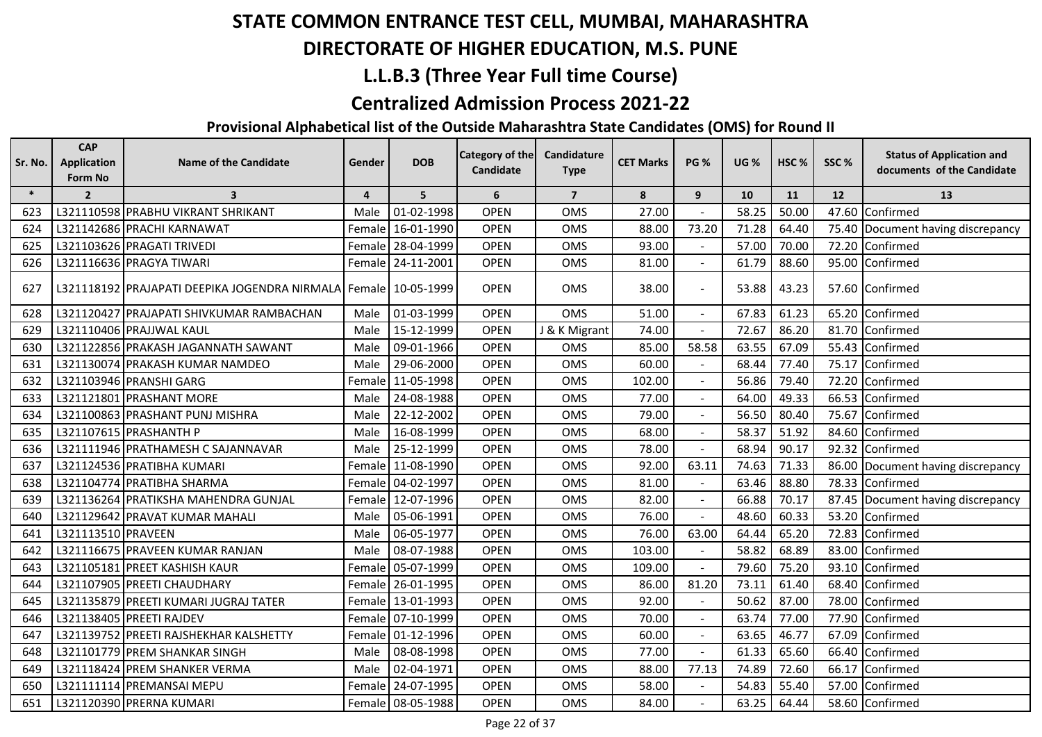## **DIRECTORATE OF HIGHER EDUCATION, M.S. PUNE**

## **L.L.B.3 (Three Year Full time Course)**

#### **Centralized Admission Process 2021-22**

| Sr. No. | <b>CAP</b><br><b>Application</b> | <b>Name of the Candidate</b>                                    | Gender         | <b>DOB</b>        | <b>Category of the</b> | Candidature    | <b>CET Marks</b> | <b>PG %</b>    | <b>UG %</b> | HSC <sub>%</sub> | SSC% | <b>Status of Application and</b>  |
|---------|----------------------------------|-----------------------------------------------------------------|----------------|-------------------|------------------------|----------------|------------------|----------------|-------------|------------------|------|-----------------------------------|
|         | Form No                          |                                                                 |                |                   | Candidate              | <b>Type</b>    |                  |                |             |                  |      | documents of the Candidate        |
| $\ast$  | $\overline{2}$                   | $\overline{\mathbf{3}}$                                         | $\overline{4}$ | 5                 | 6                      | $\overline{7}$ | 8                | 9              | 10          | 11               | 12   | 13                                |
| 623     |                                  | L321110598 PRABHU VIKRANT SHRIKANT                              | Male           | 01-02-1998        | <b>OPEN</b>            | <b>OMS</b>     | 27.00            |                | 58.25       | 50.00            |      | 47.60 Confirmed                   |
| 624     |                                  | L321142686 PRACHI KARNAWAT                                      | Female         | 16-01-1990        | <b>OPEN</b>            | OMS            | 88.00            | 73.20          | 71.28       | 64.40            |      | 75.40 Document having discrepancy |
| 625     |                                  | L321103626 PRAGATI TRIVEDI                                      | Female         | 28-04-1999        | <b>OPEN</b>            | <b>OMS</b>     | 93.00            |                | 57.00       | 70.00            |      | 72.20 Confirmed                   |
| 626     |                                  | L321116636 PRAGYA TIWARI                                        | Female         | 24-11-2001        | <b>OPEN</b>            | <b>OMS</b>     | 81.00            |                | 61.79       | 88.60            |      | 95.00 Confirmed                   |
| 627     |                                  | L321118192 PRAJAPATI DEEPIKA JOGENDRA NIRMALA Female 10-05-1999 |                |                   | <b>OPEN</b>            | OMS            | 38.00            |                | 53.88       | 43.23            |      | 57.60 Confirmed                   |
| 628     |                                  | L321120427 PRAJAPATI SHIVKUMAR RAMBACHAN                        | Male           | 01-03-1999        | <b>OPEN</b>            | <b>OMS</b>     | 51.00            |                | 67.83       | 61.23            |      | 65.20 Confirmed                   |
| 629     |                                  | L321110406 PRAJJWAL KAUL                                        | Male           | 15-12-1999        | <b>OPEN</b>            | J & K Migrant  | 74.00            |                | 72.67       | 86.20            |      | 81.70 Confirmed                   |
| 630     |                                  | L321122856 PRAKASH JAGANNATH SAWANT                             | Male           | 09-01-1966        | <b>OPEN</b>            | <b>OMS</b>     | 85.00            | 58.58          | 63.55       | 67.09            |      | 55.43 Confirmed                   |
| 631     |                                  | L321130074 PRAKASH KUMAR NAMDEO                                 | Male           | 29-06-2000        | <b>OPEN</b>            | OMS            | 60.00            |                | 68.44       | 77.40            |      | 75.17 Confirmed                   |
| 632     |                                  | L321103946 PRANSHI GARG                                         | Female         | 11-05-1998        | <b>OPEN</b>            | <b>OMS</b>     | 102.00           |                | 56.86       | 79.40            |      | 72.20 Confirmed                   |
| 633     |                                  | L321121801 PRASHANT MORE                                        | Male           | 24-08-1988        | <b>OPEN</b>            | <b>OMS</b>     | 77.00            |                | 64.00       | 49.33            |      | 66.53 Confirmed                   |
| 634     |                                  | L321100863 PRASHANT PUNJ MISHRA                                 | Male           | 22-12-2002        | <b>OPEN</b>            | <b>OMS</b>     | 79.00            |                | 56.50       | 80.40            |      | 75.67 Confirmed                   |
| 635     |                                  | L321107615 PRASHANTH P                                          | Male           | 16-08-1999        | <b>OPEN</b>            | OMS            | 68.00            |                | 58.37       | 51.92            |      | 84.60 Confirmed                   |
| 636     |                                  | L321111946 PRATHAMESH C SAJANNAVAR                              | Male           | 25-12-1999        | <b>OPEN</b>            | OMS            | 78.00            |                | 68.94       | 90.17            |      | 92.32 Confirmed                   |
| 637     |                                  | L321124536 PRATIBHA KUMARI                                      | Female         | 11-08-1990        | <b>OPEN</b>            | OMS            | 92.00            | 63.11          | 74.63       | 71.33            |      | 86.00 Document having discrepancy |
| 638     |                                  | L321104774 PRATIBHA SHARMA                                      | Female         | 04-02-1997        | <b>OPEN</b>            | OMS            | 81.00            |                | 63.46       | 88.80            |      | 78.33 Confirmed                   |
| 639     |                                  | L321136264 PRATIKSHA MAHENDRA GUNJAL                            | Female         | 12-07-1996        | <b>OPEN</b>            | OMS            | 82.00            |                | 66.88       | 70.17            |      | 87.45 Document having discrepancy |
| 640     |                                  | L321129642 PRAVAT KUMAR MAHALI                                  | Male           | 05-06-1991        | <b>OPEN</b>            | OMS            | 76.00            |                | 48.60       | 60.33            |      | 53.20 Confirmed                   |
| 641     | L321113510 PRAVEEN               |                                                                 | Male           | 06-05-1977        | <b>OPEN</b>            | <b>OMS</b>     | 76.00            | 63.00          | 64.44       | 65.20            |      | 72.83 Confirmed                   |
| 642     |                                  | L321116675 PRAVEEN KUMAR RANJAN                                 | Male           | 08-07-1988        | <b>OPEN</b>            | OMS            | 103.00           |                | 58.82       | 68.89            |      | 83.00 Confirmed                   |
| 643     |                                  | L321105181 PREET KASHISH KAUR                                   | Female         | 05-07-1999        | <b>OPEN</b>            | OMS            | 109.00           |                | 79.60       | 75.20            |      | 93.10 Confirmed                   |
| 644     |                                  | L321107905 PREETI CHAUDHARY                                     | Female         | 26-01-1995        | <b>OPEN</b>            | OMS            | 86.00            | 81.20          | 73.11       | 61.40            |      | 68.40 Confirmed                   |
| 645     |                                  | L321135879 PREETI KUMARI JUGRAJ TATER                           | Female         | 13-01-1993        | <b>OPEN</b>            | OMS            | 92.00            |                | 50.62       | 87.00            |      | 78.00 Confirmed                   |
| 646     |                                  | L321138405 PREETI RAJDEV                                        | Female         | 07-10-1999        | <b>OPEN</b>            | OMS            | 70.00            | $\blacksquare$ | 63.74       | 77.00            |      | 77.90 Confirmed                   |
| 647     |                                  | L321139752 PREETI RAJSHEKHAR KALSHETTY                          | Female         | 01-12-1996        | <b>OPEN</b>            | OMS            | 60.00            | $\mathbf{r}$   | 63.65       | 46.77            |      | 67.09 Confirmed                   |
| 648     |                                  | L321101779 PREM SHANKAR SINGH                                   | Male           | 08-08-1998        | <b>OPEN</b>            | OMS            | 77.00            |                | 61.33       | 65.60            |      | 66.40 Confirmed                   |
| 649     |                                  | L321118424 PREM SHANKER VERMA                                   | Male           | 02-04-1971        | <b>OPEN</b>            | OMS            | 88.00            | 77.13          | 74.89       | 72.60            |      | 66.17 Confirmed                   |
| 650     |                                  | L321111114 PREMANSAI MEPU                                       | Female         | 24-07-1995        | <b>OPEN</b>            | OMS            | 58.00            |                | 54.83       | 55.40            |      | 57.00 Confirmed                   |
| 651     |                                  | L321120390 PRERNA KUMARI                                        |                | Female 08-05-1988 | <b>OPEN</b>            | <b>OMS</b>     | 84.00            |                | 63.25       | 64.44            |      | 58.60 Confirmed                   |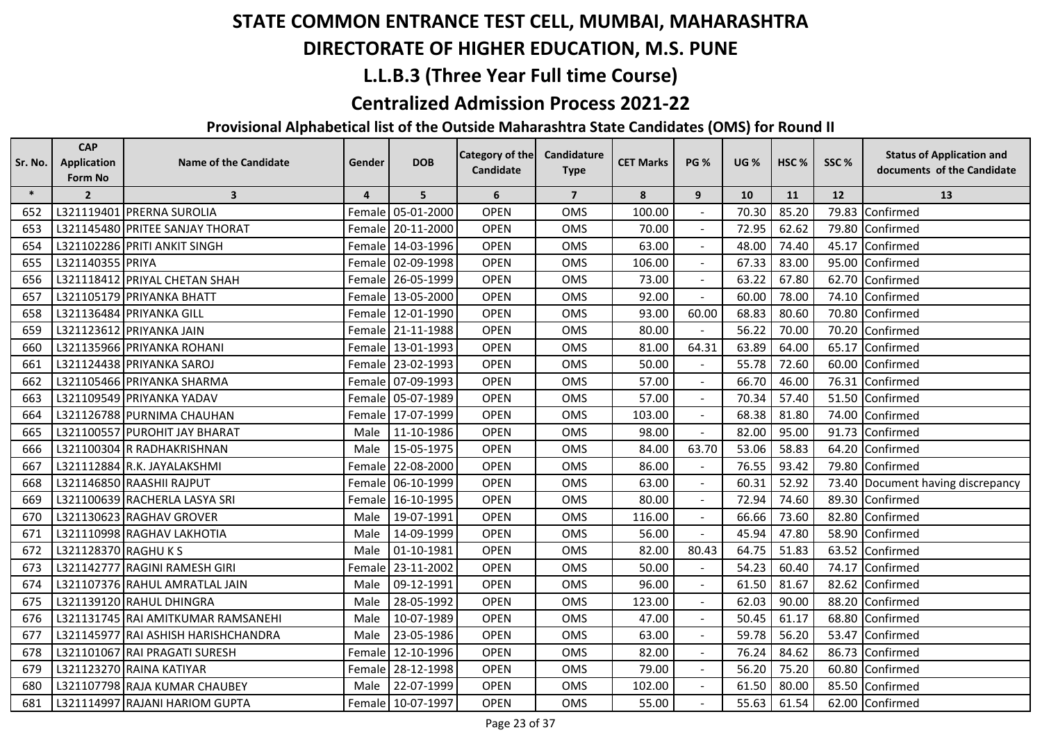## **DIRECTORATE OF HIGHER EDUCATION, M.S. PUNE**

## **L.L.B.3 (Three Year Full time Course)**

#### **Centralized Admission Process 2021-22**

| Sr. No. | <b>CAP</b><br><b>Application</b> | Name of the Candidate               | Gender         | <b>DOB</b> | Category of the | Candidature    | <b>CET Marks</b> | <b>PG %</b> | <b>UG %</b> | HSC <sub>%</sub> | SSC%      | <b>Status of Application and</b>  |
|---------|----------------------------------|-------------------------------------|----------------|------------|-----------------|----------------|------------------|-------------|-------------|------------------|-----------|-----------------------------------|
|         | Form No                          |                                     |                |            | Candidate       | <b>Type</b>    |                  |             |             |                  |           | documents of the Candidate        |
| $\ast$  | $\overline{2}$                   | $\overline{\mathbf{3}}$             | $\overline{4}$ | 5          | 6               | $\overline{7}$ | 8                | 9           | 10          | 11               | <b>12</b> | 13                                |
| 652     |                                  | L321119401 PRERNA SUROLIA           | Female         | 05-01-2000 | <b>OPEN</b>     | <b>OMS</b>     | 100.00           |             | 70.30       | 85.20            | 79.83     | Confirmed                         |
| 653     |                                  | L321145480 PRITEE SANJAY THORAT     | Female         | 20-11-2000 | <b>OPEN</b>     | <b>OMS</b>     | 70.00            |             | 72.95       | 62.62            | 79.80     | Confirmed                         |
| 654     |                                  | L321102286 PRITI ANKIT SINGH        | Female         | 14-03-1996 | <b>OPEN</b>     | <b>OMS</b>     | 63.00            |             | 48.00       | 74.40            | 45.17     | Confirmed                         |
| 655     | L321140355 PRIYA                 |                                     | Female         | 02-09-1998 | <b>OPEN</b>     | <b>OMS</b>     | 106.00           |             | 67.33       | 83.00            | 95.00     | Confirmed                         |
| 656     |                                  | L321118412 PRIYAL CHETAN SHAH       | Female         | 26-05-1999 | <b>OPEN</b>     | <b>OMS</b>     | 73.00            |             | 63.22       | 67.80            | 62.70     | Confirmed                         |
| 657     |                                  | L321105179 PRIYANKA BHATT           | Female         | 13-05-2000 | <b>OPEN</b>     | <b>OMS</b>     | 92.00            |             | 60.00       | 78.00            | 74.10     | Confirmed                         |
| 658     |                                  | L321136484 PRIYANKA GILL            | Female         | 12-01-1990 | <b>OPEN</b>     | <b>OMS</b>     | 93.00            | 60.00       | 68.83       | 80.60            | 70.80     | Confirmed                         |
| 659     |                                  | L321123612 PRIYANKA JAIN            | Female         | 21-11-1988 | <b>OPEN</b>     | <b>OMS</b>     | 80.00            |             | 56.22       | 70.00            | 70.20     | Confirmed                         |
| 660     |                                  | L321135966 PRIYANKA ROHANI          | Female         | 13-01-1993 | <b>OPEN</b>     | <b>OMS</b>     | 81.00            | 64.31       | 63.89       | 64.00            | 65.17     | Confirmed                         |
| 661     |                                  | L321124438 PRIYANKA SAROJ           | Female         | 23-02-1993 | <b>OPEN</b>     | OMS            | 50.00            |             | 55.78       | 72.60            | 60.00     | Confirmed                         |
| 662     |                                  | L321105466 PRIYANKA SHARMA          | Female         | 07-09-1993 | <b>OPEN</b>     | <b>OMS</b>     | 57.00            |             | 66.70       | 46.00            | 76.31     | Confirmed                         |
| 663     |                                  | L321109549 PRIYANKA YADAV           | Female         | 05-07-1989 | <b>OPEN</b>     | <b>OMS</b>     | 57.00            |             | 70.34       | 57.40            | 51.50     | Confirmed                         |
| 664     |                                  | L321126788 PURNIMA CHAUHAN          | Female         | 17-07-1999 | <b>OPEN</b>     | <b>OMS</b>     | 103.00           |             | 68.38       | 81.80            | 74.00     | Confirmed                         |
| 665     |                                  | L321100557 PUROHIT JAY BHARAT       | Male           | 11-10-1986 | <b>OPEN</b>     | <b>OMS</b>     | 98.00            |             | 82.00       | 95.00            | 91.73     | Confirmed                         |
| 666     |                                  | L321100304 R RADHAKRISHNAN          | Male           | 15-05-1975 | <b>OPEN</b>     | <b>OMS</b>     | 84.00            | 63.70       | 53.06       | 58.83            | 64.20     | Confirmed                         |
| 667     |                                  | L321112884 R.K. JAYALAKSHMI         | Female         | 22-08-2000 | <b>OPEN</b>     | <b>OMS</b>     | 86.00            |             | 76.55       | 93.42            | 79.80     | Confirmed                         |
| 668     |                                  | L321146850 RAASHII RAJPUT           | Female         | 06-10-1999 | <b>OPEN</b>     | <b>OMS</b>     | 63.00            |             | 60.31       | 52.92            |           | 73.40 Document having discrepancy |
| 669     |                                  | L321100639 RACHERLA LASYA SRI       | Female         | 16-10-1995 | <b>OPEN</b>     | <b>OMS</b>     | 80.00            |             | 72.94       | 74.60            | 89.30     | Confirmed                         |
| 670     |                                  | L321130623 RAGHAV GROVER            | Male           | 19-07-1991 | <b>OPEN</b>     | <b>OMS</b>     | 116.00           |             | 66.66       | 73.60            | 82.80     | Confirmed                         |
| 671     |                                  | L321110998 RAGHAV LAKHOTIA          | Male           | 14-09-1999 | <b>OPEN</b>     | <b>OMS</b>     | 56.00            |             | 45.94       | 47.80            | 58.90     | Confirmed                         |
| 672     | L321128370 RAGHU K S             |                                     | Male           | 01-10-1981 | <b>OPEN</b>     | <b>OMS</b>     | 82.00            | 80.43       | 64.75       | 51.83            | 63.52     | Confirmed                         |
| 673     |                                  | L321142777 RAGINI RAMESH GIRI       | Female         | 23-11-2002 | <b>OPEN</b>     | <b>OMS</b>     | 50.00            |             | 54.23       | 60.40            | 74.17     | Confirmed                         |
| 674     |                                  | L321107376 RAHUL AMRATLAL JAIN      | Male           | 09-12-1991 | <b>OPEN</b>     | <b>OMS</b>     | 96.00            | $\sim$      | 61.50       | 81.67            | 82.62     | Confirmed                         |
| 675     |                                  | L321139120 RAHUL DHINGRA            | Male           | 28-05-1992 | <b>OPEN</b>     | <b>OMS</b>     | 123.00           |             | 62.03       | 90.00            | 88.20     | Confirmed                         |
| 676     |                                  | L321131745 RAI AMITKUMAR RAMSANEHI  | Male           | 10-07-1989 | <b>OPEN</b>     | <b>OMS</b>     | 47.00            |             | 50.45       | 61.17            | 68.80     | Confirmed                         |
| 677     |                                  | L321145977 RAI ASHISH HARISHCHANDRA | Male           | 23-05-1986 | <b>OPEN</b>     | <b>OMS</b>     | 63.00            |             | 59.78       | 56.20            | 53.47     | Confirmed                         |
| 678     |                                  | L321101067 RAI PRAGATI SURESH       | Female         | 12-10-1996 | <b>OPEN</b>     | <b>OMS</b>     | 82.00            |             | 76.24       | 84.62            | 86.73     | Confirmed                         |
| 679     |                                  | L321123270 RAINA KATIYAR            | Female         | 28-12-1998 | <b>OPEN</b>     | <b>OMS</b>     | 79.00            |             | 56.20       | 75.20            | 60.80     | Confirmed                         |
| 680     |                                  | L321107798 RAJA KUMAR CHAUBEY       | Male           | 22-07-1999 | <b>OPEN</b>     | OMS            | 102.00           |             | 61.50       | 80.00            | 85.50     | Confirmed                         |
| 681     |                                  | L321114997 RAJANI HARIOM GUPTA      | Female         | 10-07-1997 | OPEN            | <b>OMS</b>     | 55.00            |             | 55.63       | 61.54            |           | 62.00 Confirmed                   |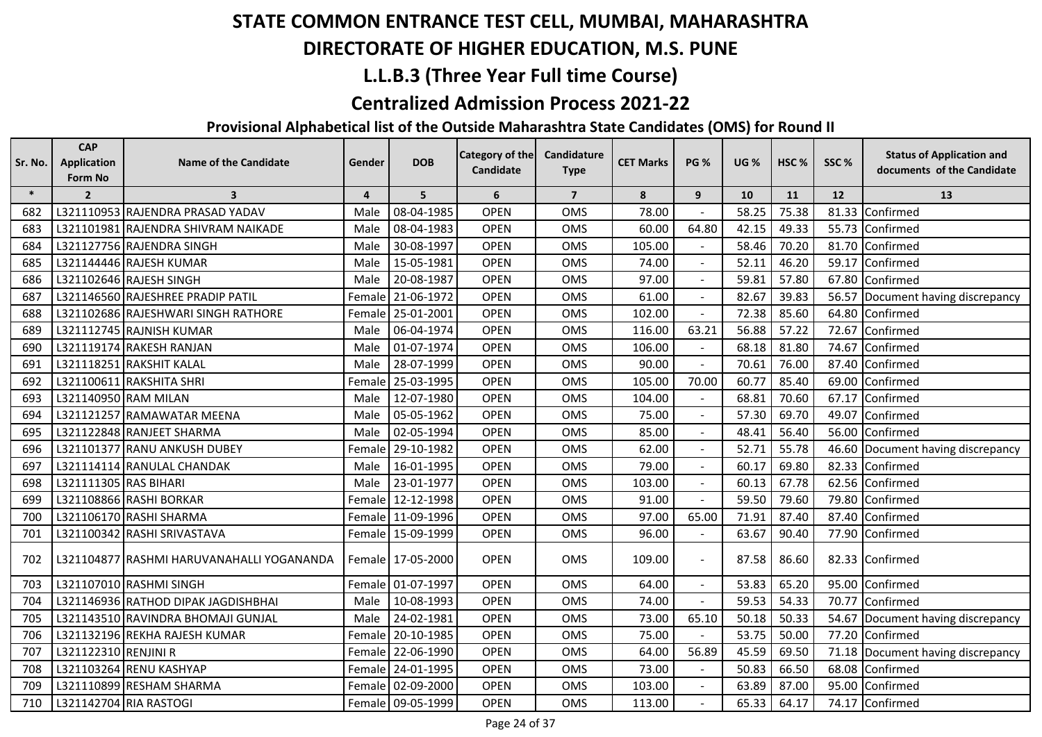## **DIRECTORATE OF HIGHER EDUCATION, M.S. PUNE**

## **L.L.B.3 (Three Year Full time Course)**

#### **Centralized Admission Process 2021-22**

| Sr. No. | <b>CAP</b><br><b>Application</b><br>Form No | <b>Name of the Candidate</b>              | Gender         | <b>DOB</b>        | <b>Category of the</b><br>Candidate | Candidature<br><b>Type</b> | <b>CET Marks</b> | <b>PG %</b>    | <b>UG %</b> | HSC%      | SSC%              | <b>Status of Application and</b><br>documents of the Candidate |
|---------|---------------------------------------------|-------------------------------------------|----------------|-------------------|-------------------------------------|----------------------------|------------------|----------------|-------------|-----------|-------------------|----------------------------------------------------------------|
| $\ast$  | $\overline{2}$                              | $\overline{\mathbf{3}}$                   | $\overline{4}$ | 5                 | 6                                   | $\overline{7}$             | 8                | 9              | 10          | <b>11</b> | $12 \overline{ }$ | 13                                                             |
| 682     |                                             | L321110953 RAJENDRA PRASAD YADAV          | Male           | 08-04-1985        | <b>OPEN</b>                         | <b>OMS</b>                 | 78.00            |                | 58.25       | 75.38     |                   | 81.33 Confirmed                                                |
| 683     |                                             | L321101981 RAJENDRA SHIVRAM NAIKADE       | Male           | 08-04-1983        | <b>OPEN</b>                         | OMS                        | 60.00            | 64.80          | 42.15       | 49.33     |                   | 55.73 Confirmed                                                |
| 684     |                                             | L321127756 RAJENDRA SINGH                 | Male           | 30-08-1997        | <b>OPEN</b>                         | <b>OMS</b>                 | 105.00           |                | 58.46       | 70.20     |                   | 81.70 Confirmed                                                |
| 685     |                                             | L321144446 RAJESH KUMAR                   | Male           | 15-05-1981        | <b>OPEN</b>                         | OMS                        | 74.00            |                | 52.11       | 46.20     |                   | 59.17 Confirmed                                                |
| 686     |                                             | L321102646 RAJESH SINGH                   | Male           | 20-08-1987        | <b>OPEN</b>                         | OMS                        | 97.00            | $\sim$         | 59.81       | 57.80     |                   | 67.80 Confirmed                                                |
| 687     |                                             | L321146560 RAJESHREE PRADIP PATIL         | Female         | 21-06-1972        | <b>OPEN</b>                         | <b>OMS</b>                 | 61.00            | $\mathbf{r}$   | 82.67       | 39.83     |                   | 56.57 Document having discrepancy                              |
| 688     |                                             | L321102686 RAJESHWARI SINGH RATHORE       |                | Female 25-01-2001 | <b>OPEN</b>                         | OMS                        | 102.00           |                | 72.38       | 85.60     |                   | 64.80 Confirmed                                                |
| 689     |                                             | L321112745 RAJNISH KUMAR                  | Male           | 06-04-1974        | <b>OPEN</b>                         | OMS                        | 116.00           | 63.21          | 56.88       | 57.22     |                   | 72.67 Confirmed                                                |
| 690     |                                             | L321119174 RAKESH RANJAN                  | Male           | 01-07-1974        | <b>OPEN</b>                         | OMS                        | 106.00           |                | 68.18       | 81.80     |                   | 74.67 Confirmed                                                |
| 691     |                                             | L321118251 RAKSHIT KALAL                  | Male           | 28-07-1999        | <b>OPEN</b>                         | OMS                        | 90.00            | $\blacksquare$ | 70.61       | 76.00     |                   | 87.40 Confirmed                                                |
| 692     |                                             | L321100611 RAKSHITA SHRI                  | Female         | 25-03-1995        | <b>OPEN</b>                         | <b>OMS</b>                 | 105.00           | 70.00          | 60.77       | 85.40     |                   | 69.00 Confirmed                                                |
| 693     | L321140950 RAM MILAN                        |                                           | Male           | 12-07-1980        | <b>OPEN</b>                         | <b>OMS</b>                 | 104.00           |                | 68.81       | 70.60     |                   | 67.17 Confirmed                                                |
| 694     |                                             | L321121257 RAMAWATAR MEENA                | Male           | 05-05-1962        | <b>OPEN</b>                         | OMS                        | 75.00            |                | 57.30       | 69.70     |                   | 49.07 Confirmed                                                |
| 695     |                                             | L321122848 RANJEET SHARMA                 | Male           | 02-05-1994        | <b>OPEN</b>                         | <b>OMS</b>                 | 85.00            |                | 48.41       | 56.40     |                   | 56.00 Confirmed                                                |
| 696     |                                             | L321101377 RANU ANKUSH DUBEY              | Female         | 29-10-1982        | <b>OPEN</b>                         | <b>OMS</b>                 | 62.00            | $\sim$         | 52.71       | 55.78     |                   | 46.60 Document having discrepancy                              |
| 697     |                                             | L321114114 RANULAL CHANDAK                | Male           | 16-01-1995        | <b>OPEN</b>                         | <b>OMS</b>                 | 79.00            |                | 60.17       | 69.80     |                   | 82.33 Confirmed                                                |
| 698     | L321111305 RAS BIHARI                       |                                           | Male           | 23-01-1977        | <b>OPEN</b>                         | OMS                        | 103.00           |                | 60.13       | 67.78     |                   | 62.56 Confirmed                                                |
| 699     |                                             | L321108866 RASHI BORKAR                   |                | Female 12-12-1998 | <b>OPEN</b>                         | <b>OMS</b>                 | 91.00            |                | 59.50       | 79.60     |                   | 79.80 Confirmed                                                |
| 700     |                                             | L321106170 RASHI SHARMA                   |                | Female 11-09-1996 | <b>OPEN</b>                         | OMS                        | 97.00            | 65.00          | 71.91       | 87.40     |                   | 87.40 Confirmed                                                |
| 701     |                                             | L321100342 RASHI SRIVASTAVA               |                | Female 15-09-1999 | <b>OPEN</b>                         | OMS                        | 96.00            |                | 63.67       | 90.40     |                   | 77.90 Confirmed                                                |
| 702     |                                             | L321104877 RASHMI HARUVANAHALLI YOGANANDA |                | Female 17-05-2000 | <b>OPEN</b>                         | OMS                        | 109.00           | $\sim$         | 87.58       | 86.60     |                   | 82.33 Confirmed                                                |
| 703     |                                             | L321107010 RASHMI SINGH                   |                | Female 01-07-1997 | <b>OPEN</b>                         | OMS                        | 64.00            |                | 53.83       | 65.20     |                   | 95.00 Confirmed                                                |
| 704     |                                             | L321146936 RATHOD DIPAK JAGDISHBHAI       | Male           | 10-08-1993        | <b>OPEN</b>                         | OMS                        | 74.00            |                | 59.53       | 54.33     |                   | 70.77 Confirmed                                                |
| 705     |                                             | L321143510 RAVINDRA BHOMAJI GUNJAL        | Male           | 24-02-1981        | <b>OPEN</b>                         | <b>OMS</b>                 | 73.00            | 65.10          | 50.18       | 50.33     |                   | 54.67 Document having discrepancy                              |
| 706     |                                             | L321132196 REKHA RAJESH KUMAR             |                | Female 20-10-1985 | <b>OPEN</b>                         | OMS                        | 75.00            |                | 53.75       | 50.00     |                   | 77.20 Confirmed                                                |
| 707     | L321122310 RENJINI R                        |                                           |                | Female 22-06-1990 | <b>OPEN</b>                         | OMS                        | 64.00            | 56.89          | 45.59       | 69.50     |                   | 71.18 Document having discrepancy                              |
| 708     |                                             | L321103264 RENU KASHYAP                   |                | Female 24-01-1995 | <b>OPEN</b>                         | <b>OMS</b>                 | 73.00            |                | 50.83       | 66.50     |                   | 68.08 Confirmed                                                |
| 709     |                                             | L321110899 RESHAM SHARMA                  |                | Female 02-09-2000 | <b>OPEN</b>                         | OMS                        | 103.00           |                | 63.89       | 87.00     |                   | 95.00 Confirmed                                                |
| 710     |                                             | L321142704 RIA RASTOGI                    |                | Female 09-05-1999 | <b>OPEN</b>                         | <b>OMS</b>                 | 113.00           |                | 65.33       | 64.17     |                   | 74.17 Confirmed                                                |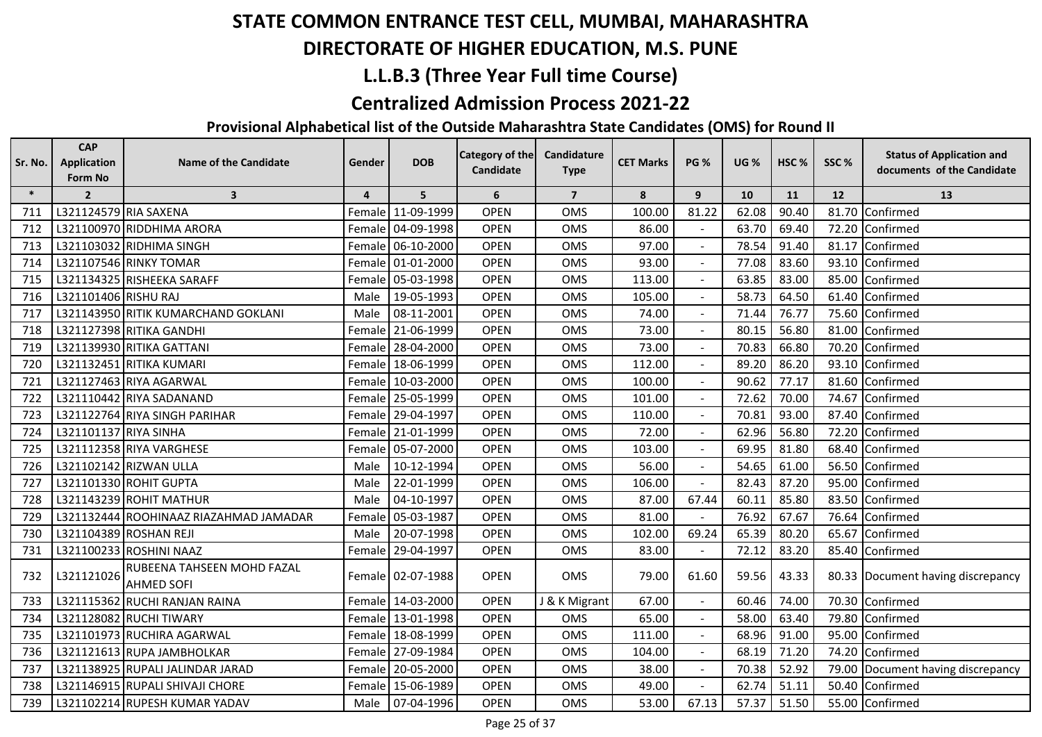## **DIRECTORATE OF HIGHER EDUCATION, M.S. PUNE**

## **L.L.B.3 (Three Year Full time Course)**

#### **Centralized Admission Process 2021-22**

| Sr. No. | <b>CAP</b><br><b>Application</b><br>Form No | <b>Name of the Candidate</b>                    | Gender         | <b>DOB</b>        | Category of the<br>Candidate | Candidature<br><b>Type</b> | <b>CET Marks</b> | <b>PG %</b>    | <b>UG %</b> | HSC%  | SSC%  | <b>Status of Application and</b><br>documents of the Candidate |
|---------|---------------------------------------------|-------------------------------------------------|----------------|-------------------|------------------------------|----------------------------|------------------|----------------|-------------|-------|-------|----------------------------------------------------------------|
| $\ast$  | $\overline{2}$                              | $\overline{\mathbf{3}}$                         | $\overline{4}$ | 5                 | 6                            | $\overline{7}$             | 8                | 9              | 10          | 11    | 12    | 13                                                             |
| 711     | L321124579 RIA SAXENA                       |                                                 |                | Female 11-09-1999 | <b>OPEN</b>                  | <b>OMS</b>                 | 100.00           | 81.22          | 62.08       | 90.40 | 81.70 | Confirmed                                                      |
| 712     |                                             | L321100970 RIDDHIMA ARORA                       |                | Female 04-09-1998 | <b>OPEN</b>                  | OMS                        | 86.00            |                | 63.70       | 69.40 | 72.20 | Confirmed                                                      |
| 713     |                                             | L321103032 RIDHIMA SINGH                        |                | Female 06-10-2000 | <b>OPEN</b>                  | OMS                        | 97.00            |                | 78.54       | 91.40 | 81.17 | Confirmed                                                      |
| 714     |                                             | L321107546 RINKY TOMAR                          |                | Female 01-01-2000 | <b>OPEN</b>                  | OMS                        | 93.00            |                | 77.08       | 83.60 | 93.10 | Confirmed                                                      |
| 715     |                                             | L321134325 RISHEEKA SARAFF                      | Female         | 05-03-1998        | <b>OPEN</b>                  | OMS                        | 113.00           |                | 63.85       | 83.00 | 85.00 | Confirmed                                                      |
| 716     | L321101406 RISHU RAJ                        |                                                 | Male           | 19-05-1993        | <b>OPEN</b>                  | <b>OMS</b>                 | 105.00           | $\sim$         | 58.73       | 64.50 | 61.40 | Confirmed                                                      |
| 717     |                                             | L321143950 RITIK KUMARCHAND GOKLANI             | Male           | 08-11-2001        | <b>OPEN</b>                  | <b>OMS</b>                 | 74.00            |                | 71.44       | 76.77 | 75.60 | Confirmed                                                      |
| 718     |                                             | L321127398 RITIKA GANDHI                        |                | Female 21-06-1999 | <b>OPEN</b>                  | OMS                        | 73.00            |                | 80.15       | 56.80 | 81.00 | Confirmed                                                      |
| 719     |                                             | L321139930 RITIKA GATTANI                       |                | Female 28-04-2000 | <b>OPEN</b>                  | OMS                        | 73.00            |                | 70.83       | 66.80 | 70.20 | Confirmed                                                      |
| 720     |                                             | L321132451 RITIKA KUMARI                        |                | Female 18-06-1999 | <b>OPEN</b>                  | OMS                        | 112.00           |                | 89.20       | 86.20 | 93.10 | Confirmed                                                      |
| 721     |                                             | L321127463 RIYA AGARWAL                         |                | Female 10-03-2000 | <b>OPEN</b>                  | <b>OMS</b>                 | 100.00           |                | 90.62       | 77.17 | 81.60 | Confirmed                                                      |
| 722     |                                             | L321110442 RIYA SADANAND                        |                | Female 25-05-1999 | <b>OPEN</b>                  | OMS                        | 101.00           |                | 72.62       | 70.00 | 74.67 | Confirmed                                                      |
| 723     |                                             | L321122764 RIYA SINGH PARIHAR                   |                | Female 29-04-1997 | <b>OPEN</b>                  | OMS                        | 110.00           |                | 70.81       | 93.00 | 87.40 | Confirmed                                                      |
| 724     | L321101137 RIYA SINHA                       |                                                 |                | Female 21-01-1999 | <b>OPEN</b>                  | <b>OMS</b>                 | 72.00            |                | 62.96       | 56.80 | 72.20 | Confirmed                                                      |
| 725     |                                             | L321112358 RIYA VARGHESE                        | Female         | 05-07-2000        | <b>OPEN</b>                  | OMS                        | 103.00           |                | 69.95       | 81.80 | 68.40 | Confirmed                                                      |
| 726     |                                             | L321102142 RIZWAN ULLA                          | Male           | 10-12-1994        | <b>OPEN</b>                  | <b>OMS</b>                 | 56.00            | $\blacksquare$ | 54.65       | 61.00 | 56.50 | Confirmed                                                      |
| 727     |                                             | L321101330 ROHIT GUPTA                          | Male           | 22-01-1999        | <b>OPEN</b>                  | <b>OMS</b>                 | 106.00           |                | 82.43       | 87.20 | 95.00 | Confirmed                                                      |
| 728     |                                             | L321143239 ROHIT MATHUR                         | Male           | 04-10-1997        | <b>OPEN</b>                  | <b>OMS</b>                 | 87.00            | 67.44          | 60.11       | 85.80 | 83.50 | Confirmed                                                      |
| 729     |                                             | L321132444 ROOHINAAZ RIAZAHMAD JAMADAR          | Female         | 05-03-1987        | <b>OPEN</b>                  | <b>OMS</b>                 | 81.00            |                | 76.92       | 67.67 | 76.64 | Confirmed                                                      |
| 730     |                                             | L321104389 ROSHAN REJI                          | Male           | 20-07-1998        | <b>OPEN</b>                  | <b>OMS</b>                 | 102.00           | 69.24          | 65.39       | 80.20 | 65.67 | Confirmed                                                      |
| 731     |                                             | L321100233 ROSHINI NAAZ                         |                | Female 29-04-1997 | <b>OPEN</b>                  | <b>OMS</b>                 | 83.00            |                | 72.12       | 83.20 | 85.40 | Confirmed                                                      |
| 732     | L321121026                                  | RUBEENA TAHSEEN MOHD FAZAL<br><b>AHMED SOFI</b> |                | Female 02-07-1988 | <b>OPEN</b>                  | <b>OMS</b>                 | 79.00            | 61.60          | 59.56       | 43.33 |       | 80.33 Document having discrepancy                              |
| 733     |                                             | L321115362 RUCHI RANJAN RAINA                   |                | Female 14-03-2000 | <b>OPEN</b>                  | J & K Migrant              | 67.00            |                | 60.46       | 74.00 | 70.30 | Confirmed                                                      |
| 734     |                                             | L321128082 RUCHI TIWARY                         |                | Female 13-01-1998 | <b>OPEN</b>                  | <b>OMS</b>                 | 65.00            |                | 58.00       | 63.40 | 79.80 | Confirmed                                                      |
| 735     |                                             | L321101973 RUCHIRA AGARWAL                      |                | Female 18-08-1999 | <b>OPEN</b>                  | <b>OMS</b>                 | 111.00           |                | 68.96       | 91.00 | 95.00 | Confirmed                                                      |
| 736     |                                             | L321121613 RUPA JAMBHOLKAR                      |                | Female 27-09-1984 | <b>OPEN</b>                  | <b>OMS</b>                 | 104.00           |                | 68.19       | 71.20 | 74.20 | Confirmed                                                      |
| 737     |                                             | L321138925 RUPALI JALINDAR JARAD                |                | Female 20-05-2000 | <b>OPEN</b>                  | OMS                        | 38.00            |                | 70.38       | 52.92 | 79.00 | Document having discrepancy                                    |
| 738     |                                             | L321146915 RUPALI SHIVAJI CHORE                 |                | Female 15-06-1989 | <b>OPEN</b>                  | OMS                        | 49.00            |                | 62.74       | 51.11 | 50.40 | Confirmed                                                      |
| 739     |                                             | L321102214 RUPESH KUMAR YADAV                   | Male           | 07-04-1996        | <b>OPEN</b>                  | <b>OMS</b>                 | 53.00            | 67.13          | 57.37       | 51.50 |       | 55.00 Confirmed                                                |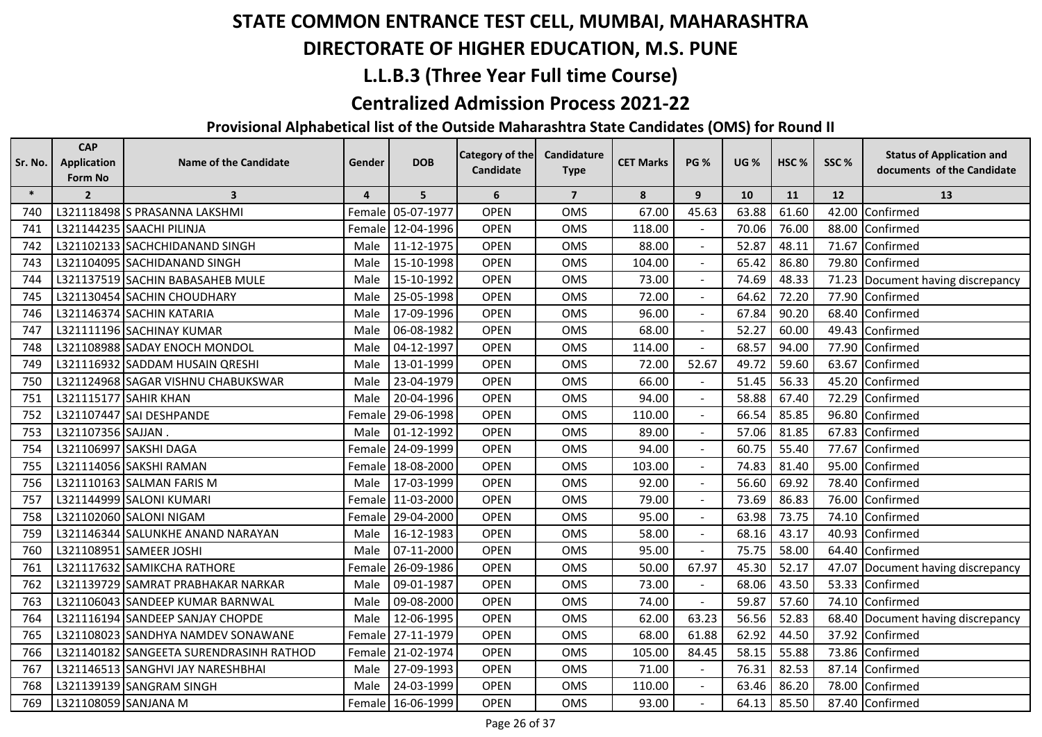## **DIRECTORATE OF HIGHER EDUCATION, M.S. PUNE**

## **L.L.B.3 (Three Year Full time Course)**

#### **Centralized Admission Process 2021-22**

| Sr. No. | <b>CAP</b><br><b>Application</b> | <b>Name of the Candidate</b>            | Gender         | <b>DOB</b>        | Category of the | Candidature    | <b>CET Marks</b> | <b>PG %</b>    | <b>UG %</b> | HSC <sub>%</sub> | SSC%  | <b>Status of Application and</b> |
|---------|----------------------------------|-----------------------------------------|----------------|-------------------|-----------------|----------------|------------------|----------------|-------------|------------------|-------|----------------------------------|
|         | Form No                          |                                         |                |                   | Candidate       | <b>Type</b>    |                  |                |             |                  |       | documents of the Candidate       |
| $\ast$  | $\overline{2}$                   | 3                                       | $\overline{4}$ | 5                 | 6               | $\overline{7}$ | 8                | 9              | 10          | 11               | 12    | 13                               |
| 740     |                                  | L321118498 S PRASANNA LAKSHMI           | <b>Female</b>  | 05-07-1977        | <b>OPEN</b>     | OMS            | 67.00            | 45.63          | 63.88       | 61.60            | 42.00 | Confirmed                        |
| 741     |                                  | L321144235 SAACHI PILINJA               | Female         | 12-04-1996        | <b>OPEN</b>     | <b>OMS</b>     | 118.00           |                | 70.06       | 76.00            | 88.00 | Confirmed                        |
| 742     |                                  | L321102133 SACHCHIDANAND SINGH          | Male           | 11-12-1975        | <b>OPEN</b>     | <b>OMS</b>     | 88.00            |                | 52.87       | 48.11            | 71.67 | Confirmed                        |
| 743     |                                  | L321104095 SACHIDANAND SINGH            | Male           | 15-10-1998        | <b>OPEN</b>     | <b>OMS</b>     | 104.00           |                | 65.42       | 86.80            | 79.80 | Confirmed                        |
| 744     |                                  | L321137519 SACHIN BABASAHEB MULE        | Male           | 15-10-1992        | <b>OPEN</b>     | <b>OMS</b>     | 73.00            |                | 74.69       | 48.33            | 71.23 | Document having discrepancy      |
| 745     |                                  | L321130454 SACHIN CHOUDHARY             | Male           | 25-05-1998        | <b>OPEN</b>     | <b>OMS</b>     | 72.00            |                | 64.62       | 72.20            | 77.90 | Confirmed                        |
| 746     |                                  | L321146374 SACHIN KATARIA               | Male           | 17-09-1996        | <b>OPEN</b>     | <b>OMS</b>     | 96.00            |                | 67.84       | 90.20            | 68.40 | Confirmed                        |
| 747     |                                  | L321111196 SACHINAY KUMAR               | Male           | 06-08-1982        | <b>OPEN</b>     | <b>OMS</b>     | 68.00            |                | 52.27       | 60.00            |       | 49.43 Confirmed                  |
| 748     |                                  | L321108988 SADAY ENOCH MONDOL           | Male           | 04-12-1997        | <b>OPEN</b>     | <b>OMS</b>     | 114.00           |                | 68.57       | 94.00            | 77.90 | Confirmed                        |
| 749     |                                  | L321116932 SADDAM HUSAIN QRESHI         | Male           | 13-01-1999        | <b>OPEN</b>     | OMS            | 72.00            | 52.67          | 49.72       | 59.60            | 63.67 | Confirmed                        |
| 750     |                                  | L321124968 SAGAR VISHNU CHABUKSWAR      | Male           | 23-04-1979        | <b>OPEN</b>     | <b>OMS</b>     | 66.00            |                | 51.45       | 56.33            | 45.20 | Confirmed                        |
| 751     |                                  | L321115177 SAHIR KHAN                   | Male           | 20-04-1996        | <b>OPEN</b>     | <b>OMS</b>     | 94.00            |                | 58.88       | 67.40            | 72.29 | Confirmed                        |
| 752     |                                  | L321107447 SAI DESHPANDE                | Female         | 29-06-1998        | <b>OPEN</b>     | <b>OMS</b>     | 110.00           |                | 66.54       | 85.85            |       | 96.80 Confirmed                  |
| 753     | L321107356 SAJJAN.               |                                         | Male           | 01-12-1992        | <b>OPEN</b>     | <b>OMS</b>     | 89.00            |                | 57.06       | 81.85            | 67.83 | Confirmed                        |
| 754     |                                  | L321106997 SAKSHI DAGA                  | Female         | 24-09-1999        | <b>OPEN</b>     | OMS            | 94.00            |                | 60.75       | 55.40            | 77.67 | Confirmed                        |
| 755     |                                  | L321114056 SAKSHI RAMAN                 | Female         | 18-08-2000        | <b>OPEN</b>     | <b>OMS</b>     | 103.00           |                | 74.83       | 81.40            | 95.00 | Confirmed                        |
| 756     |                                  | L321110163 SALMAN FARIS M               | Male           | 17-03-1999        | <b>OPEN</b>     | <b>OMS</b>     | 92.00            |                | 56.60       | 69.92            | 78.40 | Confirmed                        |
| 757     |                                  | L321144999 SALONI KUMARI                |                | Female 11-03-2000 | <b>OPEN</b>     | <b>OMS</b>     | 79.00            |                | 73.69       | 86.83            |       | 76.00 Confirmed                  |
| 758     |                                  | L321102060 SALONI NIGAM                 | Female         | 29-04-2000        | <b>OPEN</b>     | <b>OMS</b>     | 95.00            |                | 63.98       | 73.75            |       | 74.10 Confirmed                  |
| 759     |                                  | L321146344 SALUNKHE ANAND NARAYAN       | Male           | 16-12-1983        | <b>OPEN</b>     | <b>OMS</b>     | 58.00            | $\blacksquare$ | 68.16       | 43.17            |       | 40.93 Confirmed                  |
| 760     |                                  | L321108951 SAMEER JOSHI                 | Male           | 07-11-2000        | <b>OPEN</b>     | <b>OMS</b>     | 95.00            |                | 75.75       | 58.00            |       | 64.40 Confirmed                  |
| 761     |                                  | L321117632 SAMIKCHA RATHORE             | Female         | 26-09-1986        | <b>OPEN</b>     | OMS            | 50.00            | 67.97          | 45.30       | 52.17            | 47.07 | Document having discrepancy      |
| 762     |                                  | L321139729 SAMRAT PRABHAKAR NARKAR      | Male           | 09-01-1987        | <b>OPEN</b>     | <b>OMS</b>     | 73.00            |                | 68.06       | 43.50            |       | 53.33 Confirmed                  |
| 763     |                                  | L321106043 SANDEEP KUMAR BARNWAL        | Male           | 09-08-2000        | <b>OPEN</b>     | <b>OMS</b>     | 74.00            |                | 59.87       | 57.60            |       | 74.10 Confirmed                  |
| 764     |                                  | L321116194 SANDEEP SANJAY CHOPDE        | Male           | 12-06-1995        | <b>OPEN</b>     | OMS            | 62.00            | 63.23          | 56.56       | 52.83            | 68.40 | Document having discrepancy      |
| 765     |                                  | L321108023 SANDHYA NAMDEV SONAWANE      | Female         | 27-11-1979        | <b>OPEN</b>     | <b>OMS</b>     | 68.00            | 61.88          | 62.92       | 44.50            | 37.92 | Confirmed                        |
| 766     |                                  | L321140182 SANGEETA SURENDRASINH RATHOD | Female         | 21-02-1974        | <b>OPEN</b>     | <b>OMS</b>     | 105.00           | 84.45          | 58.15       | 55.88            |       | 73.86 Confirmed                  |
| 767     |                                  | L321146513 SANGHVI JAY NARESHBHAI       | Male           | 27-09-1993        | <b>OPEN</b>     | <b>OMS</b>     | 71.00            |                | 76.31       | 82.53            |       | 87.14 Confirmed                  |
| 768     |                                  | L321139139 SANGRAM SINGH                | Male           | 24-03-1999        | <b>OPEN</b>     | OMS            | 110.00           |                | 63.46       | 86.20            |       | 78.00 Confirmed                  |
| 769     | L321108059 SANJANA M             |                                         |                | Female 16-06-1999 | <b>OPEN</b>     | OMS            | 93.00            |                | 64.13       | 85.50            |       | 87.40 Confirmed                  |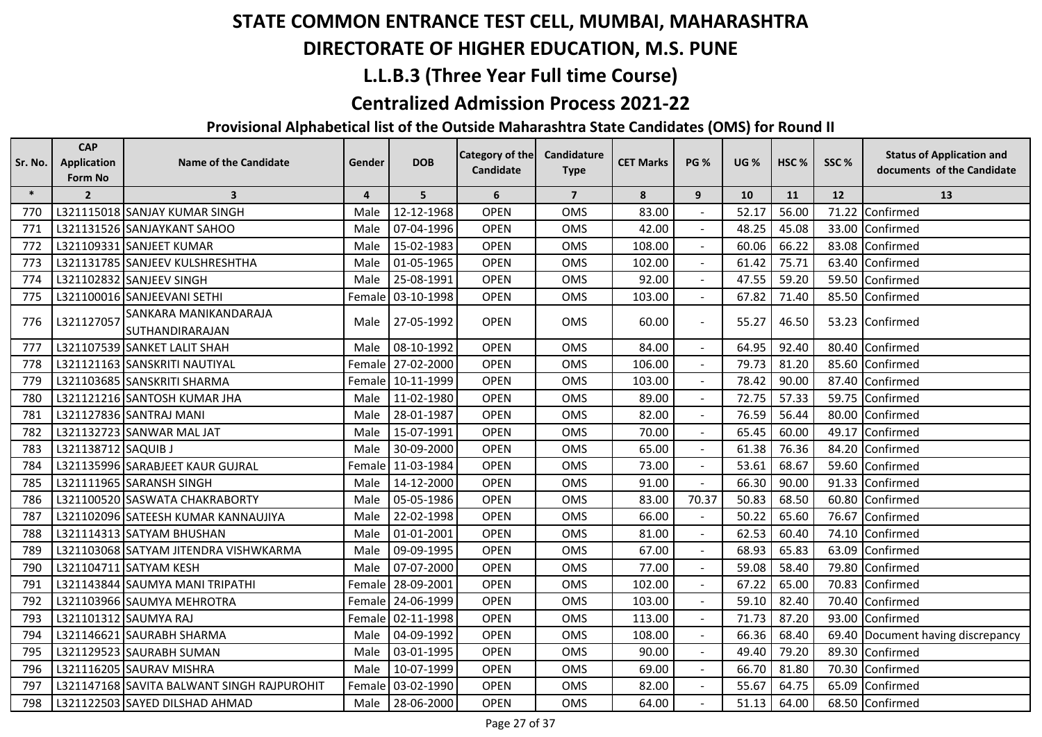## **DIRECTORATE OF HIGHER EDUCATION, M.S. PUNE**

## **L.L.B.3 (Three Year Full time Course)**

#### **Centralized Admission Process 2021-22**

| Sr. No. | <b>CAP</b><br><b>Application</b> | <b>Name of the Candidate</b>               | Gender         | <b>DOB</b>        | Category of the | Candidature    | <b>CET Marks</b> | <b>PG %</b>    | <b>UG %</b> | HSC <sub>%</sub> | SSC%  | <b>Status of Application and</b>  |
|---------|----------------------------------|--------------------------------------------|----------------|-------------------|-----------------|----------------|------------------|----------------|-------------|------------------|-------|-----------------------------------|
|         | Form No                          |                                            |                |                   | Candidate       | <b>Type</b>    |                  |                |             |                  |       | documents of the Candidate        |
| $\ast$  | $\overline{2}$                   | $\overline{\mathbf{3}}$                    | $\overline{4}$ | 5                 | 6               | $\overline{7}$ | 8                | 9              | 10          | 11               | 12    | 13                                |
| 770     |                                  | L321115018 SANJAY KUMAR SINGH              | Male           | 12-12-1968        | <b>OPEN</b>     | <b>OMS</b>     | 83.00            |                | 52.17       | 56.00            | 71.22 | Confirmed                         |
| 771     |                                  | L321131526 SANJAYKANT SAHOO                | Male           | 07-04-1996        | <b>OPEN</b>     | <b>OMS</b>     | 42.00            |                | 48.25       | 45.08            | 33.00 | Confirmed                         |
| 772     |                                  | L321109331 SANJEET KUMAR                   | Male           | 15-02-1983        | <b>OPEN</b>     | <b>OMS</b>     | 108.00           |                | 60.06       | 66.22            |       | 83.08 Confirmed                   |
| 773     |                                  | L321131785 SANJEEV KULSHRESHTHA            | Male           | 01-05-1965        | <b>OPEN</b>     | <b>OMS</b>     | 102.00           |                | 61.42       | 75.71            | 63.40 | Confirmed                         |
| 774     |                                  | L321102832 SANJEEV SINGH                   | Male           | 25-08-1991        | <b>OPEN</b>     | <b>OMS</b>     | 92.00            |                | 47.55       | 59.20            | 59.50 | Confirmed                         |
| 775     |                                  | L321100016 SANJEEVANI SETHI                | Female         | 03-10-1998        | <b>OPEN</b>     | <b>OMS</b>     | 103.00           |                | 67.82       | 71.40            | 85.50 | Confirmed                         |
| 776     | L321127057                       | SANKARA MANIKANDARAJA                      | Male           | 27-05-1992        | <b>OPEN</b>     | OMS            | 60.00            | $\blacksquare$ | 55.27       | 46.50            |       | 53.23 Confirmed                   |
|         |                                  | SUTHANDIRARAJAN                            |                |                   |                 |                |                  |                |             |                  |       |                                   |
| 777     |                                  | L321107539 SANKET LALIT SHAH               | Male           | 08-10-1992        | <b>OPEN</b>     | <b>OMS</b>     | 84.00            |                | 64.95       | 92.40            | 80.40 | Confirmed                         |
| 778     |                                  | L321121163 SANSKRITI NAUTIYAL              |                | Female 27-02-2000 | <b>OPEN</b>     | OMS            | 106.00           |                | 79.73       | 81.20            |       | 85.60 Confirmed                   |
| 779     |                                  | L321103685 SANSKRITI SHARMA                |                | Female 10-11-1999 | <b>OPEN</b>     | <b>OMS</b>     | 103.00           |                | 78.42       | 90.00            | 87.40 | Confirmed                         |
| 780     |                                  | L321121216 SANTOSH KUMAR JHA               | Male           | 11-02-1980        | <b>OPEN</b>     | <b>OMS</b>     | 89.00            |                | 72.75       | 57.33            | 59.75 | Confirmed                         |
| 781     |                                  | L321127836 SANTRAJ MANI                    | Male           | 28-01-1987        | <b>OPEN</b>     | <b>OMS</b>     | 82.00            |                | 76.59       | 56.44            | 80.00 | Confirmed                         |
| 782     |                                  | L321132723 SANWAR MAL JAT                  | Male           | 15-07-1991        | <b>OPEN</b>     | <b>OMS</b>     | 70.00            |                | 65.45       | 60.00            | 49.17 | Confirmed                         |
| 783     | L321138712 SAQUIB J              |                                            | Male           | 30-09-2000        | <b>OPEN</b>     | <b>OMS</b>     | 65.00            |                | 61.38       | 76.36            | 84.20 | Confirmed                         |
| 784     |                                  | L321135996 SARABJEET KAUR GUJRAL           |                | Female 11-03-1984 | <b>OPEN</b>     | <b>OMS</b>     | 73.00            |                | 53.61       | 68.67            | 59.60 | Confirmed                         |
| 785     |                                  | L321111965 SARANSH SINGH                   | Male           | 14-12-2000        | <b>OPEN</b>     | <b>OMS</b>     | 91.00            |                | 66.30       | 90.00            | 91.33 | Confirmed                         |
| 786     |                                  | L321100520 SASWATA CHAKRABORTY             | Male           | 05-05-1986        | <b>OPEN</b>     | <b>OMS</b>     | 83.00            | 70.37          | 50.83       | 68.50            | 60.80 | Confirmed                         |
| 787     |                                  | L321102096 SATEESH KUMAR KANNAUJIYA        | Male           | 22-02-1998        | <b>OPEN</b>     | <b>OMS</b>     | 66.00            |                | 50.22       | 65.60            | 76.67 | Confirmed                         |
| 788     |                                  | L321114313 SATYAM BHUSHAN                  | Male           | 01-01-2001        | <b>OPEN</b>     | <b>OMS</b>     | 81.00            |                | 62.53       | 60.40            | 74.10 | Confirmed                         |
| 789     |                                  | L321103068 SATYAM JITENDRA VISHWKARMA      | Male           | 09-09-1995        | <b>OPEN</b>     | <b>OMS</b>     | 67.00            |                | 68.93       | 65.83            | 63.09 | Confirmed                         |
| 790     |                                  | L321104711 SATYAM KESH                     | Male           | 07-07-2000        | <b>OPEN</b>     | <b>OMS</b>     | 77.00            |                | 59.08       | 58.40            | 79.80 | Confirmed                         |
| 791     |                                  | L321143844 SAUMYA MANI TRIPATHI            |                | Female 28-09-2001 | <b>OPEN</b>     | <b>OMS</b>     | 102.00           |                | 67.22       | 65.00            |       | 70.83 Confirmed                   |
| 792     |                                  | L321103966 SAUMYA MEHROTRA                 |                | Female 24-06-1999 | <b>OPEN</b>     | <b>OMS</b>     | 103.00           |                | 59.10       | 82.40            | 70.40 | Confirmed                         |
| 793     |                                  | L321101312 SAUMYA RAJ                      | Female         | 02-11-1998        | <b>OPEN</b>     | OMS            | 113.00           |                | 71.73       | 87.20            | 93.00 | Confirmed                         |
| 794     |                                  | L321146621 SAURABH SHARMA                  | Male           | 04-09-1992        | <b>OPEN</b>     | <b>OMS</b>     | 108.00           |                | 66.36       | 68.40            |       | 69.40 Document having discrepancy |
| 795     |                                  | L321129523 SAURABH SUMAN                   | Male           | 03-01-1995        | <b>OPEN</b>     | <b>OMS</b>     | 90.00            |                | 49.40       | 79.20            |       | 89.30 Confirmed                   |
| 796     |                                  | L321116205 SAURAV MISHRA                   | Male           | 10-07-1999        | <b>OPEN</b>     | OMS            | 69.00            |                | 66.70       | 81.80            |       | 70.30 Confirmed                   |
| 797     |                                  | L321147168 SAVITA BALWANT SINGH RAJPUROHIT | Female         | 03-02-1990        | <b>OPEN</b>     | OMS            | 82.00            |                | 55.67       | 64.75            | 65.09 | Confirmed                         |
| 798     |                                  | L321122503 SAYED DILSHAD AHMAD             | Male           | 28-06-2000        | <b>OPEN</b>     | <b>OMS</b>     | 64.00            |                | 51.13       | 64.00            |       | 68.50 Confirmed                   |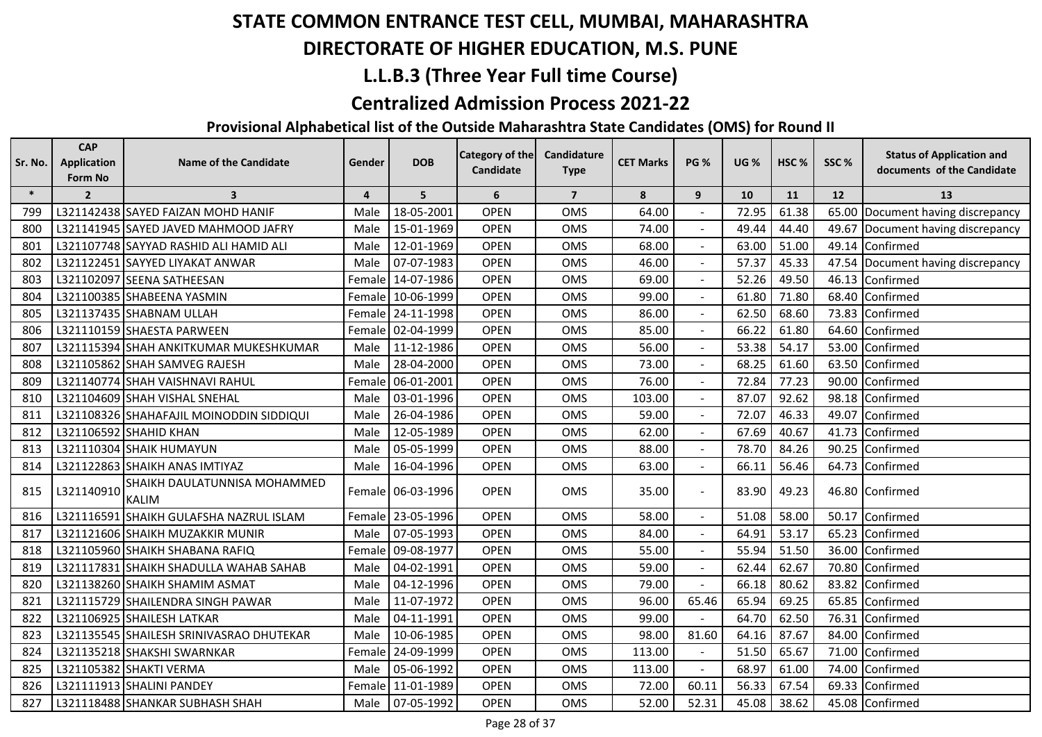## **DIRECTORATE OF HIGHER EDUCATION, M.S. PUNE**

## **L.L.B.3 (Three Year Full time Course)**

#### **Centralized Admission Process 2021-22**

| Sr. No. | <b>CAP</b><br><b>Application</b> | <b>Name of the Candidate</b>                  | Gender                  | <b>DOB</b>        | <b>Category of the</b> | Candidature    | <b>CET Marks</b> | <b>PG %</b>  | <b>UG %</b> | HSC <sub>%</sub> | SSC% | <b>Status of Application and</b>  |
|---------|----------------------------------|-----------------------------------------------|-------------------------|-------------------|------------------------|----------------|------------------|--------------|-------------|------------------|------|-----------------------------------|
|         | Form No                          |                                               |                         |                   | Candidate              | <b>Type</b>    |                  |              |             |                  |      | documents of the Candidate        |
| $\ast$  | $\overline{2}$                   | $\overline{\mathbf{3}}$                       | $\overline{\mathbf{4}}$ | 5                 | 6                      | $\overline{7}$ | 8                | 9            | 10          | 11               | 12   | 13                                |
| 799     |                                  | L321142438 SAYED FAIZAN MOHD HANIF            | Male                    | 18-05-2001        | <b>OPEN</b>            | <b>OMS</b>     | 64.00            |              | 72.95       | 61.38            |      | 65.00 Document having discrepancy |
| 800     |                                  | L321141945 SAYED JAVED MAHMOOD JAFRY          | Male                    | 15-01-1969        | <b>OPEN</b>            | <b>OMS</b>     | 74.00            |              | 49.44       | 44.40            |      | 49.67 Document having discrepancy |
| 801     |                                  | L321107748 SAYYAD RASHID ALI HAMID ALI        | Male                    | 12-01-1969        | <b>OPEN</b>            | OMS            | 68.00            |              | 63.00       | 51.00            |      | 49.14 Confirmed                   |
| 802     |                                  | L321122451 SAYYED LIYAKAT ANWAR               | Male                    | 07-07-1983        | <b>OPEN</b>            | OMS            | 46.00            |              | 57.37       | 45.33            |      | 47.54 Document having discrepancy |
| 803     |                                  | L321102097 SEENA SATHEESAN                    | Female                  | 14-07-1986        | <b>OPEN</b>            | <b>OMS</b>     | 69.00            |              | 52.26       | 49.50            |      | 46.13 Confirmed                   |
| 804     |                                  | L321100385 SHABEENA YASMIN                    | Female                  | 10-06-1999        | <b>OPEN</b>            | OMS            | 99.00            |              | 61.80       | 71.80            |      | 68.40 Confirmed                   |
| 805     |                                  | L321137435 SHABNAM ULLAH                      | Female                  | 24-11-1998        | <b>OPEN</b>            | OMS            | 86.00            |              | 62.50       | 68.60            |      | 73.83 Confirmed                   |
| 806     |                                  | L321110159 SHAESTA PARWEEN                    | Female                  | 02-04-1999        | <b>OPEN</b>            | OMS            | 85.00            |              | 66.22       | 61.80            |      | 64.60 Confirmed                   |
| 807     |                                  | L321115394 SHAH ANKITKUMAR MUKESHKUMAR        | Male                    | 11-12-1986        | <b>OPEN</b>            | OMS            | 56.00            |              | 53.38       | 54.17            |      | 53.00 Confirmed                   |
| 808     |                                  | L321105862 SHAH SAMVEG RAJESH                 | Male                    | 28-04-2000        | <b>OPEN</b>            | <b>OMS</b>     | 73.00            | $\sim$       | 68.25       | 61.60            |      | 63.50 Confirmed                   |
| 809     |                                  | L321140774 SHAH VAISHNAVI RAHUL               | Female                  | 06-01-2001        | <b>OPEN</b>            | OMS            | 76.00            |              | 72.84       | 77.23            |      | 90.00 Confirmed                   |
| 810     |                                  | L321104609 SHAH VISHAL SNEHAL                 | Male                    | 03-01-1996        | <b>OPEN</b>            | OMS            | 103.00           |              | 87.07       | 92.62            |      | 98.18 Confirmed                   |
| 811     |                                  | L321108326 SHAHAFAJIL MOINODDIN SIDDIQUI      | Male                    | 26-04-1986        | <b>OPEN</b>            | OMS            | 59.00            |              | 72.07       | 46.33            |      | 49.07 Confirmed                   |
| 812     |                                  | L321106592 SHAHID KHAN                        | Male                    | 12-05-1989        | <b>OPEN</b>            | OMS            | 62.00            |              | 67.69       | 40.67            |      | 41.73 Confirmed                   |
| 813     |                                  | L321110304 SHAIK HUMAYUN                      | Male                    | 05-05-1999        | <b>OPEN</b>            | <b>OMS</b>     | 88.00            | $\sim$       | 78.70       | 84.26            |      | 90.25 Confirmed                   |
| 814     |                                  | L321122863 SHAIKH ANAS IMTIYAZ                | Male                    | 16-04-1996        | <b>OPEN</b>            | OMS            | 63.00            | $\mathbf{r}$ | 66.11       | 56.46            |      | 64.73 Confirmed                   |
| 815     | L321140910                       | SHAIKH DAULATUNNISA MOHAMMED<br><b>IKALIM</b> |                         | Female 06-03-1996 | <b>OPEN</b>            | OMS            | 35.00            | $\sim$       | 83.90       | 49.23            |      | 46.80 Confirmed                   |
| 816     |                                  | L321116591 SHAIKH GULAFSHA NAZRUL ISLAM       | Female                  | 23-05-1996        | <b>OPEN</b>            | OMS            | 58.00            |              | 51.08       | 58.00            |      | 50.17 Confirmed                   |
| 817     |                                  | L321121606 SHAIKH MUZAKKIR MUNIR              | Male                    | 07-05-1993        | <b>OPEN</b>            | OMS            | 84.00            | $\sim$       | 64.91       | 53.17            |      | 65.23 Confirmed                   |
| 818     |                                  | L321105960 SHAIKH SHABANA RAFIQ               | Female                  | 09-08-1977        | <b>OPEN</b>            | OMS            | 55.00            | $\mathbf{r}$ | 55.94       | 51.50            |      | 36.00 Confirmed                   |
| 819     |                                  | L321117831 SHAIKH SHADULLA WAHAB SAHAB        | Male                    | 04-02-1991        | <b>OPEN</b>            | OMS            | 59.00            |              | 62.44       | 62.67            |      | 70.80 Confirmed                   |
| 820     |                                  | L321138260 SHAIKH SHAMIM ASMAT                | Male                    | 04-12-1996        | <b>OPEN</b>            | <b>OMS</b>     | 79.00            |              | 66.18       | 80.62            |      | 83.82 Confirmed                   |
| 821     |                                  | L321115729 SHAILENDRA SINGH PAWAR             | Male                    | 11-07-1972        | <b>OPEN</b>            | OMS            | 96.00            | 65.46        | 65.94       | 69.25            |      | 65.85 Confirmed                   |
| 822     |                                  | L321106925 SHAILESH LATKAR                    | Male                    | 04-11-1991        | OPEN                   | OMS            | 99.00            |              | 64.70       | 62.50            |      | 76.31 Confirmed                   |
| 823     |                                  | L321135545 SHAILESH SRINIVASRAO DHUTEKAR      | Male                    | 10-06-1985        | <b>OPEN</b>            | OMS            | 98.00            | 81.60        | 64.16       | 87.67            |      | 84.00 Confirmed                   |
| 824     |                                  | L321135218 SHAKSHI SWARNKAR                   | Female                  | 24-09-1999        | <b>OPEN</b>            | OMS            | 113.00           | $\sim$       | 51.50       | 65.67            |      | 71.00 Confirmed                   |
| 825     |                                  | L321105382 SHAKTI VERMA                       | Male                    | 05-06-1992        | <b>OPEN</b>            | OMS            | 113.00           |              | 68.97       | 61.00            |      | 74.00 Confirmed                   |
| 826     |                                  | L321111913 SHALINI PANDEY                     | Female                  | 11-01-1989        | <b>OPEN</b>            | OMS            | 72.00            | 60.11        | 56.33       | 67.54            |      | 69.33 Confirmed                   |
| 827     |                                  | L321118488 SHANKAR SUBHASH SHAH               | Male                    | 07-05-1992        | <b>OPEN</b>            | OMS            | 52.00            | 52.31        | 45.08       | 38.62            |      | 45.08 Confirmed                   |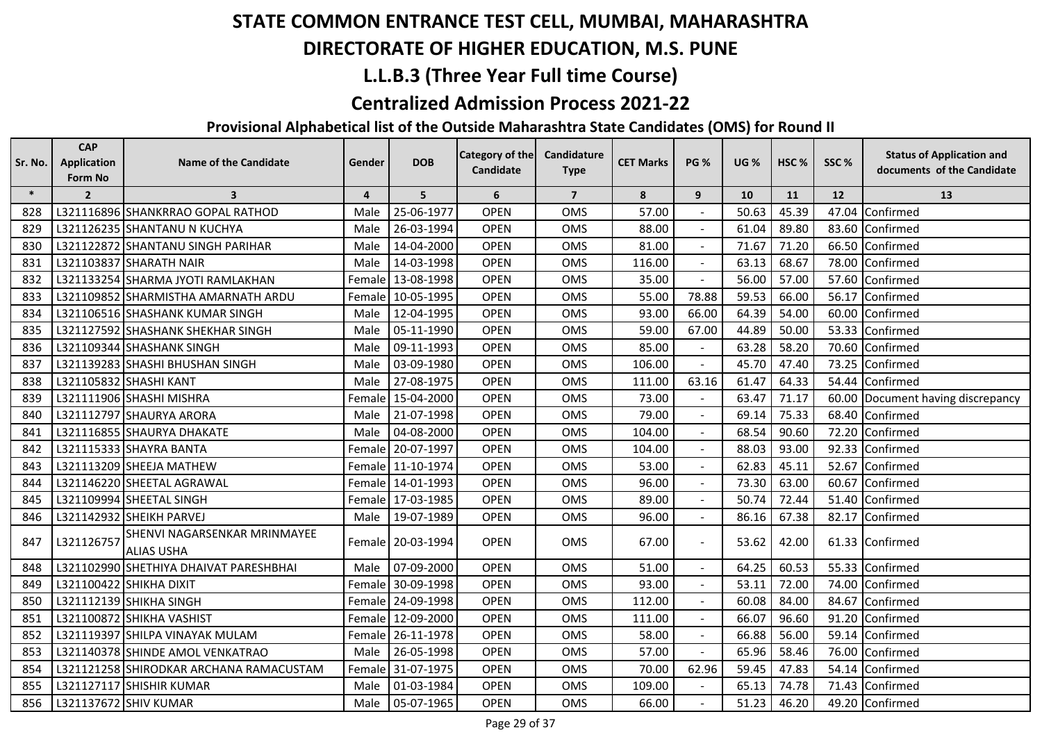## **DIRECTORATE OF HIGHER EDUCATION, M.S. PUNE**

## **L.L.B.3 (Three Year Full time Course)**

#### **Centralized Admission Process 2021-22**

| Sr. No. | <b>CAP</b><br><b>Application</b><br>Form No | <b>Name of the Candidate</b>                      | Gender         | <b>DOB</b>        | <b>Category of the</b><br>Candidate | Candidature<br><b>Type</b> | <b>CET Marks</b> | <b>PG %</b>    | <b>UG %</b> | HSC <sub>%</sub> | SSC%  | <b>Status of Application and</b><br>documents of the Candidate |
|---------|---------------------------------------------|---------------------------------------------------|----------------|-------------------|-------------------------------------|----------------------------|------------------|----------------|-------------|------------------|-------|----------------------------------------------------------------|
| $\ast$  | $\overline{2}$                              | $\overline{\mathbf{3}}$                           | $\overline{4}$ | 5                 | 6                                   | $\overline{7}$             | 8                | 9              | 10          | 11               | 12    | 13                                                             |
| 828     |                                             | L321116896 SHANKRRAO GOPAL RATHOD                 | Male           | 25-06-1977        | <b>OPEN</b>                         | <b>OMS</b>                 | 57.00            |                | 50.63       | 45.39            | 47.04 | Confirmed                                                      |
| 829     |                                             | L321126235 SHANTANU N KUCHYA                      | Male           | 26-03-1994        | <b>OPEN</b>                         | <b>OMS</b>                 | 88.00            |                | 61.04       | 89.80            | 83.60 | Confirmed                                                      |
| 830     |                                             | L321122872 SHANTANU SINGH PARIHAR                 | Male           | 14-04-2000        | <b>OPEN</b>                         | <b>OMS</b>                 | 81.00            |                | 71.67       | 71.20            | 66.50 | Confirmed                                                      |
| 831     |                                             | L321103837 SHARATH NAIR                           | Male           | 14-03-1998        | <b>OPEN</b>                         | <b>OMS</b>                 | 116.00           |                | 63.13       | 68.67            | 78.00 | Confirmed                                                      |
| 832     |                                             | L321133254 SHARMA JYOTI RAMLAKHAN                 | Female         | 13-08-1998        | <b>OPEN</b>                         | <b>OMS</b>                 | 35.00            | $\blacksquare$ | 56.00       | 57.00            | 57.60 | Confirmed                                                      |
| 833     |                                             | L321109852 SHARMISTHA AMARNATH ARDU               | Female         | 10-05-1995        | <b>OPEN</b>                         | <b>OMS</b>                 | 55.00            | 78.88          | 59.53       | 66.00            | 56.17 | Confirmed                                                      |
| 834     |                                             | L321106516 SHASHANK KUMAR SINGH                   | Male           | 12-04-1995        | <b>OPEN</b>                         | OMS                        | 93.00            | 66.00          | 64.39       | 54.00            | 60.00 | Confirmed                                                      |
| 835     |                                             | L321127592 SHASHANK SHEKHAR SINGH                 | Male           | 05-11-1990        | <b>OPEN</b>                         | <b>OMS</b>                 | 59.00            | 67.00          | 44.89       | 50.00            |       | 53.33 Confirmed                                                |
| 836     |                                             | L321109344 SHASHANK SINGH                         | Male           | 09-11-1993        | <b>OPEN</b>                         | <b>OMS</b>                 | 85.00            |                | 63.28       | 58.20            |       | 70.60 Confirmed                                                |
| 837     |                                             | L321139283 SHASHI BHUSHAN SINGH                   | Male           | 03-09-1980        | <b>OPEN</b>                         | OMS                        | 106.00           |                | 45.70       | 47.40            | 73.25 | Confirmed                                                      |
| 838     |                                             | L321105832 SHASHI KANT                            | Male           | 27-08-1975        | <b>OPEN</b>                         | <b>OMS</b>                 | 111.00           | 63.16          | 61.47       | 64.33            | 54.44 | Confirmed                                                      |
| 839     |                                             | L321111906 SHASHI MISHRA                          | Female         | 15-04-2000        | <b>OPEN</b>                         | <b>OMS</b>                 | 73.00            |                | 63.47       | 71.17            |       | 60.00 Document having discrepancy                              |
| 840     |                                             | L321112797 SHAURYA ARORA                          | Male           | 21-07-1998        | <b>OPEN</b>                         | OMS                        | 79.00            |                | 69.14       | 75.33            |       | 68.40 Confirmed                                                |
| 841     |                                             | L321116855 SHAURYA DHAKATE                        | Male           | 04-08-2000        | <b>OPEN</b>                         | <b>OMS</b>                 | 104.00           |                | 68.54       | 90.60            | 72.20 | Confirmed                                                      |
| 842     |                                             | L321115333 SHAYRA BANTA                           | Female         | 20-07-1997        | <b>OPEN</b>                         | <b>OMS</b>                 | 104.00           |                | 88.03       | 93.00            | 92.33 | Confirmed                                                      |
| 843     |                                             | L321113209 SHEEJA MATHEW                          | Female         | 11-10-1974        | <b>OPEN</b>                         | <b>OMS</b>                 | 53.00            | $\sim$         | 62.83       | 45.11            | 52.67 | Confirmed                                                      |
| 844     |                                             | L321146220 SHEETAL AGRAWAL                        | Female         | 14-01-1993        | <b>OPEN</b>                         | <b>OMS</b>                 | 96.00            |                | 73.30       | 63.00            | 60.67 | Confirmed                                                      |
| 845     |                                             | L321109994 SHEETAL SINGH                          | Female         | 17-03-1985        | OPEN                                | OMS                        | 89.00            |                | 50.74       | 72.44            |       | 51.40 Confirmed                                                |
| 846     |                                             | L321142932 SHEIKH PARVEJ                          | Male           | 19-07-1989        | <b>OPEN</b>                         | <b>OMS</b>                 | 96.00            |                | 86.16       | 67.38            | 82.17 | Confirmed                                                      |
| 847     | L321126757                                  | SHENVI NAGARSENKAR MRINMAYEE<br><b>ALIAS USHA</b> | Femalel        | 20-03-1994        | <b>OPEN</b>                         | <b>OMS</b>                 | 67.00            | $\blacksquare$ | 53.62       | 42.00            |       | 61.33 Confirmed                                                |
| 848     |                                             | L321102990 SHETHIYA DHAIVAT PARESHBHAI            | Male           | 07-09-2000        | <b>OPEN</b>                         | <b>OMS</b>                 | 51.00            |                | 64.25       | 60.53            |       | 55.33 Confirmed                                                |
| 849     |                                             | L321100422 SHIKHA DIXIT                           | Female         | 30-09-1998        | <b>OPEN</b>                         | <b>OMS</b>                 | 93.00            |                | 53.11       | 72.00            | 74.00 | Confirmed                                                      |
| 850     |                                             | L321112139 SHIKHA SINGH                           | Female         | 24-09-1998        | <b>OPEN</b>                         | <b>OMS</b>                 | 112.00           |                | 60.08       | 84.00            | 84.67 | Confirmed                                                      |
| 851     |                                             | L321100872 SHIKHA VASHIST                         | Female         | 12-09-2000        | <b>OPEN</b>                         | <b>OMS</b>                 | 111.00           |                | 66.07       | 96.60            | 91.20 | Confirmed                                                      |
| 852     |                                             | L321119397 SHILPA VINAYAK MULAM                   | Female         | 26-11-1978        | <b>OPEN</b>                         | <b>OMS</b>                 | 58.00            | $\mathbf{r}$   | 66.88       | 56.00            | 59.14 | Confirmed                                                      |
| 853     |                                             | L321140378 SHINDE AMOL VENKATRAO                  | Male           | 26-05-1998        | <b>OPEN</b>                         | <b>OMS</b>                 | 57.00            | $\mathbf{r}$   | 65.96       | 58.46            | 76.00 | Confirmed                                                      |
| 854     |                                             | L321121258 SHIRODKAR ARCHANA RAMACUSTAM           |                | Female 31-07-1975 | <b>OPEN</b>                         | <b>OMS</b>                 | 70.00            | 62.96          | 59.45       | 47.83            | 54.14 | Confirmed                                                      |
| 855     |                                             | L321127117 SHISHIR KUMAR                          | Male           | 01-03-1984        | <b>OPEN</b>                         | OMS                        | 109.00           |                | 65.13       | 74.78            | 71.43 | Confirmed                                                      |
| 856     |                                             | L321137672 SHIV KUMAR                             | Male           | 05-07-1965        | <b>OPEN</b>                         | OMS                        | 66.00            |                | 51.23       | 46.20            |       | 49.20 Confirmed                                                |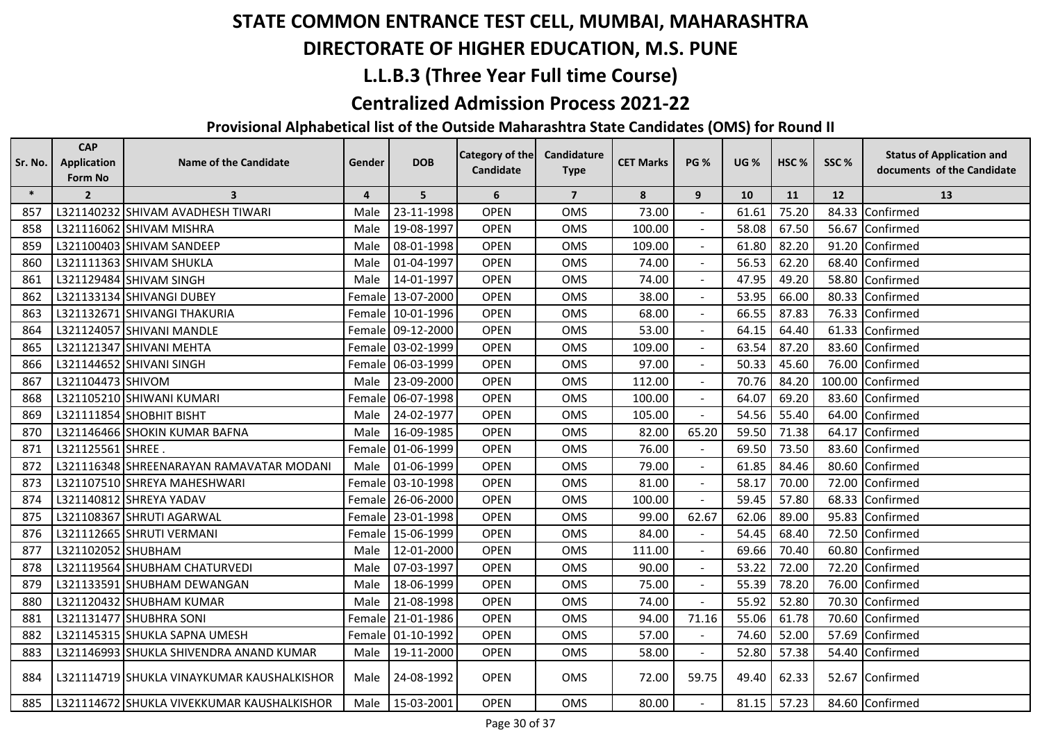## **DIRECTORATE OF HIGHER EDUCATION, M.S. PUNE**

## **L.L.B.3 (Three Year Full time Course)**

#### **Centralized Admission Process 2021-22**

| Sr. No. | <b>CAP</b><br><b>Application</b> | Name of the Candidate                      | Gender         | <b>DOB</b>        | <b>Category of the</b> | Candidature    | <b>CET Marks</b> | <b>PG %</b>    | <b>UG %</b> | HSC <sub>%</sub> | SSC%      | <b>Status of Application and</b> |
|---------|----------------------------------|--------------------------------------------|----------------|-------------------|------------------------|----------------|------------------|----------------|-------------|------------------|-----------|----------------------------------|
|         | Form No                          |                                            |                |                   | Candidate              | <b>Type</b>    |                  |                |             |                  |           | documents of the Candidate       |
| $\ast$  | $\overline{2}$                   | $\overline{\mathbf{3}}$                    | $\overline{4}$ | 5                 | 6                      | $\overline{7}$ | 8                | 9              | 10          | 11               | <b>12</b> | 13                               |
| 857     |                                  | L321140232 SHIVAM AVADHESH TIWARI          | Male           | 23-11-1998        | <b>OPEN</b>            | <b>OMS</b>     | 73.00            |                | 61.61       | 75.20            | 84.33     | Confirmed                        |
| 858     |                                  | L321116062 SHIVAM MISHRA                   | Male           | 19-08-1997        | <b>OPEN</b>            | <b>OMS</b>     | 100.00           |                | 58.08       | 67.50            | 56.67     | Confirmed                        |
| 859     |                                  | L321100403 SHIVAM SANDEEP                  | Male           | 08-01-1998        | <b>OPEN</b>            | <b>OMS</b>     | 109.00           |                | 61.80       | 82.20            |           | 91.20 Confirmed                  |
| 860     |                                  | L321111363 SHIVAM SHUKLA                   | Male           | 01-04-1997        | <b>OPEN</b>            | <b>OMS</b>     | 74.00            |                | 56.53       | 62.20            | 68.40     | Confirmed                        |
| 861     |                                  | L321129484 SHIVAM SINGH                    | Male           | 14-01-1997        | <b>OPEN</b>            | <b>OMS</b>     | 74.00            |                | 47.95       | 49.20            | 58.80     | Confirmed                        |
| 862     |                                  | L321133134 SHIVANGI DUBEY                  | Female         | 13-07-2000        | <b>OPEN</b>            | <b>OMS</b>     | 38.00            |                | 53.95       | 66.00            | 80.33     | Confirmed                        |
| 863     |                                  | L321132671 SHIVANGI THAKURIA               | Female         | 10-01-1996        | <b>OPEN</b>            | <b>OMS</b>     | 68.00            |                | 66.55       | 87.83            |           | 76.33 Confirmed                  |
| 864     |                                  | L321124057 SHIVANI MANDLE                  | Female         | 09-12-2000        | <b>OPEN</b>            | <b>OMS</b>     | 53.00            |                | 64.15       | 64.40            |           | 61.33 Confirmed                  |
| 865     |                                  | L321121347 SHIVANI MEHTA                   | Female         | 03-02-1999        | <b>OPEN</b>            | <b>OMS</b>     | 109.00           |                | 63.54       | 87.20            | 83.60     | Confirmed                        |
| 866     |                                  | L321144652 SHIVANI SINGH                   | Female         | 06-03-1999        | <b>OPEN</b>            | OMS            | 97.00            | $\mathbf{r}$   | 50.33       | 45.60            | 76.00     | Confirmed                        |
| 867     | L321104473 SHIVOM                |                                            | Male           | 23-09-2000        | <b>OPEN</b>            | OMS            | 112.00           |                | 70.76       | 84.20            | 100.00    | Confirmed                        |
| 868     |                                  | L321105210 SHIWANI KUMARI                  | Female         | 06-07-1998        | <b>OPEN</b>            | <b>OMS</b>     | 100.00           |                | 64.07       | 69.20            |           | 83.60 Confirmed                  |
| 869     |                                  | L321111854 SHOBHIT BISHT                   | Male           | 24-02-1977        | <b>OPEN</b>            | <b>OMS</b>     | 105.00           |                | 54.56       | 55.40            |           | 64.00 Confirmed                  |
| 870     |                                  | L321146466 SHOKIN KUMAR BAFNA              | Male           | 16-09-1985        | <b>OPEN</b>            | <b>OMS</b>     | 82.00            | 65.20          | 59.50       | 71.38            | 64.17     | Confirmed                        |
| 871     | L321125561 SHREE                 |                                            | Female         | 01-06-1999        | <b>OPEN</b>            | <b>OMS</b>     | 76.00            | $\sim$         | 69.50       | 73.50            | 83.60     | Confirmed                        |
| 872     |                                  | L321116348 SHREENARAYAN RAMAVATAR MODANI   | Male           | 01-06-1999        | <b>OPEN</b>            | <b>OMS</b>     | 79.00            | $\sim$         | 61.85       | 84.46            | 80.60     | Confirmed                        |
| 873     |                                  | L321107510 SHREYA MAHESHWARI               | Female         | 03-10-1998        | <b>OPEN</b>            | <b>OMS</b>     | 81.00            |                | 58.17       | 70.00            |           | 72.00 Confirmed                  |
| 874     |                                  | L321140812 SHREYA YADAV                    |                | Female 26-06-2000 | <b>OPEN</b>            | <b>OMS</b>     | 100.00           |                | 59.45       | 57.80            |           | 68.33 Confirmed                  |
| 875     |                                  | L321108367 SHRUTI AGARWAL                  | Female         | 23-01-1998        | <b>OPEN</b>            | <b>OMS</b>     | 99.00            | 62.67          | 62.06       | 89.00            |           | 95.83 Confirmed                  |
| 876     |                                  | L321112665 SHRUTI VERMANI                  | Female         | 15-06-1999        | <b>OPEN</b>            | <b>OMS</b>     | 84.00            |                | 54.45       | 68.40            | 72.50     | Confirmed                        |
| 877     | L321102052 SHUBHAM               |                                            | Male           | 12-01-2000        | <b>OPEN</b>            | <b>OMS</b>     | 111.00           | $\sim$         | 69.66       | 70.40            | 60.80     | Confirmed                        |
| 878     |                                  | L321119564 SHUBHAM CHATURVEDI              | Male           | 07-03-1997        | <b>OPEN</b>            | <b>OMS</b>     | 90.00            | $\blacksquare$ | 53.22       | 72.00            | 72.20     | Confirmed                        |
| 879     |                                  | L321133591 SHUBHAM DEWANGAN                | Male           | 18-06-1999        | <b>OPEN</b>            | OMS            | 75.00            |                | 55.39       | 78.20            | 76.00     | Confirmed                        |
| 880     |                                  | L321120432 SHUBHAM KUMAR                   | Male           | 21-08-1998        | <b>OPEN</b>            | <b>OMS</b>     | 74.00            |                | 55.92       | 52.80            | 70.30     | Confirmed                        |
| 881     |                                  | L321131477 SHUBHRA SONI                    | Female         | 21-01-1986        | <b>OPEN</b>            | <b>OMS</b>     | 94.00            | 71.16          | 55.06       | 61.78            |           | 70.60 Confirmed                  |
| 882     |                                  | L321145315 SHUKLA SAPNA UMESH              | Female         | 01-10-1992        | <b>OPEN</b>            | <b>OMS</b>     | 57.00            |                | 74.60       | 52.00            |           | 57.69 Confirmed                  |
| 883     |                                  | L321146993 SHUKLA SHIVENDRA ANAND KUMAR    | Male           | 19-11-2000        | <b>OPEN</b>            | <b>OMS</b>     | 58.00            | $\sim$         | 52.80       | 57.38            |           | 54.40 Confirmed                  |
| 884     |                                  | L321114719 SHUKLA VINAYKUMAR KAUSHALKISHOR | Male           | 24-08-1992        | <b>OPEN</b>            | <b>OMS</b>     | 72.00            | 59.75          | 49.40       | 62.33            |           | 52.67 Confirmed                  |
| 885     |                                  | L321114672 SHUKLA VIVEKKUMAR KAUSHALKISHOR | Male           | 15-03-2001        | <b>OPEN</b>            | <b>OMS</b>     | 80.00            |                | 81.15       | 57.23            |           | 84.60 Confirmed                  |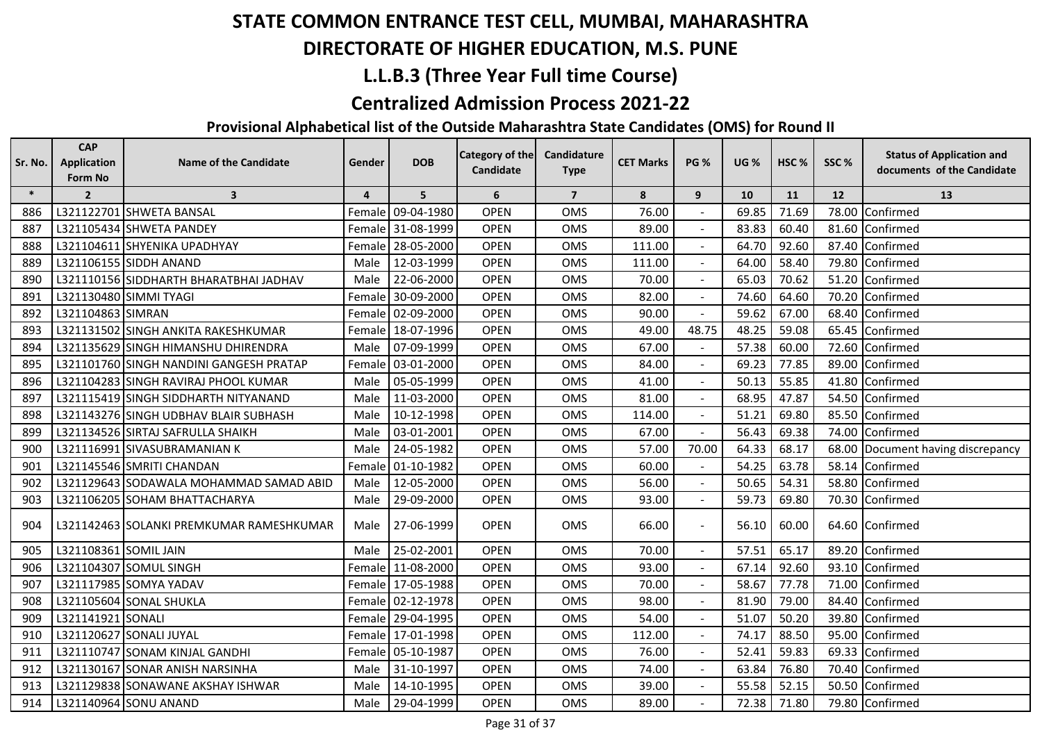## **DIRECTORATE OF HIGHER EDUCATION, M.S. PUNE**

## **L.L.B.3 (Three Year Full time Course)**

#### **Centralized Admission Process 2021-22**

| Sr. No. | <b>CAP</b><br><b>Application</b><br>Form No | <b>Name of the Candidate</b>             | Gender | <b>DOB</b>        | Category of the<br>Candidate | Candidature<br><b>Type</b> | <b>CET Marks</b> | <b>PG %</b>              | <b>UG %</b> | HSC%  | SSC% | <b>Status of Application and</b><br>documents of the Candidate |
|---------|---------------------------------------------|------------------------------------------|--------|-------------------|------------------------------|----------------------------|------------------|--------------------------|-------------|-------|------|----------------------------------------------------------------|
| $\ast$  | $\overline{2}$                              | $\overline{\mathbf{3}}$                  | 4      | 5                 | 6                            | $\overline{7}$             | 8                | 9                        | 10          | 11    | 12   | 13                                                             |
| 886     |                                             | L321122701 SHWETA BANSAL                 | Female | 09-04-1980        | <b>OPEN</b>                  | OMS                        | 76.00            |                          | 69.85       | 71.69 |      | 78.00 Confirmed                                                |
| 887     |                                             | L321105434 SHWETA PANDEY                 | Female | 31-08-1999        | <b>OPEN</b>                  | OMS                        | 89.00            |                          | 83.83       | 60.40 |      | 81.60 Confirmed                                                |
| 888     |                                             | L321104611 SHYENIKA UPADHYAY             | Female | 28-05-2000        | <b>OPEN</b>                  | OMS                        | 111.00           |                          | 64.70       | 92.60 |      | 87.40 Confirmed                                                |
| 889     |                                             | L321106155 SIDDH ANAND                   | Male   | 12-03-1999        | <b>OPEN</b>                  | <b>OMS</b>                 | 111.00           |                          | 64.00       | 58.40 |      | 79.80 Confirmed                                                |
| 890     |                                             | L321110156 SIDDHARTH BHARATBHAI JADHAV   | Male   | 22-06-2000        | <b>OPEN</b>                  | OMS                        | 70.00            | $\overline{\phantom{a}}$ | 65.03       | 70.62 |      | 51.20 Confirmed                                                |
| 891     |                                             | L321130480 SIMMI TYAGI                   | Female | 30-09-2000        | <b>OPEN</b>                  | <b>OMS</b>                 | 82.00            | $\overline{a}$           | 74.60       | 64.60 |      | 70.20 Confirmed                                                |
| 892     | L321104863 SIMRAN                           |                                          | Female | 02-09-2000        | <b>OPEN</b>                  | <b>OMS</b>                 | 90.00            |                          | 59.62       | 67.00 |      | 68.40 Confirmed                                                |
| 893     |                                             | L321131502 SINGH ANKITA RAKESHKUMAR      | Female | 18-07-1996        | <b>OPEN</b>                  | OMS                        | 49.00            | 48.75                    | 48.25       | 59.08 |      | 65.45 Confirmed                                                |
| 894     |                                             | L321135629 SINGH HIMANSHU DHIRENDRA      | Male   | 07-09-1999        | <b>OPEN</b>                  | OMS                        | 67.00            |                          | 57.38       | 60.00 |      | 72.60 Confirmed                                                |
| 895     |                                             | L321101760 SINGH NANDINI GANGESH PRATAP  | Female | 03-01-2000        | <b>OPEN</b>                  | OMS                        | 84.00            |                          | 69.23       | 77.85 |      | 89.00 Confirmed                                                |
| 896     |                                             | L321104283 SINGH RAVIRAJ PHOOL KUMAR     | Male   | 05-05-1999        | <b>OPEN</b>                  | OMS                        | 41.00            |                          | 50.13       | 55.85 |      | 41.80 Confirmed                                                |
| 897     |                                             | L321115419 SINGH SIDDHARTH NITYANAND     | Male   | 11-03-2000        | <b>OPEN</b>                  | OMS                        | 81.00            |                          | 68.95       | 47.87 |      | 54.50 Confirmed                                                |
| 898     |                                             | L321143276 SINGH UDBHAV BLAIR SUBHASH    | Male   | 10-12-1998        | <b>OPEN</b>                  | OMS                        | 114.00           |                          | 51.21       | 69.80 |      | 85.50 Confirmed                                                |
| 899     |                                             | L321134526 SIRTAJ SAFRULLA SHAIKH        | Male   | 03-01-2001        | <b>OPEN</b>                  | <b>OMS</b>                 | 67.00            |                          | 56.43       | 69.38 |      | 74.00 Confirmed                                                |
| 900     |                                             | L321116991 SIVASUBRAMANIAN K             | Male   | 24-05-1982        | <b>OPEN</b>                  | OMS                        | 57.00            | 70.00                    | 64.33       | 68.17 |      | 68.00 Document having discrepancy                              |
| 901     |                                             | L321145546 SMRITI CHANDAN                | Female | 01-10-1982        | <b>OPEN</b>                  | <b>OMS</b>                 | 60.00            |                          | 54.25       | 63.78 |      | 58.14 Confirmed                                                |
| 902     |                                             | L321129643 SODAWALA MOHAMMAD SAMAD ABID  | Male   | 12-05-2000        | <b>OPEN</b>                  | <b>OMS</b>                 | 56.00            | $\blacksquare$           | 50.65       | 54.31 |      | 58.80 Confirmed                                                |
| 903     |                                             | L321106205 SOHAM BHATTACHARYA            | Male   | 29-09-2000        | <b>OPEN</b>                  | <b>OMS</b>                 | 93.00            |                          | 59.73       | 69.80 |      | 70.30 Confirmed                                                |
| 904     |                                             | L321142463 SOLANKI PREMKUMAR RAMESHKUMAR | Male   | 27-06-1999        | <b>OPEN</b>                  | <b>OMS</b>                 | 66.00            |                          | 56.10       | 60.00 |      | 64.60 Confirmed                                                |
| 905     | L321108361 SOMIL JAIN                       |                                          | Male   | 25-02-2001        | <b>OPEN</b>                  | OMS                        | 70.00            |                          | 57.51       | 65.17 |      | 89.20 Confirmed                                                |
| 906     |                                             | L321104307 SOMUL SINGH                   | Female | 11-08-2000        | <b>OPEN</b>                  | OMS                        | 93.00            |                          | 67.14       | 92.60 |      | 93.10 Confirmed                                                |
| 907     |                                             | L321117985 SOMYA YADAV                   |        | Female 17-05-1988 | <b>OPEN</b>                  | OMS                        | 70.00            |                          | 58.67       | 77.78 |      | 71.00 Confirmed                                                |
| 908     |                                             | L321105604 SONAL SHUKLA                  | Female | 02-12-1978        | <b>OPEN</b>                  | OMS                        | 98.00            |                          | 81.90       | 79.00 |      | 84.40 Confirmed                                                |
| 909     | L321141921 SONALI                           |                                          | Female | 29-04-1995        | <b>OPEN</b>                  | <b>OMS</b>                 | 54.00            |                          | 51.07       | 50.20 |      | 39.80 Confirmed                                                |
| 910     |                                             | L321120627 SONALI JUYAL                  | Female | 17-01-1998        | <b>OPEN</b>                  | OMS                        | 112.00           |                          | 74.17       | 88.50 |      | 95.00 Confirmed                                                |
| 911     |                                             | L321110747 SONAM KINJAL GANDHI           | Female | 05-10-1987        | <b>OPEN</b>                  | OMS                        | 76.00            |                          | 52.41       | 59.83 |      | 69.33 Confirmed                                                |
| 912     |                                             | L321130167 SONAR ANISH NARSINHA          | Male   | 31-10-1997        | <b>OPEN</b>                  | OMS                        | 74.00            |                          | 63.84       | 76.80 |      | 70.40 Confirmed                                                |
| 913     |                                             | L321129838 SONAWANE AKSHAY ISHWAR        | Male   | 14-10-1995        | <b>OPEN</b>                  | OMS                        | 39.00            |                          | 55.58       | 52.15 |      | 50.50 Confirmed                                                |
| 914     |                                             | L321140964 SONU ANAND                    | Male   | 29-04-1999        | <b>OPEN</b>                  | <b>OMS</b>                 | 89.00            |                          | 72.38       | 71.80 |      | 79.80 Confirmed                                                |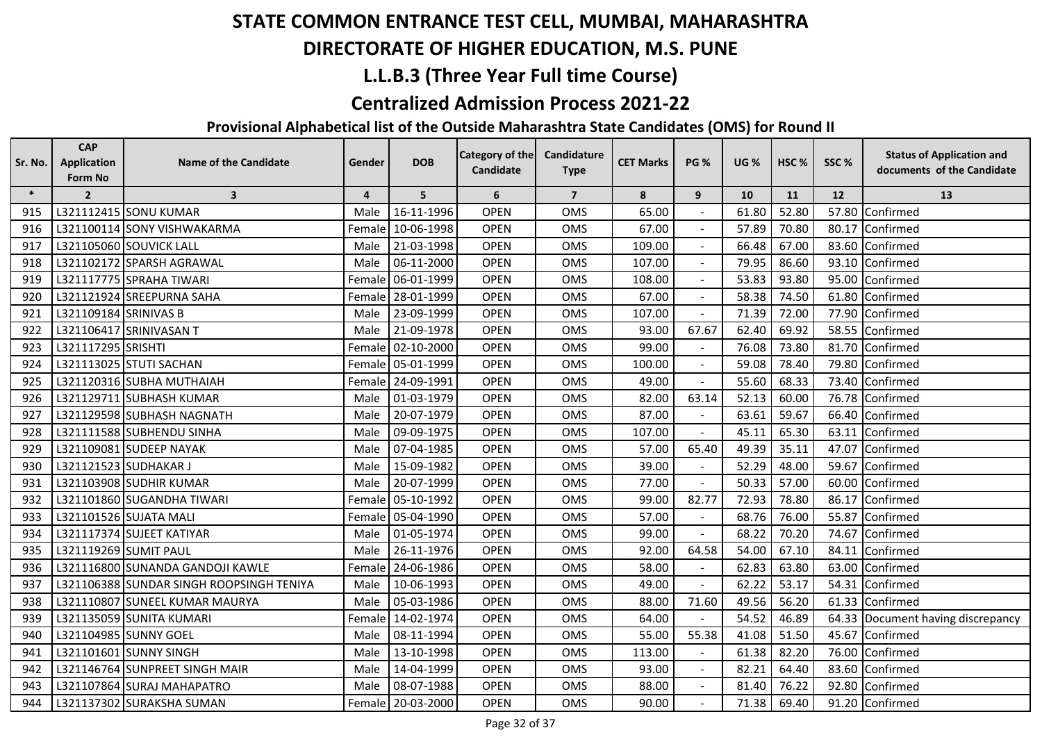## **DIRECTORATE OF HIGHER EDUCATION, M.S. PUNE**

## **L.L.B.3 (Three Year Full time Course)**

#### **Centralized Admission Process 2021-22**

| Sr. No. | <b>CAP</b><br><b>Application</b> | <b>Name of the Candidate</b>             | Gender         | <b>DOB</b>        | Category of the | Candidature    | <b>CET Marks</b> | <b>PG %</b>    | <b>UG %</b> | HSC <sub>%</sub> | SSC%  | <b>Status of Application and</b>  |
|---------|----------------------------------|------------------------------------------|----------------|-------------------|-----------------|----------------|------------------|----------------|-------------|------------------|-------|-----------------------------------|
|         | Form No                          |                                          |                |                   | Candidate       | <b>Type</b>    |                  |                |             |                  |       | documents of the Candidate        |
| $\ast$  | $\overline{2}$                   | $\overline{\mathbf{3}}$                  | $\overline{4}$ | 5                 | 6               | $\overline{7}$ | 8                | 9              | 10          | 11               | 12    | 13                                |
| 915     |                                  | L321112415 SONU KUMAR                    | Male           | 16-11-1996        | <b>OPEN</b>     | <b>OMS</b>     | 65.00            |                | 61.80       | 52.80            | 57.80 | Confirmed                         |
| 916     |                                  | L321100114 SONY VISHWAKARMA              |                | Female 10-06-1998 | <b>OPEN</b>     | <b>OMS</b>     | 67.00            |                | 57.89       | 70.80            | 80.17 | Confirmed                         |
| 917     |                                  | L321105060 SOUVICK LALL                  | Male           | 21-03-1998        | <b>OPEN</b>     | OMS            | 109.00           |                | 66.48       | 67.00            |       | 83.60 Confirmed                   |
| 918     |                                  | L321102172 SPARSH AGRAWAL                | Male           | 06-11-2000        | <b>OPEN</b>     | OMS            | 107.00           |                | 79.95       | 86.60            | 93.10 | Confirmed                         |
| 919     |                                  | L321117775 SPRAHA TIWARI                 | Female         | 06-01-1999        | <b>OPEN</b>     | <b>OMS</b>     | 108.00           |                | 53.83       | 93.80            | 95.00 | Confirmed                         |
| 920     |                                  | L321121924 SREEPURNA SAHA                | Female         | 28-01-1999        | <b>OPEN</b>     | <b>OMS</b>     | 67.00            |                | 58.38       | 74.50            | 61.80 | Confirmed                         |
| 921     | L321109184 SRINIVAS B            |                                          | Male           | 23-09-1999        | <b>OPEN</b>     | <b>OMS</b>     | 107.00           |                | 71.39       | 72.00            | 77.90 | Confirmed                         |
| 922     |                                  | L321106417 SRINIVASAN T                  | Male           | 21-09-1978        | <b>OPEN</b>     | <b>OMS</b>     | 93.00            | 67.67          | 62.40       | 69.92            |       | 58.55 Confirmed                   |
| 923     | L321117295 SRISHTI               |                                          |                | Female 02-10-2000 | <b>OPEN</b>     | <b>OMS</b>     | 99.00            |                | 76.08       | 73.80            | 81.70 | Confirmed                         |
| 924     |                                  | L321113025 STUTI SACHAN                  |                | Female 05-01-1999 | <b>OPEN</b>     | OMS            | 100.00           | $\blacksquare$ | 59.08       | 78.40            | 79.80 | Confirmed                         |
| 925     |                                  | L321120316 SUBHA MUTHAIAH                |                | Female 24-09-1991 | <b>OPEN</b>     | <b>OMS</b>     | 49.00            |                | 55.60       | 68.33            | 73.40 | Confirmed                         |
| 926     |                                  | L321129711 SUBHASH KUMAR                 | Male           | 01-03-1979        | <b>OPEN</b>     | <b>OMS</b>     | 82.00            | 63.14          | 52.13       | 60.00            | 76.78 | Confirmed                         |
| 927     |                                  | L321129598 SUBHASH NAGNATH               | Male           | 20-07-1979        | <b>OPEN</b>     | <b>OMS</b>     | 87.00            |                | 63.61       | 59.67            | 66.40 | Confirmed                         |
| 928     |                                  | L321111588 SUBHENDU SINHA                | Male           | 09-09-1975        | <b>OPEN</b>     | <b>OMS</b>     | 107.00           |                | 45.11       | 65.30            | 63.11 | Confirmed                         |
| 929     |                                  | L321109081 SUDEEP NAYAK                  | Male           | 07-04-1985        | <b>OPEN</b>     | OMS            | 57.00            | 65.40          | 49.39       | 35.11            | 47.07 | Confirmed                         |
| 930     |                                  | L321121523 SUDHAKAR J                    | Male           | 15-09-1982        | <b>OPEN</b>     | <b>OMS</b>     | 39.00            |                | 52.29       | 48.00            | 59.67 | Confirmed                         |
| 931     |                                  | L321103908 SUDHIR KUMAR                  | Male           | 20-07-1999        | <b>OPEN</b>     | <b>OMS</b>     | 77.00            |                | 50.33       | 57.00            | 60.00 | Confirmed                         |
| 932     |                                  | L321101860 SUGANDHA TIWARI               |                | Female 05-10-1992 | <b>OPEN</b>     | <b>OMS</b>     | 99.00            | 82.77          | 72.93       | 78.80            | 86.17 | Confirmed                         |
| 933     |                                  | L321101526 SUJATA MALI                   | Female         | 05-04-1990        | <b>OPEN</b>     | <b>OMS</b>     | 57.00            |                | 68.76       | 76.00            | 55.87 | Confirmed                         |
| 934     |                                  | L321117374 SUJEET KATIYAR                | Male           | 01-05-1974        | <b>OPEN</b>     | <b>OMS</b>     | 99.00            |                | 68.22       | 70.20            | 74.67 | Confirmed                         |
| 935     |                                  | L321119269 SUMIT PAUL                    | Male           | 26-11-1976        | <b>OPEN</b>     | <b>OMS</b>     | 92.00            | 64.58          | 54.00       | 67.10            | 84.11 | Confirmed                         |
| 936     |                                  | L321116800 SUNANDA GANDOJI KAWLE         |                | Female 24-06-1986 | <b>OPEN</b>     | OMS            | 58.00            |                | 62.83       | 63.80            | 63.00 | Confirmed                         |
| 937     |                                  | L321106388 SUNDAR SINGH ROOPSINGH TENIYA | Male           | 10-06-1993        | <b>OPEN</b>     | <b>OMS</b>     | 49.00            |                | 62.22       | 53.17            | 54.31 | Confirmed                         |
| 938     |                                  | L321110807 SUNEEL KUMAR MAURYA           | Male           | 05-03-1986        | <b>OPEN</b>     | <b>OMS</b>     | 88.00            | 71.60          | 49.56       | 56.20            | 61.33 | Confirmed                         |
| 939     |                                  | L321135059 SUNITA KUMARI                 | Female         | 14-02-1974        | <b>OPEN</b>     | OMS            | 64.00            |                | 54.52       | 46.89            |       | 64.33 Document having discrepancy |
| 940     |                                  | L321104985 SUNNY GOEL                    | Male           | 08-11-1994        | <b>OPEN</b>     | <b>OMS</b>     | 55.00            | 55.38          | 41.08       | 51.50            | 45.67 | Confirmed                         |
| 941     |                                  | L321101601 SUNNY SINGH                   | Male           | 13-10-1998        | <b>OPEN</b>     | <b>OMS</b>     | 113.00           |                | 61.38       | 82.20            | 76.00 | Confirmed                         |
| 942     |                                  | L321146764 SUNPREET SINGH MAIR           | Male           | 14-04-1999        | <b>OPEN</b>     | <b>OMS</b>     | 93.00            |                | 82.21       | 64.40            | 83.60 | Confirmed                         |
| 943     |                                  | L321107864 SURAJ MAHAPATRO               | Male           | 08-07-1988        | <b>OPEN</b>     | OMS            | 88.00            |                | 81.40       | 76.22            |       | 92.80 Confirmed                   |
| 944     |                                  | L321137302 SURAKSHA SUMAN                |                | Female 20-03-2000 | <b>OPEN</b>     | OMS            | 90.00            |                | 71.38       | 69.40            |       | 91.20 Confirmed                   |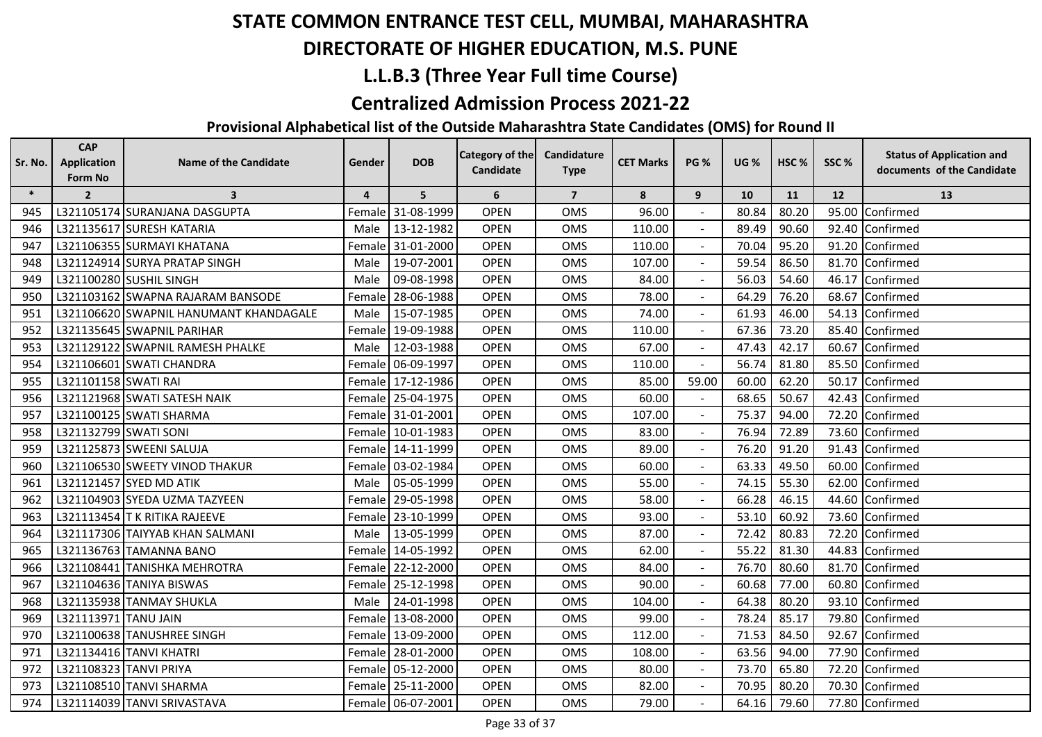## **DIRECTORATE OF HIGHER EDUCATION, M.S. PUNE**

## **L.L.B.3 (Three Year Full time Course)**

#### **Centralized Admission Process 2021-22**

| Sr. No. | <b>CAP</b><br><b>Application</b><br>Form No | <b>Name of the Candidate</b>           | Gender              | <b>DOB</b>        | Category of the<br><b>Candidate</b> | Candidature<br><b>Type</b> | <b>CET Marks</b> | <b>PG %</b>              | <b>UG %</b> | HSC <sub>%</sub> | SSC% | <b>Status of Application and</b><br>documents of the Candidate |
|---------|---------------------------------------------|----------------------------------------|---------------------|-------------------|-------------------------------------|----------------------------|------------------|--------------------------|-------------|------------------|------|----------------------------------------------------------------|
| $\ast$  | $\overline{2}$                              | $\overline{\mathbf{3}}$                | $\overline{4}$      | 5                 | 6                                   | $\overline{7}$             | 8                | 9                        | 10          | 11               | 12   | 13                                                             |
| 945     |                                             | L321105174 SURANJANA DASGUPTA          | Female              | 31-08-1999        | <b>OPEN</b>                         | OMS                        | 96.00            |                          | 80.84       | 80.20            |      | 95.00 Confirmed                                                |
| 946     |                                             | L321135617 SURESH KATARIA              | Male                | 13-12-1982        | <b>OPEN</b>                         | <b>OMS</b>                 | 110.00           |                          | 89.49       | 90.60            |      | 92.40 Confirmed                                                |
| 947     |                                             | L321106355 SURMAYI KHATANA             |                     | Female 31-01-2000 | <b>OPEN</b>                         | <b>OMS</b>                 | 110.00           |                          | 70.04       | 95.20            |      | 91.20 Confirmed                                                |
| 948     |                                             | L321124914 SURYA PRATAP SINGH          | Male                | 19-07-2001        | <b>OPEN</b>                         | OMS                        | 107.00           |                          | 59.54       | 86.50            |      | 81.70 Confirmed                                                |
| 949     |                                             | L321100280 SUSHIL SINGH                | Male                | 09-08-1998        | <b>OPEN</b>                         | <b>OMS</b>                 | 84.00            | $\blacksquare$           | 56.03       | 54.60            |      | 46.17 Confirmed                                                |
| 950     |                                             | L321103162 SWAPNA RAJARAM BANSODE      | Female              | 28-06-1988        | <b>OPEN</b>                         | OMS                        | 78.00            | $\overline{a}$           | 64.29       | 76.20            |      | 68.67 Confirmed                                                |
| 951     |                                             | L321106620 SWAPNIL HANUMANT KHANDAGALE | Male                | 15-07-1985        | <b>OPEN</b>                         | OMS                        | 74.00            |                          | 61.93       | 46.00            |      | 54.13 Confirmed                                                |
| 952     |                                             | L321135645 SWAPNIL PARIHAR             | Female              | 19-09-1988        | <b>OPEN</b>                         | <b>OMS</b>                 | 110.00           | $\overline{\phantom{a}}$ | 67.36       | 73.20            |      | 85.40 Confirmed                                                |
| 953     |                                             | L321129122 SWAPNIL RAMESH PHALKE       | Male                | 12-03-1988        | <b>OPEN</b>                         | OMS                        | 67.00            |                          | 47.43       | 42.17            |      | 60.67 Confirmed                                                |
| 954     |                                             | L321106601 SWATI CHANDRA               | Female              | 06-09-1997        | <b>OPEN</b>                         | OMS                        | 110.00           | $\blacksquare$           | 56.74       | 81.80            |      | 85.50 Confirmed                                                |
| 955     | L321101158 SWATI RAI                        |                                        |                     | Female 17-12-1986 | <b>OPEN</b>                         | <b>OMS</b>                 | 85.00            | 59.00                    | 60.00       | 62.20            |      | 50.17 Confirmed                                                |
| 956     |                                             | L321121968 SWATI SATESH NAIK           |                     | Female 25-04-1975 | <b>OPEN</b>                         | OMS                        | 60.00            |                          | 68.65       | 50.67            |      | 42.43 Confirmed                                                |
| 957     |                                             | L321100125 SWATI SHARMA                |                     | Female 31-01-2001 | <b>OPEN</b>                         | OMS                        | 107.00           |                          | 75.37       | 94.00            |      | 72.20 Confirmed                                                |
| 958     | L321132799 SWATI SONI                       |                                        | Female              | 10-01-1983        | <b>OPEN</b>                         | <b>OMS</b>                 | 83.00            |                          | 76.94       | 72.89            |      | 73.60 Confirmed                                                |
| 959     |                                             | L321125873 SWEENI SALUJA               | Female              | 14-11-1999        | <b>OPEN</b>                         | OMS                        | 89.00            |                          | 76.20       | 91.20            |      | 91.43 Confirmed                                                |
| 960     |                                             | L321106530 SWEETY VINOD THAKUR         | Female              | 03-02-1984        | <b>OPEN</b>                         | OMS                        | 60.00            | ۰                        | 63.33       | 49.50            |      | 60.00 Confirmed                                                |
| 961     |                                             | L321121457 SYED MD ATIK                | Male                | 05-05-1999        | <b>OPEN</b>                         | <b>OMS</b>                 | 55.00            |                          | 74.15       | 55.30            |      | 62.00 Confirmed                                                |
| 962     |                                             | L321104903 SYEDA UZMA TAZYEEN          | Female              | 29-05-1998        | <b>OPEN</b>                         | OMS                        | 58.00            |                          | 66.28       | 46.15            |      | 44.60 Confirmed                                                |
| 963     |                                             | L321113454 T K RITIKA RAJEEVE          | Female              | 23-10-1999        | <b>OPEN</b>                         | <b>OMS</b>                 | 93.00            |                          | 53.10       | 60.92            |      | 73.60 Confirmed                                                |
| 964     |                                             | L321117306 TAIYYAB KHAN SALMANI        | Male                | 13-05-1999        | <b>OPEN</b>                         | <b>OMS</b>                 | 87.00            |                          | 72.42       | 80.83            |      | 72.20 Confirmed                                                |
| 965     |                                             | L321136763 TAMANNA BANO                | Female              | 14-05-1992        | <b>OPEN</b>                         | OMS                        | 62.00            |                          | 55.22       | 81.30            |      | 44.83 Confirmed                                                |
| 966     |                                             | L321108441 TANISHKA MEHROTRA           | Female              | 22-12-2000        | <b>OPEN</b>                         | OMS                        | 84.00            |                          | 76.70       | 80.60            |      | 81.70 Confirmed                                                |
| 967     |                                             | L321104636 TANIYA BISWAS               | Female              | 25-12-1998        | <b>OPEN</b>                         | <b>OMS</b>                 | 90.00            | $\sim$                   | 60.68       | 77.00            |      | 60.80 Confirmed                                                |
| 968     |                                             | L321135938 TANMAY SHUKLA               | Male                | 24-01-1998        | <b>OPEN</b>                         | OMS                        | 104.00           |                          | 64.38       | 80.20            |      | 93.10 Confirmed                                                |
| 969     | L321113971 TANU JAIN                        |                                        | Female              | 13-08-2000        | <b>OPEN</b>                         | <b>OMS</b>                 | 99.00            |                          | 78.24       | 85.17            |      | 79.80 Confirmed                                                |
| 970     |                                             | L321100638 TANUSHREE SINGH             | Female              | 13-09-2000        | <b>OPEN</b>                         | <b>OMS</b>                 | 112.00           |                          | 71.53       | 84.50            |      | 92.67 Confirmed                                                |
| 971     |                                             | L321134416 TANVI KHATRI                | Female <sup>1</sup> | 28-01-2000        | <b>OPEN</b>                         | OMS                        | 108.00           |                          | 63.56       | 94.00            |      | 77.90 Confirmed                                                |
| 972     |                                             | L321108323 TANVI PRIYA                 |                     | Female 05-12-2000 | <b>OPEN</b>                         | OMS                        | 80.00            |                          | 73.70       | 65.80            |      | 72.20 Confirmed                                                |
| 973     |                                             | L321108510 TANVI SHARMA                |                     | Female 25-11-2000 | <b>OPEN</b>                         | OMS                        | 82.00            |                          | 70.95       | 80.20            |      | 70.30 Confirmed                                                |
| 974     |                                             | L321114039 TANVI SRIVASTAVA            |                     | Female 06-07-2001 | <b>OPEN</b>                         | <b>OMS</b>                 | 79.00            |                          | 64.16       | 79.60            |      | 77.80 Confirmed                                                |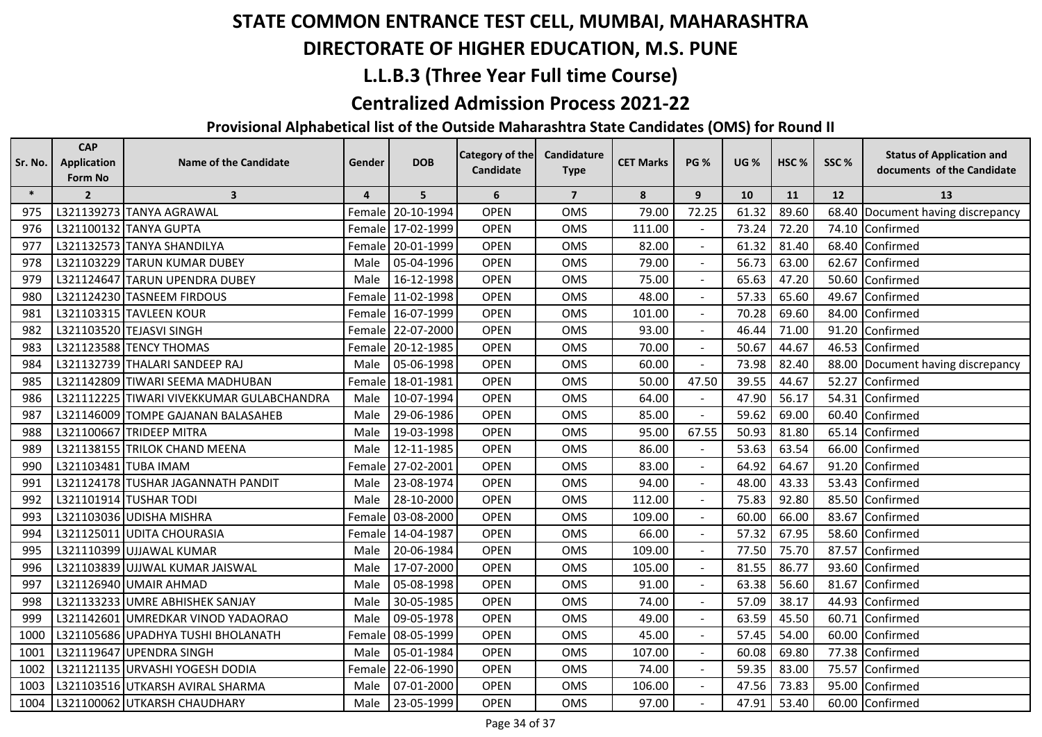## **DIRECTORATE OF HIGHER EDUCATION, M.S. PUNE**

## **L.L.B.3 (Three Year Full time Course)**

#### **Centralized Admission Process 2021-22**

| Sr. No. | <b>CAP</b><br><b>Application</b> | <b>Name of the Candidate</b>              | Gender         | <b>DOB</b>        | <b>Category of the</b> | Candidature    | <b>CET Marks</b> | <b>PG %</b>      | <b>UG %</b> | HSC <sub>%</sub> | SSC% | <b>Status of Application and</b>  |
|---------|----------------------------------|-------------------------------------------|----------------|-------------------|------------------------|----------------|------------------|------------------|-------------|------------------|------|-----------------------------------|
|         | Form No                          |                                           |                |                   | Candidate              | <b>Type</b>    |                  |                  |             |                  |      | documents of the Candidate        |
| $\ast$  | $\overline{2}$                   | $\overline{\mathbf{3}}$                   | $\overline{4}$ | 5                 | 6                      | $\overline{7}$ | 8                | $\boldsymbol{9}$ | 10          | 11               | 12   | 13                                |
| 975     |                                  | L321139273 TANYA AGRAWAL                  |                | Female 20-10-1994 | <b>OPEN</b>            | OMS            | 79.00            | 72.25            | 61.32       | 89.60            |      | 68.40 Document having discrepancy |
| 976     |                                  | L321100132 TANYA GUPTA                    |                | Female 17-02-1999 | <b>OPEN</b>            | OMS            | 111.00           |                  | 73.24       | 72.20            |      | 74.10 Confirmed                   |
| 977     |                                  | L321132573 TANYA SHANDILYA                |                | Female 20-01-1999 | <b>OPEN</b>            | OMS            | 82.00            |                  | 61.32       | 81.40            |      | 68.40 Confirmed                   |
| 978     |                                  | L321103229 TARUN KUMAR DUBEY              | Male           | 05-04-1996        | <b>OPEN</b>            | <b>OMS</b>     | 79.00            |                  | 56.73       | 63.00            |      | 62.67 Confirmed                   |
| 979     |                                  | L321124647 TARUN UPENDRA DUBEY            | Male           | 16-12-1998        | <b>OPEN</b>            | <b>OMS</b>     | 75.00            |                  | 65.63       | 47.20            |      | 50.60 Confirmed                   |
| 980     |                                  | L321124230 TASNEEM FIRDOUS                |                | Female 11-02-1998 | <b>OPEN</b>            | <b>OMS</b>     | 48.00            |                  | 57.33       | 65.60            |      | 49.67 Confirmed                   |
| 981     |                                  | L321103315 TAVLEEN KOUR                   |                | Female 16-07-1999 | <b>OPEN</b>            | <b>OMS</b>     | 101.00           |                  | 70.28       | 69.60            |      | 84.00 Confirmed                   |
| 982     |                                  | L321103520 TEJASVI SINGH                  |                | Female 22-07-2000 | <b>OPEN</b>            | <b>OMS</b>     | 93.00            |                  | 46.44       | 71.00            |      | 91.20 Confirmed                   |
| 983     |                                  | L321123588 TENCY THOMAS                   | Female l       | 20-12-1985        | <b>OPEN</b>            | <b>OMS</b>     | 70.00            |                  | 50.67       | 44.67            |      | 46.53 Confirmed                   |
| 984     |                                  | L321132739 THALARI SANDEEP RAJ            | Male           | 05-06-1998        | <b>OPEN</b>            | OMS            | 60.00            | $\blacksquare$   | 73.98       | 82.40            |      | 88.00 Document having discrepancy |
| 985     |                                  | L321142809 TIWARI SEEMA MADHUBAN          |                | Female 18-01-1981 | <b>OPEN</b>            | <b>OMS</b>     | 50.00            | 47.50            | 39.55       | 44.67            |      | 52.27 Confirmed                   |
| 986     |                                  | L321112225 TIWARI VIVEKKUMAR GULABCHANDRA | Male           | 10-07-1994        | <b>OPEN</b>            | <b>OMS</b>     | 64.00            |                  | 47.90       | 56.17            |      | 54.31 Confirmed                   |
| 987     |                                  | L321146009 TOMPE GAJANAN BALASAHEB        | Male           | 29-06-1986        | <b>OPEN</b>            | <b>OMS</b>     | 85.00            |                  | 59.62       | 69.00            |      | 60.40 Confirmed                   |
| 988     |                                  | L321100667 TRIDEEP MITRA                  | Male           | 19-03-1998        | <b>OPEN</b>            | <b>OMS</b>     | 95.00            | 67.55            | 50.93       | 81.80            |      | 65.14 Confirmed                   |
| 989     |                                  | L321138155 TRILOK CHAND MEENA             | Male           | 12-11-1985        | <b>OPEN</b>            | <b>OMS</b>     | 86.00            |                  | 53.63       | 63.54            |      | 66.00 Confirmed                   |
| 990     | L321103481 TUBA IMAM             |                                           | Female         | 27-02-2001        | <b>OPEN</b>            | <b>OMS</b>     | 83.00            |                  | 64.92       | 64.67            |      | 91.20 Confirmed                   |
| 991     |                                  | L321124178 TUSHAR JAGANNATH PANDIT        | Male           | 23-08-1974        | <b>OPEN</b>            | <b>OMS</b>     | 94.00            |                  | 48.00       | 43.33            |      | 53.43 Confirmed                   |
| 992     |                                  | L321101914 TUSHAR TODI                    | Male           | 28-10-2000        | <b>OPEN</b>            | <b>OMS</b>     | 112.00           |                  | 75.83       | 92.80            |      | 85.50 Confirmed                   |
| 993     |                                  | L321103036 UDISHA MISHRA                  | Female         | 03-08-2000        | <b>OPEN</b>            | <b>OMS</b>     | 109.00           |                  | 60.00       | 66.00            |      | 83.67 Confirmed                   |
| 994     |                                  | L321125011 UDITA CHOURASIA                |                | Female 14-04-1987 | <b>OPEN</b>            | <b>OMS</b>     | 66.00            | $\sim$           | 57.32       | 67.95            |      | 58.60 Confirmed                   |
| 995     |                                  | L321110399 UJJAWAL KUMAR                  | Male           | 20-06-1984        | <b>OPEN</b>            | <b>OMS</b>     | 109.00           |                  | 77.50       | 75.70            |      | 87.57 Confirmed                   |
| 996     |                                  | L321103839 UJJWAL KUMAR JAISWAL           | Male           | 17-07-2000        | <b>OPEN</b>            | OMS            | 105.00           |                  | 81.55       | 86.77            |      | 93.60 Confirmed                   |
| 997     |                                  | L321126940 UMAIR AHMAD                    | Male           | 05-08-1998        | <b>OPEN</b>            | <b>OMS</b>     | 91.00            |                  | 63.38       | 56.60            |      | 81.67 Confirmed                   |
| 998     |                                  | L321133233 UMRE ABHISHEK SANJAY           | Male           | 30-05-1985        | <b>OPEN</b>            | OMS            | 74.00            |                  | 57.09       | 38.17            |      | 44.93 Confirmed                   |
| 999     |                                  | L321142601 UMREDKAR VINOD YADAORAO        | Male           | 09-05-1978        | <b>OPEN</b>            | OMS            | 49.00            | $\blacksquare$   | 63.59       | 45.50            |      | 60.71 Confirmed                   |
| 1000    |                                  | L321105686 UPADHYA TUSHI BHOLANATH        | Female         | 08-05-1999        | <b>OPEN</b>            | <b>OMS</b>     | 45.00            | $\sim$           | 57.45       | 54.00            |      | 60.00 Confirmed                   |
| 1001    |                                  | L321119647 UPENDRA SINGH                  | Male           | 05-01-1984        | <b>OPEN</b>            | <b>OMS</b>     | 107.00           |                  | 60.08       | 69.80            |      | 77.38 Confirmed                   |
| 1002    |                                  | L321121135 URVASHI YOGESH DODIA           |                | Female 22-06-1990 | <b>OPEN</b>            | <b>OMS</b>     | 74.00            |                  | 59.35       | 83.00            |      | 75.57 Confirmed                   |
| 1003    |                                  | L321103516 UTKARSH AVIRAL SHARMA          | Male           | 07-01-2000        | <b>OPEN</b>            | OMS            | 106.00           |                  | 47.56       | 73.83            |      | 95.00 Confirmed                   |
| 1004    |                                  | L321100062 UTKARSH CHAUDHARY              | Male           | 23-05-1999        | <b>OPEN</b>            | <b>OMS</b>     | 97.00            |                  | 47.91       | 53.40            |      | 60.00 Confirmed                   |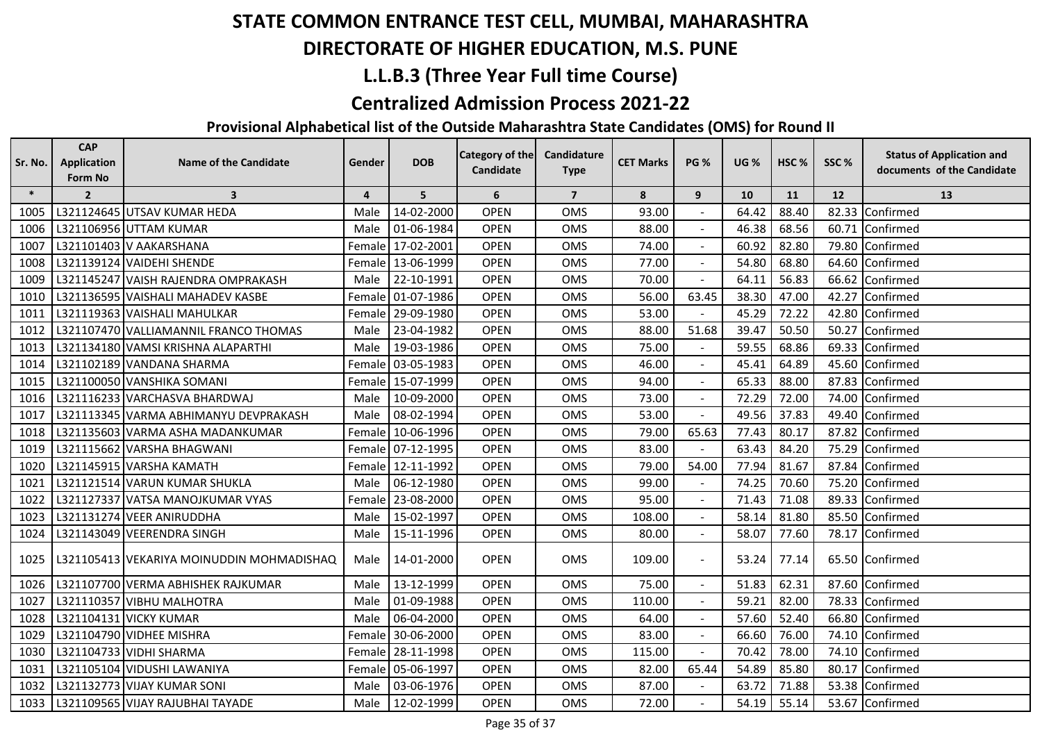## **DIRECTORATE OF HIGHER EDUCATION, M.S. PUNE**

## **L.L.B.3 (Three Year Full time Course)**

#### **Centralized Admission Process 2021-22**

| Sr. No. | <b>CAP</b><br><b>Application</b> | <b>Name of the Candidate</b>              | Gender         | <b>DOB</b> | <b>Category of the</b> | Candidature    | <b>CET Marks</b> | <b>PG %</b>    | <b>UG %</b> | HSC <sub>%</sub> | SSC%  | <b>Status of Application and</b> |
|---------|----------------------------------|-------------------------------------------|----------------|------------|------------------------|----------------|------------------|----------------|-------------|------------------|-------|----------------------------------|
|         | Form No                          |                                           |                |            | Candidate              | <b>Type</b>    |                  |                |             |                  |       | documents of the Candidate       |
| $\ast$  | $\overline{2}$                   | $\overline{\mathbf{3}}$                   | $\overline{4}$ | 5          | 6                      | $\overline{7}$ | 8                | 9              | 10          | 11               | 12    | 13                               |
| 1005    |                                  | L321124645 UTSAV KUMAR HEDA               | Male           | 14-02-2000 | <b>OPEN</b>            | <b>OMS</b>     | 93.00            |                | 64.42       | 88.40            | 82.33 | Confirmed                        |
| 1006    |                                  | L321106956 UTTAM KUMAR                    | Male           | 01-06-1984 | <b>OPEN</b>            | <b>OMS</b>     | 88.00            |                | 46.38       | 68.56            | 60.71 | Confirmed                        |
| 1007    |                                  | L321101403 V AAKARSHANA                   | Female         | 17-02-2001 | <b>OPEN</b>            | <b>OMS</b>     | 74.00            |                | 60.92       | 82.80            | 79.80 | Confirmed                        |
| 1008    |                                  | L321139124 VAIDEHI SHENDE                 | Female         | 13-06-1999 | <b>OPEN</b>            | <b>OMS</b>     | 77.00            |                | 54.80       | 68.80            | 64.60 | Confirmed                        |
| 1009    |                                  | L321145247 VAISH RAJENDRA OMPRAKASH       | Male           | 22-10-1991 | <b>OPEN</b>            | <b>OMS</b>     | 70.00            |                | 64.11       | 56.83            | 66.62 | Confirmed                        |
| 1010    |                                  | L321136595 VAISHALI MAHADEV KASBE         | Female         | 01-07-1986 | <b>OPEN</b>            | <b>OMS</b>     | 56.00            | 63.45          | 38.30       | 47.00            | 42.27 | Confirmed                        |
| 1011    |                                  | L321119363 VAISHALI MAHULKAR              | Female         | 29-09-1980 | <b>OPEN</b>            | <b>OMS</b>     | 53.00            |                | 45.29       | 72.22            | 42.80 | Confirmed                        |
| 1012    |                                  | L321107470 VALLIAMANNIL FRANCO THOMAS     | Male           | 23-04-1982 | <b>OPEN</b>            | <b>OMS</b>     | 88.00            | 51.68          | 39.47       | 50.50            | 50.27 | Confirmed                        |
| 1013    |                                  | L321134180 VAMSI KRISHNA ALAPARTHI        | Male           | 19-03-1986 | <b>OPEN</b>            | <b>OMS</b>     | 75.00            |                | 59.55       | 68.86            | 69.33 | Confirmed                        |
| 1014    |                                  | L321102189 VANDANA SHARMA                 | Female         | 03-05-1983 | <b>OPEN</b>            | OMS            | 46.00            | $\blacksquare$ | 45.41       | 64.89            | 45.60 | Confirmed                        |
| 1015    |                                  | L321100050 VANSHIKA SOMANI                | Female         | 15-07-1999 | <b>OPEN</b>            | <b>OMS</b>     | 94.00            |                | 65.33       | 88.00            | 87.83 | Confirmed                        |
| 1016    |                                  | L321116233 VARCHASVA BHARDWAJ             | Male           | 10-09-2000 | <b>OPEN</b>            | <b>OMS</b>     | 73.00            |                | 72.29       | 72.00            | 74.00 | Confirmed                        |
| 1017    |                                  | L321113345 VARMA ABHIMANYU DEVPRAKASH     | Male           | 08-02-1994 | <b>OPEN</b>            | <b>OMS</b>     | 53.00            |                | 49.56       | 37.83            | 49.40 | Confirmed                        |
| 1018    |                                  | L321135603 VARMA ASHA MADANKUMAR          | Female         | 10-06-1996 | <b>OPEN</b>            | <b>OMS</b>     | 79.00            | 65.63          | 77.43       | 80.17            | 87.82 | Confirmed                        |
| 1019    |                                  | L321115662 VARSHA BHAGWANI                | Female         | 07-12-1995 | <b>OPEN</b>            | <b>OMS</b>     | 83.00            |                | 63.43       | 84.20            | 75.29 | Confirmed                        |
| 1020    |                                  | L321145915 VARSHA KAMATH                  | Female         | 12-11-1992 | <b>OPEN</b>            | <b>OMS</b>     | 79.00            | 54.00          | 77.94       | 81.67            | 87.84 | Confirmed                        |
| 1021    |                                  | L321121514 VARUN KUMAR SHUKLA             | Male           | 06-12-1980 | <b>OPEN</b>            | <b>OMS</b>     | 99.00            |                | 74.25       | 70.60            | 75.20 | Confirmed                        |
| 1022    |                                  | L321127337 VATSA MANOJKUMAR VYAS          | Female         | 23-08-2000 | <b>OPEN</b>            | <b>OMS</b>     | 95.00            |                | 71.43       | 71.08            |       | 89.33 Confirmed                  |
| 1023    |                                  | L321131274 VEER ANIRUDDHA                 | Male           | 15-02-1997 | <b>OPEN</b>            | <b>OMS</b>     | 108.00           |                | 58.14       | 81.80            |       | 85.50 Confirmed                  |
| 1024    |                                  | L321143049 VEERENDRA SINGH                | Male           | 15-11-1996 | <b>OPEN</b>            | OMS            | 80.00            | $\sim$         | 58.07       | 77.60            | 78.17 | Confirmed                        |
| 1025    |                                  | L321105413 VEKARIYA MOINUDDIN MOHMADISHAQ | Male           | 14-01-2000 | <b>OPEN</b>            | <b>OMS</b>     | 109.00           |                | 53.24       | 77.14            |       | 65.50 Confirmed                  |
| 1026    |                                  | L321107700 VERMA ABHISHEK RAJKUMAR        | Male           | 13-12-1999 | <b>OPEN</b>            | <b>OMS</b>     | 75.00            |                | 51.83       | 62.31            | 87.60 | Confirmed                        |
| 1027    |                                  | L321110357 VIBHU MALHOTRA                 | Male           | 01-09-1988 | <b>OPEN</b>            | <b>OMS</b>     | 110.00           |                | 59.21       | 82.00            | 78.33 | Confirmed                        |
| 1028    |                                  | L321104131 VICKY KUMAR                    | Male           | 06-04-2000 | <b>OPEN</b>            | OMS            | 64.00            | $\blacksquare$ | 57.60       | 52.40            | 66.80 | Confirmed                        |
| 1029    |                                  | L321104790 VIDHEE MISHRA                  | Female         | 30-06-2000 | <b>OPEN</b>            | <b>OMS</b>     | 83.00            | $\sim$         | 66.60       | 76.00            | 74.10 | Confirmed                        |
| 1030    |                                  | L321104733 VIDHI SHARMA                   | Female         | 28-11-1998 | <b>OPEN</b>            | <b>OMS</b>     | 115.00           |                | 70.42       | 78.00            |       | 74.10 Confirmed                  |
| 1031    |                                  | L321105104 VIDUSHI LAWANIYA               | Female         | 05-06-1997 | <b>OPEN</b>            | <b>OMS</b>     | 82.00            | 65.44          | 54.89       | 85.80            | 80.17 | Confirmed                        |
| 1032    |                                  | L321132773 VIJAY KUMAR SONI               | Male           | 03-06-1976 | <b>OPEN</b>            | <b>OMS</b>     | 87.00            |                | 63.72       | 71.88            |       | 53.38 Confirmed                  |
| 1033    |                                  | L321109565 VIJAY RAJUBHAI TAYADE          | Male           | 12-02-1999 | <b>OPEN</b>            | <b>OMS</b>     | 72.00            |                | 54.19       | 55.14            |       | 53.67 Confirmed                  |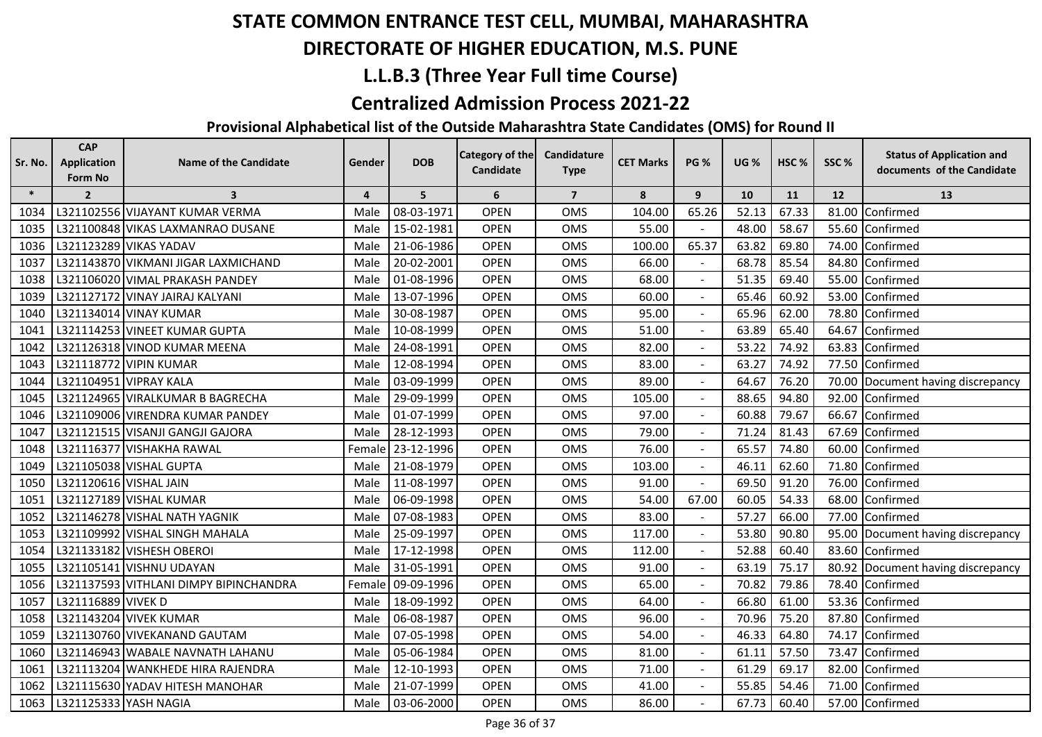## **DIRECTORATE OF HIGHER EDUCATION, M.S. PUNE**

## **L.L.B.3 (Three Year Full time Course)**

#### **Centralized Admission Process 2021-22**

| Sr. No. | <b>CAP</b><br><b>Application</b><br>Form No | <b>Name of the Candidate</b>           | Gender         | <b>DOB</b> | <b>Category of the</b><br>Candidate | Candidature<br><b>Type</b> | <b>CET Marks</b> | <b>PG %</b>    | <b>UG %</b> | HSC%  | SSC%  | <b>Status of Application and</b><br>documents of the Candidate |
|---------|---------------------------------------------|----------------------------------------|----------------|------------|-------------------------------------|----------------------------|------------------|----------------|-------------|-------|-------|----------------------------------------------------------------|
| $\ast$  | $\overline{2}$                              | $\overline{\mathbf{3}}$                | $\overline{4}$ | 5          | 6                                   | $\overline{7}$             | 8                | 9              | 10          | 11    | 12    | 13                                                             |
| 1034    |                                             | L321102556 VIJAYANT KUMAR VERMA        | Male           | 08-03-1971 | <b>OPEN</b>                         | <b>OMS</b>                 | 104.00           | 65.26          | 52.13       | 67.33 | 81.00 | Confirmed                                                      |
| 1035    |                                             | L321100848 VIKAS LAXMANRAO DUSANE      | Male           | 15-02-1981 | <b>OPEN</b>                         | <b>OMS</b>                 | 55.00            |                | 48.00       | 58.67 | 55.60 | Confirmed                                                      |
| 1036    |                                             | L321123289 VIKAS YADAV                 | Male           | 21-06-1986 | <b>OPEN</b>                         | <b>OMS</b>                 | 100.00           | 65.37          | 63.82       | 69.80 | 74.00 | Confirmed                                                      |
| 1037    |                                             | L321143870 VIKMANI JIGAR LAXMICHAND    | Male           | 20-02-2001 | <b>OPEN</b>                         | <b>OMS</b>                 | 66.00            |                | 68.78       | 85.54 | 84.80 | Confirmed                                                      |
| 1038    |                                             | L321106020 VIMAL PRAKASH PANDEY        | Male           | 01-08-1996 | <b>OPEN</b>                         | <b>OMS</b>                 | 68.00            | $\blacksquare$ | 51.35       | 69.40 | 55.00 | Confirmed                                                      |
| 1039    |                                             | L321127172 VINAY JAIRAJ KALYANI        | Male           | 13-07-1996 | <b>OPEN</b>                         | <b>OMS</b>                 | 60.00            | $\blacksquare$ | 65.46       | 60.92 | 53.00 | Confirmed                                                      |
| 1040    |                                             | L321134014 VINAY KUMAR                 | Male           | 30-08-1987 | <b>OPEN</b>                         | OMS                        | 95.00            |                | 65.96       | 62.00 | 78.80 | Confirmed                                                      |
| 1041    |                                             | L321114253 VINEET KUMAR GUPTA          | Male           | 10-08-1999 | <b>OPEN</b>                         | <b>OMS</b>                 | 51.00            |                | 63.89       | 65.40 | 64.67 | Confirmed                                                      |
| 1042    |                                             | L321126318 VINOD KUMAR MEENA           | Male           | 24-08-1991 | <b>OPEN</b>                         | <b>OMS</b>                 | 82.00            |                | 53.22       | 74.92 | 63.83 | Confirmed                                                      |
| 1043    |                                             | L321118772 VIPIN KUMAR                 | Male           | 12-08-1994 | <b>OPEN</b>                         | OMS                        | 83.00            |                | 63.27       | 74.92 | 77.50 | Confirmed                                                      |
| 1044    |                                             | L321104951 VIPRAY KALA                 | Male           | 03-09-1999 | <b>OPEN</b>                         | <b>OMS</b>                 | 89.00            |                | 64.67       | 76.20 |       | 70.00 Document having discrepancy                              |
| 1045    |                                             | L321124965 VIRALKUMAR B BAGRECHA       | Male           | 29-09-1999 | <b>OPEN</b>                         | <b>OMS</b>                 | 105.00           |                | 88.65       | 94.80 |       | 92.00 Confirmed                                                |
| 1046    |                                             | L321109006 VIRENDRA KUMAR PANDEY       | Male           | 01-07-1999 | <b>OPEN</b>                         | <b>OMS</b>                 | 97.00            |                | 60.88       | 79.67 | 66.67 | Confirmed                                                      |
| 1047    |                                             | L321121515 VISANJI GANGJI GAJORA       | Male           | 28-12-1993 | <b>OPEN</b>                         | <b>OMS</b>                 | 79.00            |                | 71.24       | 81.43 | 67.69 | Confirmed                                                      |
| 1048    |                                             | L321116377 VISHAKHA RAWAL              | Female         | 23-12-1996 | <b>OPEN</b>                         | <b>OMS</b>                 | 76.00            |                | 65.57       | 74.80 | 60.00 | Confirmed                                                      |
| 1049    |                                             | L321105038 VISHAL GUPTA                | Male           | 21-08-1979 | <b>OPEN</b>                         | <b>OMS</b>                 | 103.00           |                | 46.11       | 62.60 | 71.80 | Confirmed                                                      |
| 1050    | L321120616 VISHAL JAIN                      |                                        | Male           | 11-08-1997 | <b>OPEN</b>                         | <b>OMS</b>                 | 91.00            |                | 69.50       | 91.20 | 76.00 | Confirmed                                                      |
| 1051    |                                             | L321127189 VISHAL KUMAR                | Male           | 06-09-1998 | <b>OPEN</b>                         | OMS                        | 54.00            | 67.00          | 60.05       | 54.33 | 68.00 | Confirmed                                                      |
| 1052    |                                             | L321146278 VISHAL NATH YAGNIK          | Male           | 07-08-1983 | OPEN                                | <b>OMS</b>                 | 83.00            |                | 57.27       | 66.00 | 77.00 | Confirmed                                                      |
| 1053    |                                             | L321109992 VISHAL SINGH MAHALA         | Male           | 25-09-1997 | <b>OPEN</b>                         | <b>OMS</b>                 | 117.00           |                | 53.80       | 90.80 | 95.00 | Document having discrepancy                                    |
| 1054    |                                             | L321133182 VISHESH OBEROI              | Male           | 17-12-1998 | <b>OPEN</b>                         | <b>OMS</b>                 | 112.00           |                | 52.88       | 60.40 | 83.60 | Confirmed                                                      |
| 1055    |                                             | L321105141 VISHNU UDAYAN               | Male           | 31-05-1991 | <b>OPEN</b>                         | <b>OMS</b>                 | 91.00            | $\blacksquare$ | 63.19       | 75.17 |       | 80.92 Document having discrepancy                              |
| 1056    |                                             | L321137593 VITHLANI DIMPY BIPINCHANDRA | Female         | 09-09-1996 | <b>OPEN</b>                         | <b>OMS</b>                 | 65.00            |                | 70.82       | 79.86 | 78.40 | Confirmed                                                      |
| 1057    | L321116889 VIVEK D                          |                                        | Male           | 18-09-1992 | <b>OPEN</b>                         | <b>OMS</b>                 | 64.00            |                | 66.80       | 61.00 |       | 53.36 Confirmed                                                |
| 1058    |                                             | L321143204 VIVEK KUMAR                 | Male           | 06-08-1987 | <b>OPEN</b>                         | <b>OMS</b>                 | 96.00            |                | 70.96       | 75.20 | 87.80 | Confirmed                                                      |
| 1059    |                                             | L321130760 VIVEKANAND GAUTAM           | Male           | 07-05-1998 | <b>OPEN</b>                         | <b>OMS</b>                 | 54.00            |                | 46.33       | 64.80 | 74.17 | Confirmed                                                      |
| 1060    |                                             | L321146943 WABALE NAVNATH LAHANU       | Male           | 05-06-1984 | <b>OPEN</b>                         | <b>OMS</b>                 | 81.00            | $\mathbf{r}$   | 61.11       | 57.50 | 73.47 | Confirmed                                                      |
| 1061    |                                             | L321113204 WANKHEDE HIRA RAJENDRA      | Male           | 12-10-1993 | <b>OPEN</b>                         | OMS                        | 71.00            |                | 61.29       | 69.17 | 82.00 | Confirmed                                                      |
| 1062    |                                             | L321115630 YADAV HITESH MANOHAR        | Male           | 21-07-1999 | <b>OPEN</b>                         | OMS                        | 41.00            |                | 55.85       | 54.46 | 71.00 | Confirmed                                                      |
| 1063    | L321125333 YASH NAGIA                       |                                        | Male           | 03-06-2000 | <b>OPEN</b>                         | <b>OMS</b>                 | 86.00            |                | 67.73       | 60.40 |       | 57.00 Confirmed                                                |